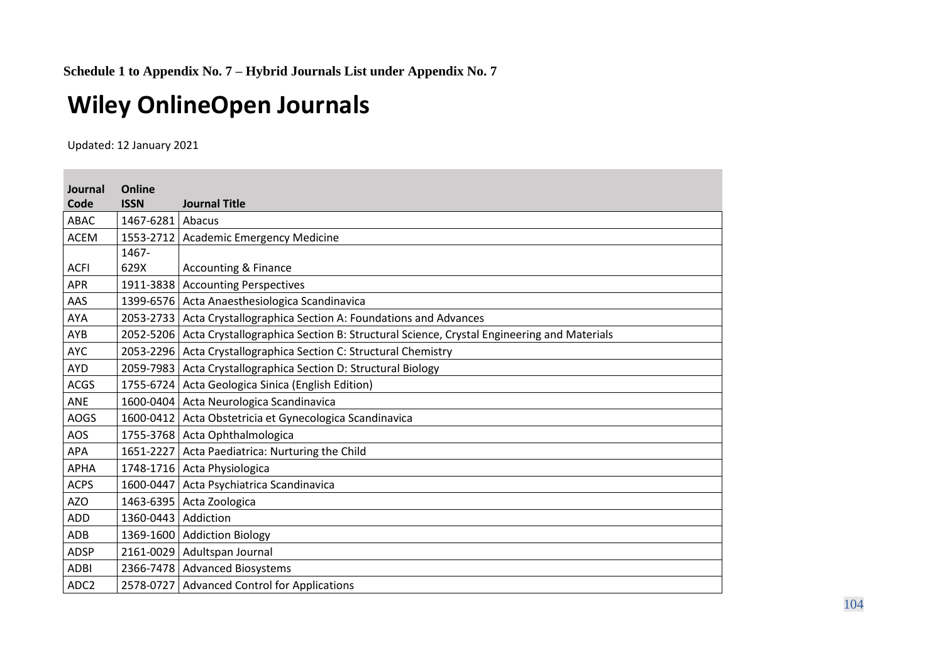## **Wiley OnlineOpen Journals**

Updated: 12 January 2021

| Journal          | Online              |                                                                                                   |
|------------------|---------------------|---------------------------------------------------------------------------------------------------|
| Code             | <b>ISSN</b>         | <b>Journal Title</b>                                                                              |
| <b>ABAC</b>      | 1467-6281 Abacus    |                                                                                                   |
| <b>ACEM</b>      |                     | 1553-2712   Academic Emergency Medicine                                                           |
|                  | 1467-               |                                                                                                   |
| <b>ACFI</b>      | 629X                | <b>Accounting &amp; Finance</b>                                                                   |
| <b>APR</b>       |                     | 1911-3838 Accounting Perspectives                                                                 |
| AAS              |                     | 1399-6576 Acta Anaesthesiologica Scandinavica                                                     |
| <b>AYA</b>       |                     | 2053-2733 Acta Crystallographica Section A: Foundations and Advances                              |
| AYB              |                     | 2052-5206 Acta Crystallographica Section B: Structural Science, Crystal Engineering and Materials |
| <b>AYC</b>       |                     | 2053-2296   Acta Crystallographica Section C: Structural Chemistry                                |
| AYD              |                     | 2059-7983   Acta Crystallographica Section D: Structural Biology                                  |
| <b>ACGS</b>      |                     | 1755-6724 Acta Geologica Sinica (English Edition)                                                 |
| ANE              |                     | 1600-0404 Acta Neurologica Scandinavica                                                           |
| <b>AOGS</b>      |                     | 1600-0412 Acta Obstetricia et Gynecologica Scandinavica                                           |
| AOS              |                     | 1755-3768 Acta Ophthalmologica                                                                    |
| <b>APA</b>       |                     | 1651-2227 Acta Paediatrica: Nurturing the Child                                                   |
| <b>APHA</b>      |                     | 1748-1716 Acta Physiologica                                                                       |
| <b>ACPS</b>      |                     | 1600-0447 Acta Psychiatrica Scandinavica                                                          |
| AZO              |                     | 1463-6395 Acta Zoologica                                                                          |
| <b>ADD</b>       | 1360-0443 Addiction |                                                                                                   |
| <b>ADB</b>       |                     | 1369-1600 Addiction Biology                                                                       |
| <b>ADSP</b>      |                     | 2161-0029 Adultspan Journal                                                                       |
| <b>ADBI</b>      |                     | 2366-7478   Advanced Biosystems                                                                   |
| ADC <sub>2</sub> |                     | 2578-0727 Advanced Control for Applications                                                       |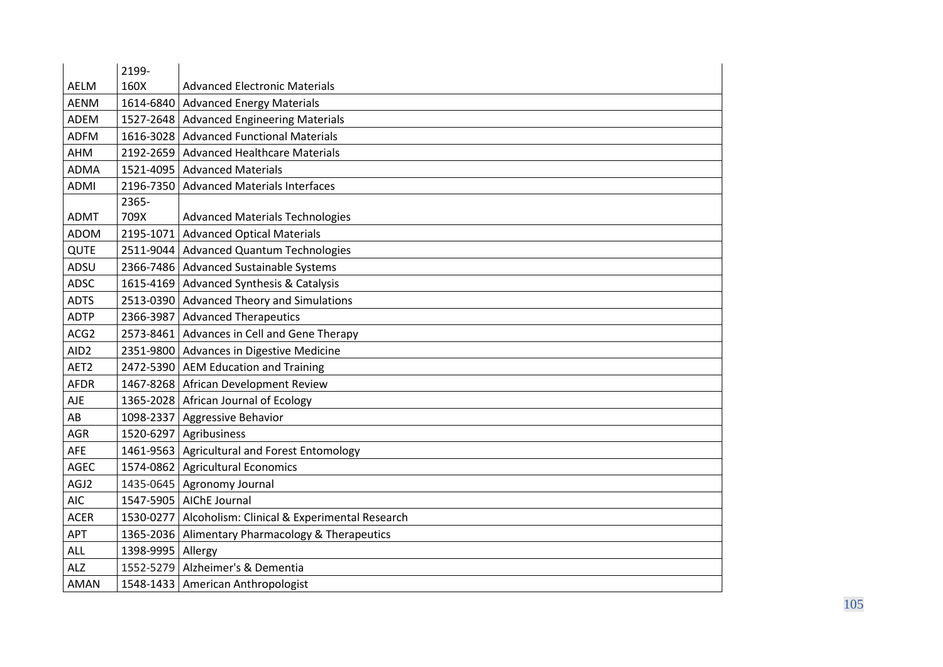|                  | 2199-             |                                                          |
|------------------|-------------------|----------------------------------------------------------|
| <b>AELM</b>      | 160X              | <b>Advanced Electronic Materials</b>                     |
| <b>AENM</b>      |                   | 1614-6840 Advanced Energy Materials                      |
| <b>ADEM</b>      |                   | 1527-2648   Advanced Engineering Materials               |
| <b>ADFM</b>      |                   | 1616-3028 Advanced Functional Materials                  |
| AHM              |                   | 2192-2659 Advanced Healthcare Materials                  |
| <b>ADMA</b>      |                   | 1521-4095 Advanced Materials                             |
| <b>ADMI</b>      |                   | 2196-7350 Advanced Materials Interfaces                  |
|                  | 2365-             |                                                          |
| <b>ADMT</b>      | 709X              | <b>Advanced Materials Technologies</b>                   |
| <b>ADOM</b>      | 2195-1071         | <b>Advanced Optical Materials</b>                        |
| QUTE             |                   | 2511-9044 Advanced Quantum Technologies                  |
| ADSU             |                   | 2366-7486 Advanced Sustainable Systems                   |
| <b>ADSC</b>      |                   | 1615-4169 Advanced Synthesis & Catalysis                 |
| <b>ADTS</b>      |                   | 2513-0390 Advanced Theory and Simulations                |
| <b>ADTP</b>      |                   | 2366-3987   Advanced Therapeutics                        |
| ACG2             |                   | 2573-8461 Advances in Cell and Gene Therapy              |
| AID <sub>2</sub> |                   | 2351-9800 Advances in Digestive Medicine                 |
| AET2             |                   | 2472-5390 AEM Education and Training                     |
| <b>AFDR</b>      |                   | 1467-8268 African Development Review                     |
| <b>AJE</b>       |                   | 1365-2028 African Journal of Ecology                     |
| AB               |                   | 1098-2337   Aggressive Behavior                          |
| AGR              |                   | 1520-6297 Agribusiness                                   |
| AFE              |                   | 1461-9563 Agricultural and Forest Entomology             |
| <b>AGEC</b>      |                   | 1574-0862 Agricultural Economics                         |
| AGJ2             |                   | 1435-0645 Agronomy Journal                               |
| <b>AIC</b>       |                   | 1547-5905 AIChE Journal                                  |
| <b>ACER</b>      |                   | 1530-0277   Alcoholism: Clinical & Experimental Research |
| APT              |                   | 1365-2036 Alimentary Pharmacology & Therapeutics         |
| ALL              | 1398-9995 Allergy |                                                          |
| <b>ALZ</b>       |                   | 1552-5279 Alzheimer's & Dementia                         |
| AMAN             |                   | 1548-1433 American Anthropologist                        |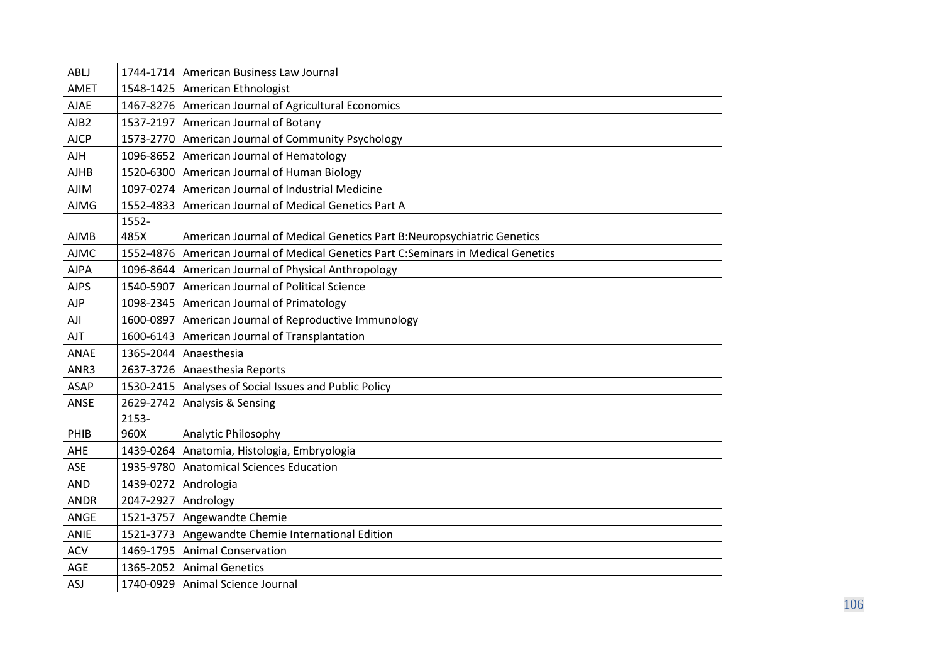| ABLJ             |                     | 1744-1714   American Business Law Journal                                          |
|------------------|---------------------|------------------------------------------------------------------------------------|
| <b>AMET</b>      |                     | 1548-1425 American Ethnologist                                                     |
| <b>AJAE</b>      |                     | 1467-8276 American Journal of Agricultural Economics                               |
| AJB <sub>2</sub> |                     | 1537-2197 American Journal of Botany                                               |
| <b>AJCP</b>      |                     | 1573-2770 American Journal of Community Psychology                                 |
| AJH              |                     | 1096-8652 American Journal of Hematology                                           |
| <b>AJHB</b>      |                     | 1520-6300 American Journal of Human Biology                                        |
| <b>AJIM</b>      |                     | 1097-0274 American Journal of Industrial Medicine                                  |
| <b>AJMG</b>      | 1552-4833           | American Journal of Medical Genetics Part A                                        |
|                  | 1552-               |                                                                                    |
| <b>AJMB</b>      | 485X                | American Journal of Medical Genetics Part B: Neuropsychiatric Genetics             |
| <b>AJMC</b>      |                     | 1552-4876 American Journal of Medical Genetics Part C:Seminars in Medical Genetics |
| <b>AJPA</b>      |                     | 1096-8644 American Journal of Physical Anthropology                                |
| <b>AJPS</b>      |                     | 1540-5907   American Journal of Political Science                                  |
| AJP              |                     | 1098-2345   American Journal of Primatology                                        |
| AJI              |                     | 1600-0897   American Journal of Reproductive Immunology                            |
| <b>AJT</b>       |                     | 1600-6143   American Journal of Transplantation                                    |
| ANAE             |                     | 1365-2044 Anaesthesia                                                              |
| ANR3             |                     | 2637-3726 Anaesthesia Reports                                                      |
| <b>ASAP</b>      |                     | 1530-2415 Analyses of Social Issues and Public Policy                              |
| ANSE             |                     | 2629-2742 Analysis & Sensing                                                       |
|                  | 2153-               |                                                                                    |
| PHIB             | 960X                | Analytic Philosophy                                                                |
| AHE              |                     | 1439-0264   Anatomia, Histologia, Embryologia                                      |
| <b>ASE</b>       |                     | 1935-9780   Anatomical Sciences Education                                          |
| <b>AND</b>       |                     | 1439-0272 Andrologia                                                               |
| <b>ANDR</b>      | 2047-2927 Andrology |                                                                                    |
| ANGE             |                     | 1521-3757 Angewandte Chemie                                                        |
| ANIE             |                     | 1521-3773 Angewandte Chemie International Edition                                  |
| <b>ACV</b>       |                     | 1469-1795   Animal Conservation                                                    |
| AGE              |                     | 1365-2052 Animal Genetics                                                          |
| ASJ              |                     | 1740-0929 Animal Science Journal                                                   |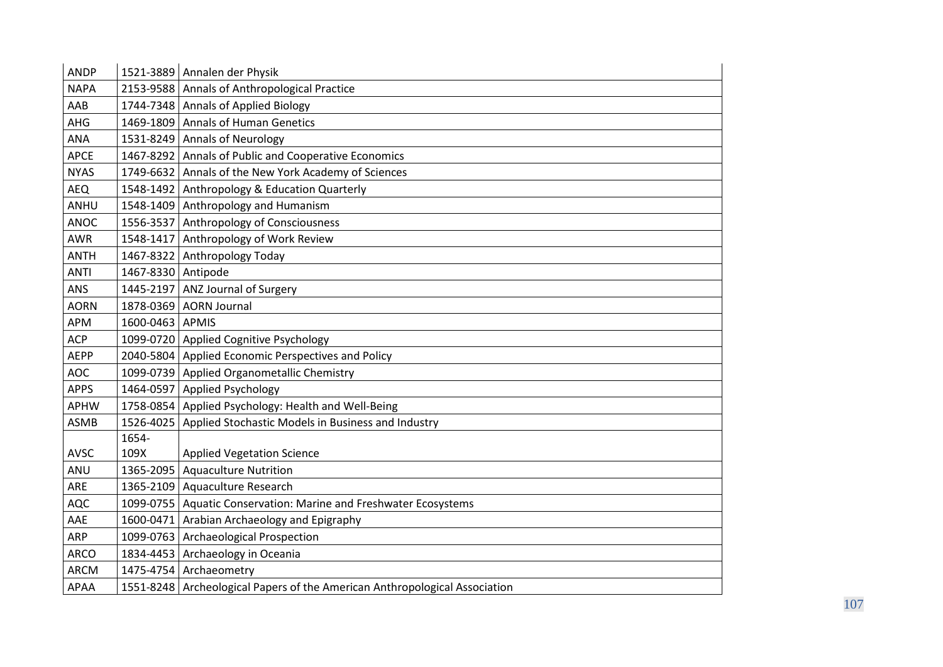| <b>ANDP</b> |                    | 1521-3889 Annalen der Physik                                               |
|-------------|--------------------|----------------------------------------------------------------------------|
| <b>NAPA</b> |                    | 2153-9588 Annals of Anthropological Practice                               |
| AAB         |                    | 1744-7348 Annals of Applied Biology                                        |
| AHG         |                    | 1469-1809 Annals of Human Genetics                                         |
| <b>ANA</b>  |                    | 1531-8249 Annals of Neurology                                              |
| <b>APCE</b> |                    | 1467-8292 Annals of Public and Cooperative Economics                       |
| <b>NYAS</b> |                    | 1749-6632 Annals of the New York Academy of Sciences                       |
| AEQ         |                    | 1548-1492 Anthropology & Education Quarterly                               |
| ANHU        |                    | 1548-1409 Anthropology and Humanism                                        |
| ANOC        |                    | 1556-3537 Anthropology of Consciousness                                    |
| <b>AWR</b>  |                    | 1548-1417 Anthropology of Work Review                                      |
| <b>ANTH</b> | 1467-8322          | Anthropology Today                                                         |
| <b>ANTI</b> | 1467-8330 Antipode |                                                                            |
| ANS         |                    | 1445-2197 ANZ Journal of Surgery                                           |
| <b>AORN</b> | 1878-0369          | <b>AORN Journal</b>                                                        |
| <b>APM</b>  | 1600-0463 APMIS    |                                                                            |
| <b>ACP</b>  |                    | 1099-0720 Applied Cognitive Psychology                                     |
| <b>AEPP</b> |                    | 2040-5804 Applied Economic Perspectives and Policy                         |
| <b>AOC</b>  |                    | 1099-0739 Applied Organometallic Chemistry                                 |
| <b>APPS</b> |                    | 1464-0597 Applied Psychology                                               |
| <b>APHW</b> |                    | 1758-0854 Applied Psychology: Health and Well-Being                        |
| <b>ASMB</b> |                    | 1526-4025   Applied Stochastic Models in Business and Industry             |
|             | 1654-              |                                                                            |
| AVSC        | 109X               | <b>Applied Vegetation Science</b>                                          |
| ANU         |                    | 1365-2095   Aquaculture Nutrition                                          |
| ARE         |                    | 1365-2109 Aquaculture Research                                             |
| <b>AQC</b>  |                    | 1099-0755   Aquatic Conservation: Marine and Freshwater Ecosystems         |
| AAE         |                    | 1600-0471 Arabian Archaeology and Epigraphy                                |
| <b>ARP</b>  |                    | 1099-0763   Archaeological Prospection                                     |
| <b>ARCO</b> |                    | 1834-4453 Archaeology in Oceania                                           |
| <b>ARCM</b> |                    | 1475-4754 Archaeometry                                                     |
| APAA        |                    | 1551-8248 Archeological Papers of the American Anthropological Association |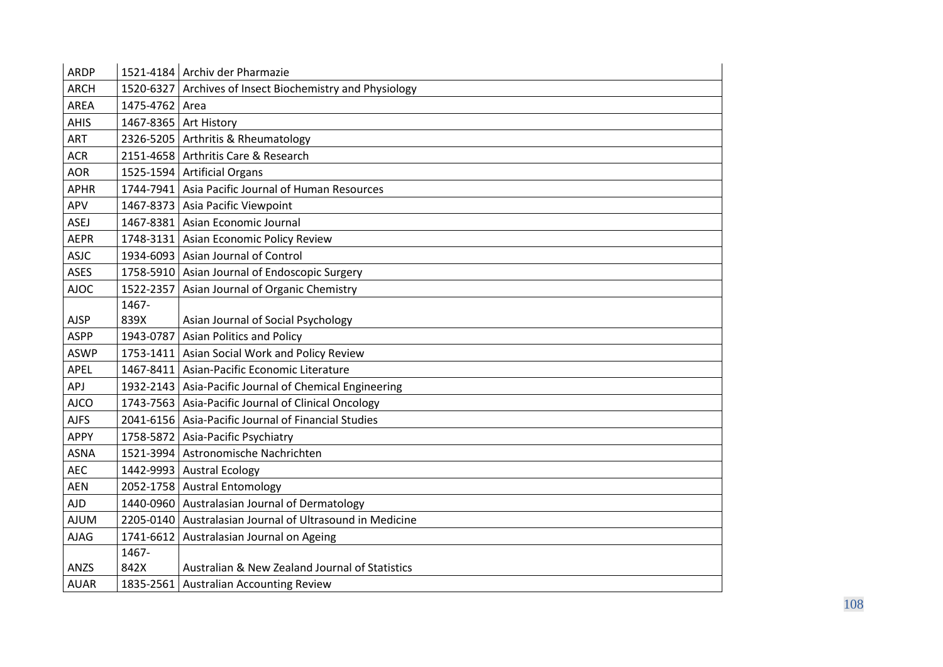| <b>ARDP</b> |                       | 1521-4184 Archiv der Pharmazie                           |
|-------------|-----------------------|----------------------------------------------------------|
| <b>ARCH</b> |                       | 1520-6327 Archives of Insect Biochemistry and Physiology |
| AREA        | 1475-4762 Area        |                                                          |
| <b>AHIS</b> | 1467-8365 Art History |                                                          |
| ART         |                       | 2326-5205 Arthritis & Rheumatology                       |
| <b>ACR</b>  |                       | 2151-4658 Arthritis Care & Research                      |
| <b>AOR</b>  |                       | 1525-1594 Artificial Organs                              |
| <b>APHR</b> |                       | 1744-7941 Asia Pacific Journal of Human Resources        |
| APV         |                       | 1467-8373   Asia Pacific Viewpoint                       |
| <b>ASEJ</b> |                       | 1467-8381 Asian Economic Journal                         |
| <b>AEPR</b> |                       | 1748-3131 Asian Economic Policy Review                   |
| <b>ASJC</b> |                       | 1934-6093   Asian Journal of Control                     |
| <b>ASES</b> |                       | 1758-5910 Asian Journal of Endoscopic Surgery            |
| <b>AJOC</b> |                       | 1522-2357   Asian Journal of Organic Chemistry           |
|             | 1467-                 |                                                          |
| <b>AJSP</b> | 839X                  | Asian Journal of Social Psychology                       |
| <b>ASPP</b> |                       | 1943-0787 Asian Politics and Policy                      |
| <b>ASWP</b> |                       | 1753-1411 Asian Social Work and Policy Review            |
| <b>APEL</b> |                       | 1467-8411   Asian-Pacific Economic Literature            |
| APJ         |                       | 1932-2143   Asia-Pacific Journal of Chemical Engineering |
| <b>AJCO</b> |                       | 1743-7563   Asia-Pacific Journal of Clinical Oncology    |
| <b>AJFS</b> |                       | 2041-6156   Asia-Pacific Journal of Financial Studies    |
| <b>APPY</b> |                       | 1758-5872   Asia-Pacific Psychiatry                      |
| <b>ASNA</b> |                       | 1521-3994 Astronomische Nachrichten                      |
| <b>AEC</b>  |                       | 1442-9993 Austral Ecology                                |
| <b>AEN</b>  |                       | 2052-1758 Austral Entomology                             |
| <b>AJD</b>  |                       | 1440-0960 Australasian Journal of Dermatology            |
| <b>AJUM</b> |                       | 2205-0140 Australasian Journal of Ultrasound in Medicine |
| <b>AJAG</b> |                       | 1741-6612   Australasian Journal on Ageing               |
|             | 1467-                 |                                                          |
| ANZS        | 842X                  | Australian & New Zealand Journal of Statistics           |
| <b>AUAR</b> |                       | 1835-2561   Australian Accounting Review                 |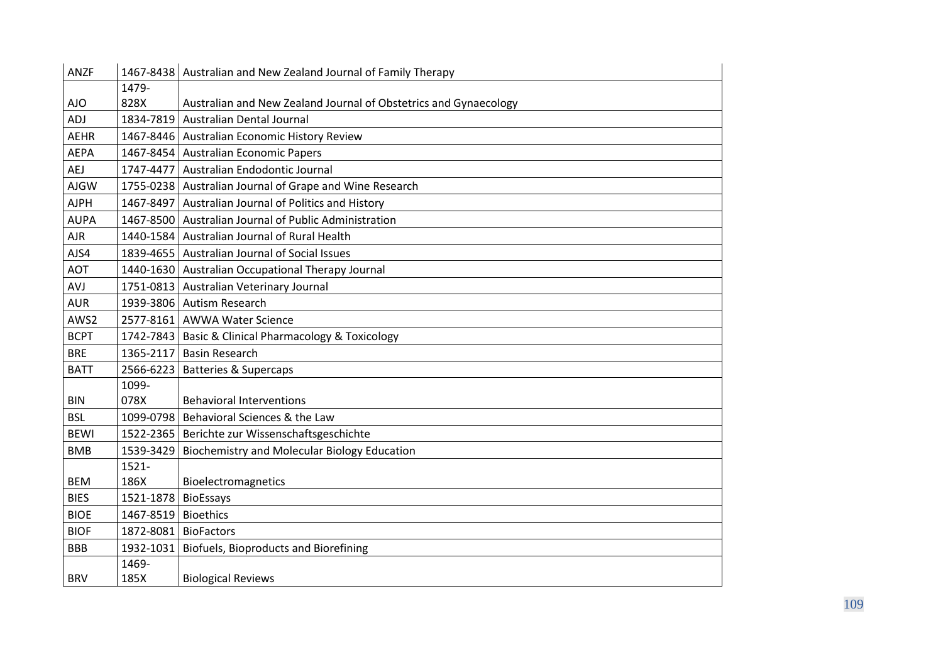| <b>ANZF</b> | 1467-8438 | Australian and New Zealand Journal of Family Therapy             |
|-------------|-----------|------------------------------------------------------------------|
|             | 1479-     |                                                                  |
| AJO         | 828X      | Australian and New Zealand Journal of Obstetrics and Gynaecology |
| ADJ         | 1834-7819 | <b>Australian Dental Journal</b>                                 |
| <b>AEHR</b> |           | 1467-8446   Australian Economic History Review                   |
| <b>AEPA</b> |           | 1467-8454 Australian Economic Papers                             |
| <b>AEJ</b>  | 1747-4477 | Australian Endodontic Journal                                    |
| <b>AJGW</b> |           | 1755-0238 Australian Journal of Grape and Wine Research          |
| <b>AJPH</b> |           | 1467-8497   Australian Journal of Politics and History           |
| <b>AUPA</b> | 1467-8500 | Australian Journal of Public Administration                      |
| <b>AJR</b>  |           | 1440-1584 Australian Journal of Rural Health                     |
| AJS4        |           | 1839-4655 Australian Journal of Social Issues                    |
| <b>AOT</b>  |           | 1440-1630 Australian Occupational Therapy Journal                |
| AVJ         |           | 1751-0813 Australian Veterinary Journal                          |
| <b>AUR</b>  | 1939-3806 | <b>Autism Research</b>                                           |
| AWS2        | 2577-8161 | <b>AWWA Water Science</b>                                        |
| <b>BCPT</b> |           | 1742-7843   Basic & Clinical Pharmacology & Toxicology           |
| <b>BRE</b>  | 1365-2117 | <b>Basin Research</b>                                            |
| <b>BATT</b> | 2566-6223 | <b>Batteries &amp; Supercaps</b>                                 |
|             | 1099-     |                                                                  |
| <b>BIN</b>  | 078X      | <b>Behavioral Interventions</b>                                  |
| <b>BSL</b>  | 1099-0798 | Behavioral Sciences & the Law                                    |
| <b>BEWI</b> |           | 1522-2365   Berichte zur Wissenschaftsgeschichte                 |
| <b>BMB</b>  | 1539-3429 | <b>Biochemistry and Molecular Biology Education</b>              |
|             | $1521 -$  |                                                                  |
| <b>BEM</b>  | 186X      | Bioelectromagnetics                                              |
| <b>BIES</b> | 1521-1878 | <b>BioEssays</b>                                                 |
| <b>BIOE</b> | 1467-8519 | <b>Bioethics</b>                                                 |
| <b>BIOF</b> | 1872-8081 | <b>BioFactors</b>                                                |
| <b>BBB</b>  | 1932-1031 | Biofuels, Bioproducts and Biorefining                            |
|             | 1469-     |                                                                  |
| <b>BRV</b>  | 185X      | <b>Biological Reviews</b>                                        |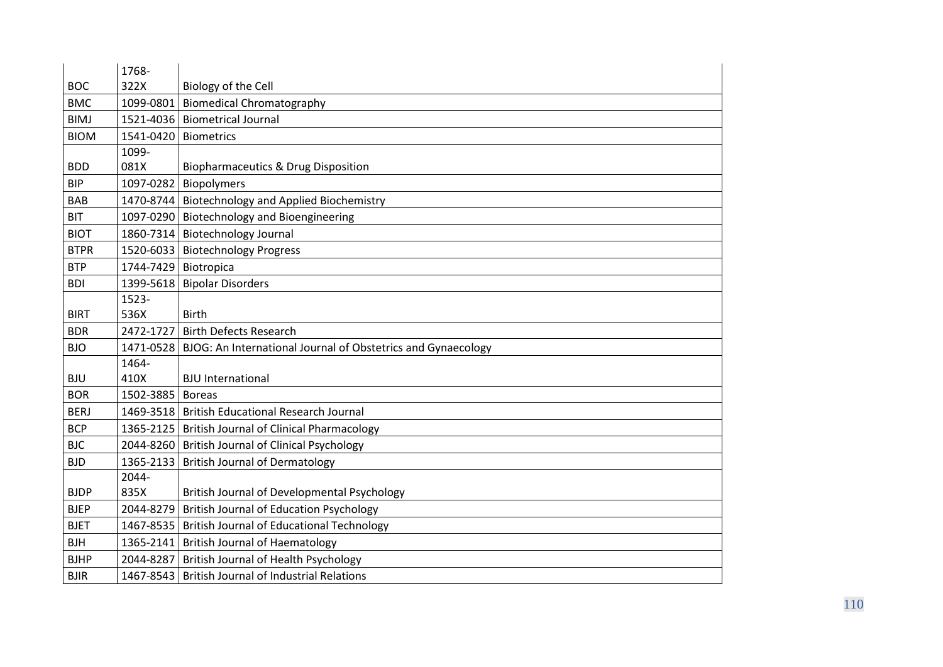|             | 1768-                |                                                                        |
|-------------|----------------------|------------------------------------------------------------------------|
| <b>BOC</b>  | 322X                 | Biology of the Cell                                                    |
| <b>BMC</b>  | 1099-0801            | <b>Biomedical Chromatography</b>                                       |
| <b>BIMJ</b> |                      | 1521-4036   Biometrical Journal                                        |
| <b>BIOM</b> | 1541-0420            | <b>Biometrics</b>                                                      |
|             | 1099-                |                                                                        |
| <b>BDD</b>  | 081X                 | <b>Biopharmaceutics &amp; Drug Disposition</b>                         |
| <b>BIP</b>  | 1097-0282            | Biopolymers                                                            |
| <b>BAB</b>  |                      | 1470-8744 Biotechnology and Applied Biochemistry                       |
| <b>BIT</b>  |                      | 1097-0290 Biotechnology and Bioengineering                             |
| <b>BIOT</b> |                      | 1860-7314 Biotechnology Journal                                        |
| <b>BTPR</b> |                      | 1520-6033   Biotechnology Progress                                     |
| <b>BTP</b>  | 1744-7429 Biotropica |                                                                        |
| <b>BDI</b>  |                      | 1399-5618   Bipolar Disorders                                          |
|             | 1523-                |                                                                        |
| <b>BIRT</b> | 536X                 | <b>Birth</b>                                                           |
| <b>BDR</b>  | 2472-1727            | <b>Birth Defects Research</b>                                          |
| <b>BJO</b>  |                      | 1471-0528 BJOG: An International Journal of Obstetrics and Gynaecology |
|             | 1464-                |                                                                        |
| <b>BJU</b>  | 410X                 | <b>BJU</b> International                                               |
| <b>BOR</b>  | 1502-3885            | <b>Boreas</b>                                                          |
| <b>BERJ</b> |                      | 1469-3518   British Educational Research Journal                       |
| <b>BCP</b>  | 1365-2125            | <b>British Journal of Clinical Pharmacology</b>                        |
| <b>BJC</b>  |                      | 2044-8260 British Journal of Clinical Psychology                       |
| <b>BJD</b>  | 1365-2133            | <b>British Journal of Dermatology</b>                                  |
|             | 2044-                |                                                                        |
| <b>BJDP</b> | 835X                 | British Journal of Developmental Psychology                            |
| <b>BJEP</b> | 2044-8279            | <b>British Journal of Education Psychology</b>                         |
| <b>BJET</b> | 1467-8535            | <b>British Journal of Educational Technology</b>                       |
| <b>BJH</b>  | 1365-2141            | <b>British Journal of Haematology</b>                                  |
| <b>BJHP</b> | 2044-8287            | British Journal of Health Psychology                                   |
| <b>BJIR</b> |                      | 1467-8543   British Journal of Industrial Relations                    |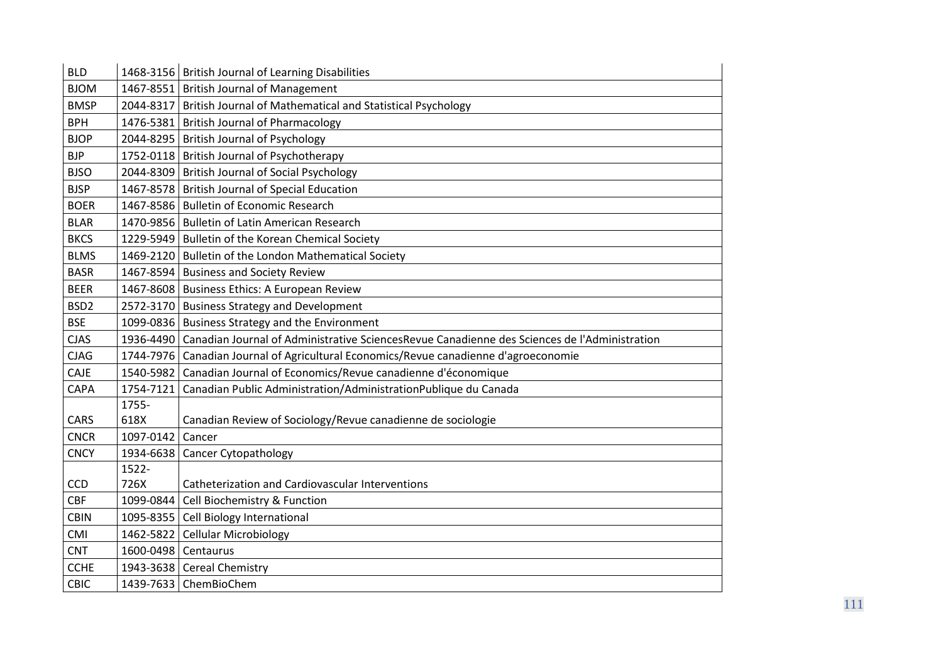| <b>BLD</b>       |                     | 1468-3156   British Journal of Learning Disabilities                                                   |
|------------------|---------------------|--------------------------------------------------------------------------------------------------------|
| <b>BJOM</b>      |                     | 1467-8551 British Journal of Management                                                                |
| <b>BMSP</b>      |                     | 2044-8317   British Journal of Mathematical and Statistical Psychology                                 |
| <b>BPH</b>       | 1476-5381           | <b>British Journal of Pharmacology</b>                                                                 |
| <b>BJOP</b>      |                     | 2044-8295 British Journal of Psychology                                                                |
| <b>BJP</b>       |                     | 1752-0118   British Journal of Psychotherapy                                                           |
| <b>BJSO</b>      |                     | 2044-8309 British Journal of Social Psychology                                                         |
| <b>BJSP</b>      |                     | 1467-8578 British Journal of Special Education                                                         |
| <b>BOER</b>      |                     | 1467-8586   Bulletin of Economic Research                                                              |
| <b>BLAR</b>      |                     | 1470-9856 Bulletin of Latin American Research                                                          |
| <b>BKCS</b>      |                     | 1229-5949 Bulletin of the Korean Chemical Society                                                      |
| <b>BLMS</b>      | 1469-2120           | Bulletin of the London Mathematical Society                                                            |
| <b>BASR</b>      |                     | 1467-8594 Business and Society Review                                                                  |
| <b>BEER</b>      |                     | 1467-8608   Business Ethics: A European Review                                                         |
| BSD <sub>2</sub> |                     | 2572-3170 Business Strategy and Development                                                            |
| <b>BSE</b>       |                     | 1099-0836   Business Strategy and the Environment                                                      |
| <b>CJAS</b>      |                     | 1936-4490 Canadian Journal of Administrative SciencesRevue Canadienne des Sciences de l'Administration |
| <b>CJAG</b>      |                     | 1744-7976 Canadian Journal of Agricultural Economics/Revue canadienne d'agroeconomie                   |
| CAJE             | 1540-5982           | Canadian Journal of Economics/Revue canadienne d'économique                                            |
| CAPA             | 1754-7121           | Canadian Public Administration/AdministrationPublique du Canada                                        |
|                  | 1755-               |                                                                                                        |
| CARS             | 618X                | Canadian Review of Sociology/Revue canadienne de sociologie                                            |
| <b>CNCR</b>      | 1097-0142           | Cancer                                                                                                 |
| <b>CNCY</b>      | 1934-6638           | <b>Cancer Cytopathology</b>                                                                            |
|                  | 1522-               |                                                                                                        |
| CCD              | 726X                | <b>Catheterization and Cardiovascular Interventions</b>                                                |
| <b>CBF</b>       |                     | 1099-0844 Cell Biochemistry & Function                                                                 |
| <b>CBIN</b>      | 1095-8355           | Cell Biology International                                                                             |
| CMI              | 1462-5822           | <b>Cellular Microbiology</b>                                                                           |
| <b>CNT</b>       | 1600-0498 Centaurus |                                                                                                        |
| <b>CCHE</b>      |                     | 1943-3638 Cereal Chemistry                                                                             |
| CBIC             |                     | 1439-7633   ChemBioChem                                                                                |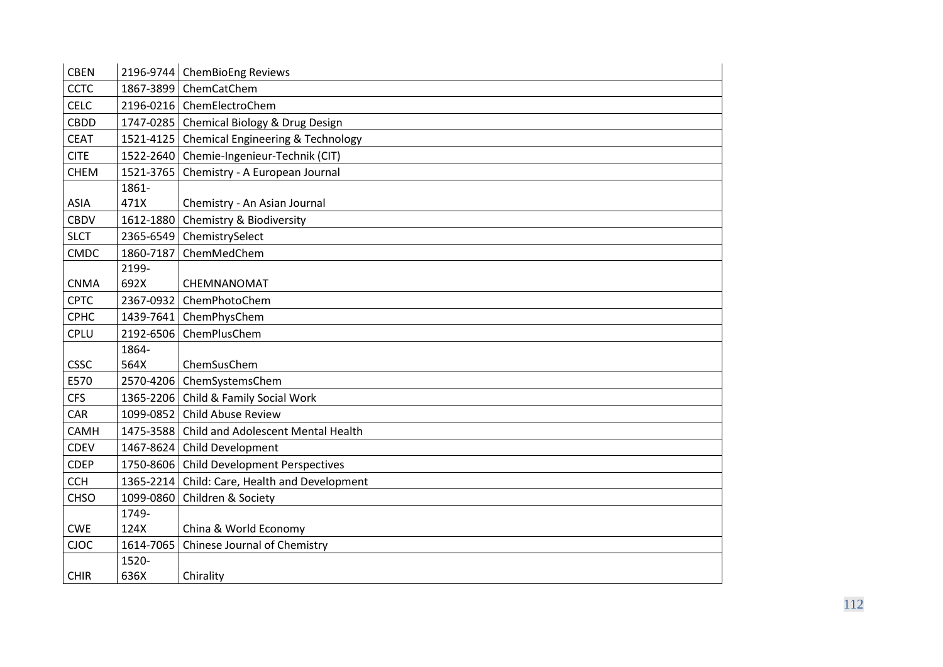| <b>CBEN</b> |           | 2196-9744   ChemBioEng Reviews               |
|-------------|-----------|----------------------------------------------|
| <b>CCTC</b> | 1867-3899 | ChemCatChem                                  |
| <b>CELC</b> | 2196-0216 | ChemElectroChem                              |
| <b>CBDD</b> | 1747-0285 | Chemical Biology & Drug Design               |
| <b>CEAT</b> | 1521-4125 | <b>Chemical Engineering &amp; Technology</b> |
| <b>CITE</b> |           | 1522-2640 Chemie-Ingenieur-Technik (CIT)     |
| <b>CHEM</b> | 1521-3765 | Chemistry - A European Journal               |
|             | 1861-     |                                              |
| <b>ASIA</b> | 471X      | Chemistry - An Asian Journal                 |
| <b>CBDV</b> | 1612-1880 | Chemistry & Biodiversity                     |
| <b>SLCT</b> |           | 2365-6549 ChemistrySelect                    |
| <b>CMDC</b> | 1860-7187 | ChemMedChem                                  |
|             | 2199-     |                                              |
| <b>CNMA</b> | 692X      | CHEMNANOMAT                                  |
| <b>CPTC</b> | 2367-0932 | ChemPhotoChem                                |
| <b>CPHC</b> | 1439-7641 | ChemPhysChem                                 |
| CPLU        | 2192-6506 | ChemPlusChem                                 |
|             | 1864-     |                                              |
| <b>CSSC</b> | 564X      | ChemSusChem                                  |
| E570        |           | 2570-4206 ChemSystemsChem                    |
| <b>CFS</b>  | 1365-2206 | Child & Family Social Work                   |
| CAR         | 1099-0852 | <b>Child Abuse Review</b>                    |
| <b>CAMH</b> | 1475-3588 | Child and Adolescent Mental Health           |
| CDEV        | 1467-8624 | Child Development                            |
| <b>CDEP</b> | 1750-8606 | Child Development Perspectives               |
| <b>CCH</b>  | 1365-2214 | Child: Care, Health and Development          |
| <b>CHSO</b> | 1099-0860 | Children & Society                           |
|             | 1749-     |                                              |
| <b>CWE</b>  | 124X      | China & World Economy                        |
| CJOC        | 1614-7065 | Chinese Journal of Chemistry                 |
|             | 1520-     |                                              |
| <b>CHIR</b> | 636X      | Chirality                                    |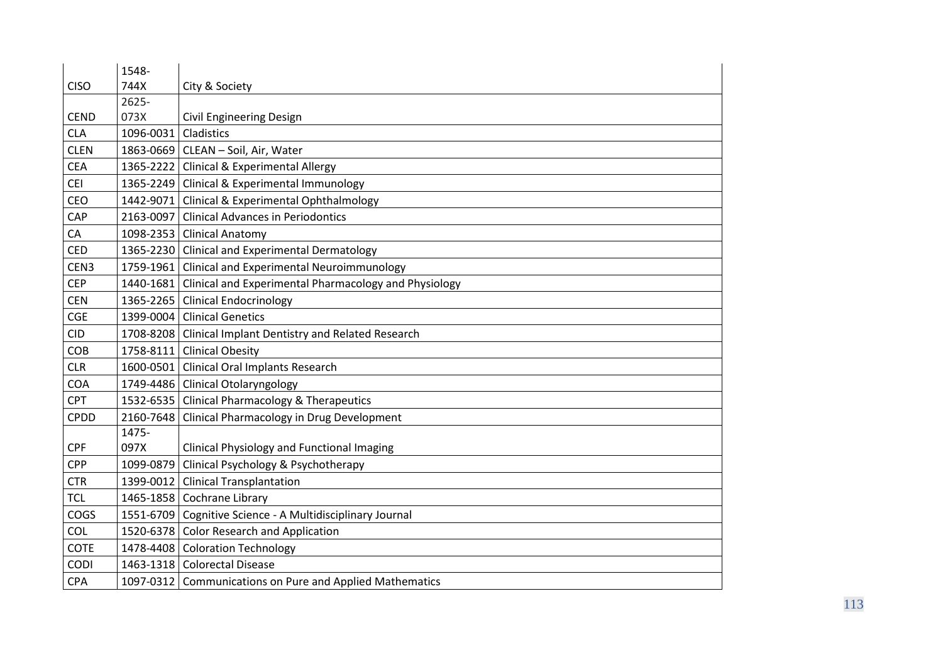|             | 1548-     |                                                                 |
|-------------|-----------|-----------------------------------------------------------------|
| <b>CISO</b> | 744X      | City & Society                                                  |
|             | 2625-     |                                                                 |
| <b>CEND</b> | 073X      | <b>Civil Engineering Design</b>                                 |
| <b>CLA</b>  | 1096-0031 | Cladistics                                                      |
| <b>CLEN</b> |           | 1863-0669   CLEAN - Soil, Air, Water                            |
| <b>CEA</b>  |           | 1365-2222 Clinical & Experimental Allergy                       |
| <b>CEI</b>  |           | 1365-2249 Clinical & Experimental Immunology                    |
| CEO         | 1442-9071 | Clinical & Experimental Ophthalmology                           |
| CAP         | 2163-0097 | <b>Clinical Advances in Periodontics</b>                        |
| CA          | 1098-2353 | <b>Clinical Anatomy</b>                                         |
| <b>CED</b>  | 1365-2230 | Clinical and Experimental Dermatology                           |
| CEN3        | 1759-1961 | Clinical and Experimental Neuroimmunology                       |
| <b>CEP</b>  |           | 1440-1681 Clinical and Experimental Pharmacology and Physiology |
| <b>CEN</b>  |           | 1365-2265 Clinical Endocrinology                                |
| <b>CGE</b>  | 1399-0004 | <b>Clinical Genetics</b>                                        |
| <b>CID</b>  |           | 1708-8208   Clinical Implant Dentistry and Related Research     |
| COB         |           | 1758-8111 Clinical Obesity                                      |
| <b>CLR</b>  | 1600-0501 | <b>Clinical Oral Implants Research</b>                          |
| COA         |           | 1749-4486 Clinical Otolaryngology                               |
| <b>CPT</b>  |           | 1532-6535 Clinical Pharmacology & Therapeutics                  |
| <b>CPDD</b> | 2160-7648 | Clinical Pharmacology in Drug Development                       |
|             | 1475-     |                                                                 |
| <b>CPF</b>  | 097X      | Clinical Physiology and Functional Imaging                      |
| <b>CPP</b>  | 1099-0879 | Clinical Psychology & Psychotherapy                             |
| <b>CTR</b>  | 1399-0012 | <b>Clinical Transplantation</b>                                 |
| <b>TCL</b>  |           | 1465-1858 Cochrane Library                                      |
| COGS        |           | 1551-6709 Cognitive Science - A Multidisciplinary Journal       |
| COL         |           | 1520-6378 Color Research and Application                        |
| <b>COTE</b> |           | 1478-4408 Coloration Technology                                 |
| CODI        |           | 1463-1318   Colorectal Disease                                  |
| <b>CPA</b>  |           | 1097-0312 Communications on Pure and Applied Mathematics        |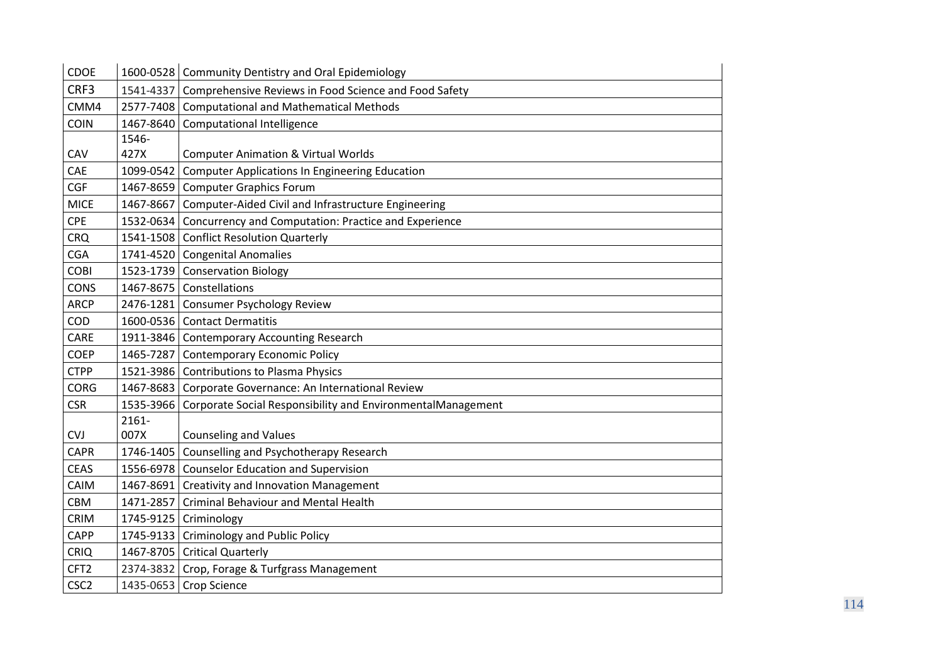| <b>CDOE</b>      |           | 1600-0528 Community Dentistry and Oral Epidemiology             |
|------------------|-----------|-----------------------------------------------------------------|
| CRF3             |           | 1541-4337 Comprehensive Reviews in Food Science and Food Safety |
| CMM4             | 2577-7408 | <b>Computational and Mathematical Methods</b>                   |
| <b>COIN</b>      | 1467-8640 | Computational Intelligence                                      |
|                  | 1546-     |                                                                 |
| CAV              | 427X      | <b>Computer Animation &amp; Virtual Worlds</b>                  |
| CAE              | 1099-0542 | <b>Computer Applications In Engineering Education</b>           |
| <b>CGF</b>       |           | 1467-8659 Computer Graphics Forum                               |
| <b>MICE</b>      |           | 1467-8667 Computer-Aided Civil and Infrastructure Engineering   |
| <b>CPE</b>       | 1532-0634 | Concurrency and Computation: Practice and Experience            |
| <b>CRQ</b>       |           | 1541-1508 Conflict Resolution Quarterly                         |
| <b>CGA</b>       |           | 1741-4520 Congenital Anomalies                                  |
| <b>COBI</b>      |           | 1523-1739 Conservation Biology                                  |
| <b>CONS</b>      |           | 1467-8675 Constellations                                        |
| <b>ARCP</b>      |           | 2476-1281 Consumer Psychology Review                            |
| <b>COD</b>       |           | 1600-0536 Contact Dermatitis                                    |
| CARE             |           | 1911-3846 Contemporary Accounting Research                      |
| <b>COEP</b>      | 1465-7287 | Contemporary Economic Policy                                    |
| <b>CTPP</b>      |           | 1521-3986 Contributions to Plasma Physics                       |
| <b>CORG</b>      |           | 1467-8683 Corporate Governance: An International Review         |
| <b>CSR</b>       | 1535-3966 | Corporate Social Responsibility and EnvironmentalManagement     |
|                  | $2161 -$  |                                                                 |
| <b>CVJ</b>       | 007X      | <b>Counseling and Values</b>                                    |
| <b>CAPR</b>      |           | 1746-1405 Counselling and Psychotherapy Research                |
| <b>CEAS</b>      |           | 1556-6978 Counselor Education and Supervision                   |
| CAIM             |           | 1467-8691 Creativity and Innovation Management                  |
| CBM              | 1471-2857 | <b>Criminal Behaviour and Mental Health</b>                     |
| <b>CRIM</b>      | 1745-9125 | Criminology                                                     |
| <b>CAPP</b>      | 1745-9133 | <b>Criminology and Public Policy</b>                            |
| <b>CRIQ</b>      |           | 1467-8705 Critical Quarterly                                    |
| CFT <sub>2</sub> |           | 2374-3832 Crop, Forage & Turfgrass Management                   |
| CSC <sub>2</sub> |           | 1435-0653 Crop Science                                          |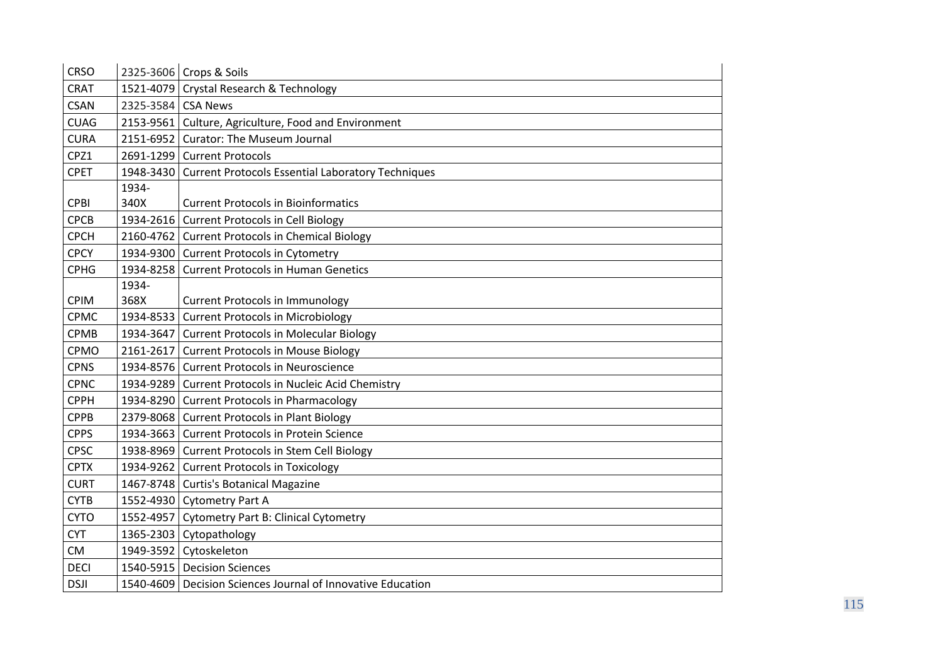| <b>CRSO</b> |           | 2325-3606 Crops & Soils                                     |
|-------------|-----------|-------------------------------------------------------------|
| <b>CRAT</b> |           | 1521-4079 Crystal Research & Technology                     |
| <b>CSAN</b> | 2325-3584 | <b>CSA News</b>                                             |
| <b>CUAG</b> |           | 2153-9561   Culture, Agriculture, Food and Environment      |
| <b>CURA</b> |           | 2151-6952 Curator: The Museum Journal                       |
| CPZ1        |           | 2691-1299 Current Protocols                                 |
| <b>CPET</b> | 1948-3430 | <b>Current Protocols Essential Laboratory Techniques</b>    |
|             | 1934-     |                                                             |
| <b>CPBI</b> | 340X      | <b>Current Protocols in Bioinformatics</b>                  |
| <b>CPCB</b> | 1934-2616 | <b>Current Protocols in Cell Biology</b>                    |
| <b>CPCH</b> |           | 2160-4762 Current Protocols in Chemical Biology             |
| <b>CPCY</b> |           | 1934-9300 Current Protocols in Cytometry                    |
| <b>CPHG</b> | 1934-8258 | <b>Current Protocols in Human Genetics</b>                  |
|             | 1934-     |                                                             |
| <b>CPIM</b> | 368X      | <b>Current Protocols in Immunology</b>                      |
| CPMC        | 1934-8533 | <b>Current Protocols in Microbiology</b>                    |
| <b>CPMB</b> | 1934-3647 | <b>Current Protocols in Molecular Biology</b>               |
| CPMO        | 2161-2617 | <b>Current Protocols in Mouse Biology</b>                   |
| <b>CPNS</b> |           | 1934-8576 Current Protocols in Neuroscience                 |
| <b>CPNC</b> |           | 1934-9289 Current Protocols in Nucleic Acid Chemistry       |
| <b>CPPH</b> |           | 1934-8290 Current Protocols in Pharmacology                 |
| <b>CPPB</b> |           | 2379-8068   Current Protocols in Plant Biology              |
| <b>CPPS</b> | 1934-3663 | <b>Current Protocols in Protein Science</b>                 |
| <b>CPSC</b> |           | 1938-8969 Current Protocols in Stem Cell Biology            |
| <b>CPTX</b> | 1934-9262 | <b>Current Protocols in Toxicology</b>                      |
| <b>CURT</b> |           | 1467-8748   Curtis's Botanical Magazine                     |
| <b>CYTB</b> |           | 1552-4930 Cytometry Part A                                  |
| <b>CYTO</b> | 1552-4957 | <b>Cytometry Part B: Clinical Cytometry</b>                 |
| <b>CYT</b>  |           | 1365-2303 Cytopathology                                     |
| <b>CM</b>   |           | 1949-3592 Cytoskeleton                                      |
| <b>DECI</b> |           | 1540-5915   Decision Sciences                               |
| <b>DSJI</b> |           | 1540-4609 Decision Sciences Journal of Innovative Education |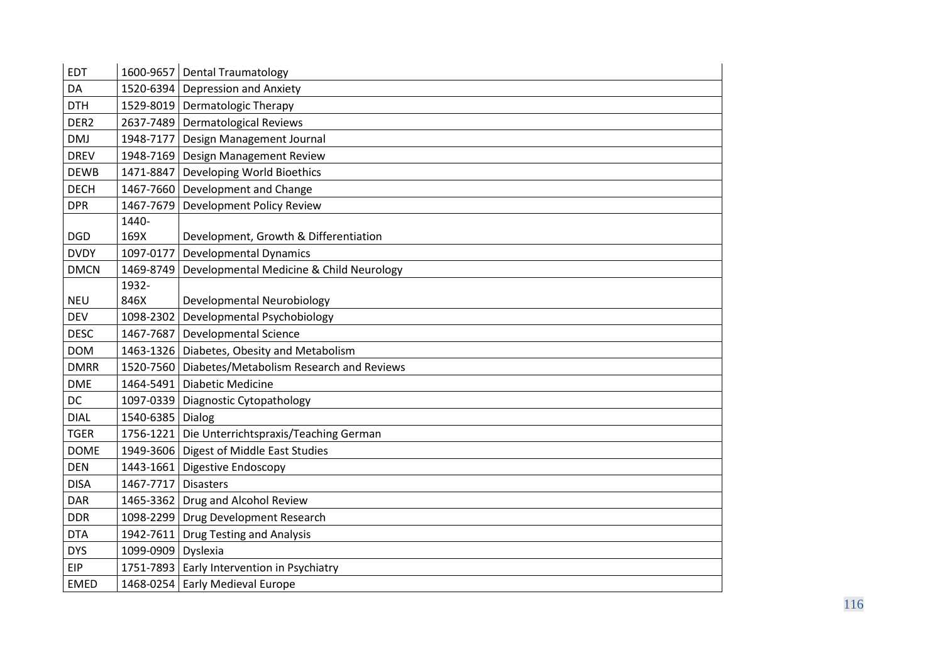| <b>EDT</b>       |                    | 1600-9657 Dental Traumatology                        |
|------------------|--------------------|------------------------------------------------------|
| DA               |                    | 1520-6394 Depression and Anxiety                     |
| <b>DTH</b>       |                    | 1529-8019 Dermatologic Therapy                       |
| DER <sub>2</sub> |                    | 2637-7489 Dermatological Reviews                     |
| <b>DMJ</b>       | 1948-7177          | Design Management Journal                            |
| <b>DREV</b>      | 1948-7169          | Design Management Review                             |
| <b>DEWB</b>      | 1471-8847          | Developing World Bioethics                           |
| <b>DECH</b>      |                    | 1467-7660 Development and Change                     |
| <b>DPR</b>       | 1467-7679          | <b>Development Policy Review</b>                     |
|                  | 1440-              |                                                      |
| <b>DGD</b>       | 169X               | Development, Growth & Differentiation                |
| <b>DVDY</b>      | 1097-0177          | <b>Developmental Dynamics</b>                        |
| <b>DMCN</b>      | 1469-8749          | Developmental Medicine & Child Neurology             |
|                  | 1932-              |                                                      |
| <b>NEU</b>       | 846X               | Developmental Neurobiology                           |
| <b>DEV</b>       | 1098-2302          | Developmental Psychobiology                          |
| <b>DESC</b>      | 1467-7687          | <b>Developmental Science</b>                         |
| <b>DOM</b>       |                    | 1463-1326 Diabetes, Obesity and Metabolism           |
| <b>DMRR</b>      |                    | 1520-7560   Diabetes/Metabolism Research and Reviews |
| <b>DME</b>       |                    | 1464-5491   Diabetic Medicine                        |
| DC               |                    | 1097-0339   Diagnostic Cytopathology                 |
| <b>DIAL</b>      | 1540-6385 Dialog   |                                                      |
| <b>TGER</b>      |                    | 1756-1221 Die Unterrichtspraxis/Teaching German      |
| <b>DOME</b>      |                    | 1949-3606   Digest of Middle East Studies            |
| <b>DEN</b>       |                    | 1443-1661 Digestive Endoscopy                        |
| <b>DISA</b>      | 1467-7717          | <b>Disasters</b>                                     |
| <b>DAR</b>       |                    | 1465-3362 Drug and Alcohol Review                    |
| <b>DDR</b>       |                    | 1098-2299 Drug Development Research                  |
| <b>DTA</b>       |                    | 1942-7611 Drug Testing and Analysis                  |
| <b>DYS</b>       | 1099-0909 Dyslexia |                                                      |
| <b>EIP</b>       |                    | 1751-7893 Early Intervention in Psychiatry           |
| <b>EMED</b>      |                    | 1468-0254 Early Medieval Europe                      |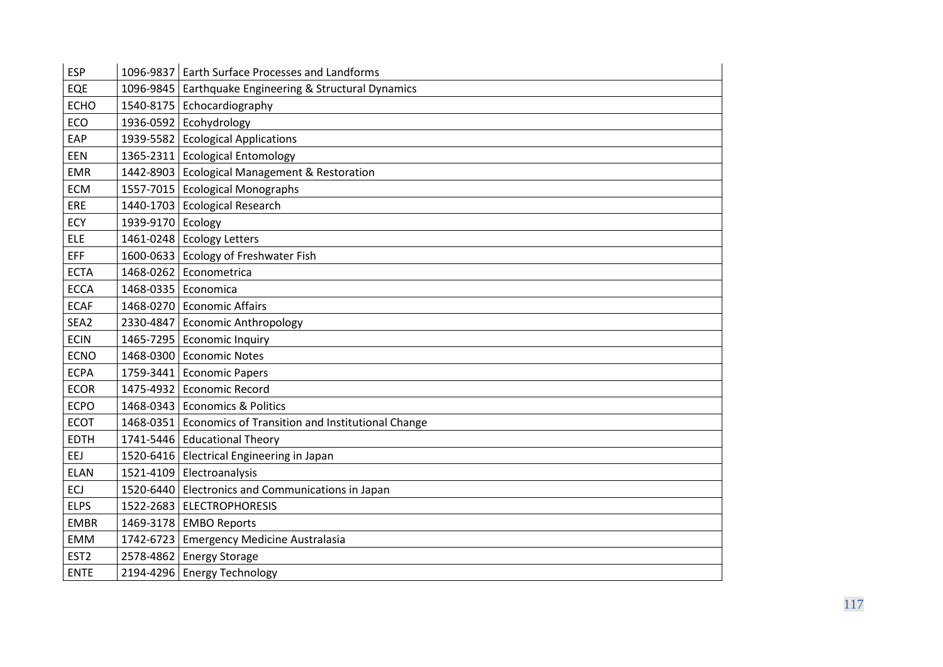| <b>ESP</b>       |                     | 1096-9837   Earth Surface Processes and Landforms          |
|------------------|---------------------|------------------------------------------------------------|
| EQE              |                     | 1096-9845   Earthquake Engineering & Structural Dynamics   |
| <b>ECHO</b>      |                     | 1540-8175 Echocardiography                                 |
| ECO              |                     | 1936-0592 Ecohydrology                                     |
| EAP              |                     | 1939-5582 Ecological Applications                          |
| EEN              |                     | 1365-2311 Ecological Entomology                            |
| <b>EMR</b>       |                     | 1442-8903 Ecological Management & Restoration              |
| <b>ECM</b>       |                     | 1557-7015   Ecological Monographs                          |
| ERE              |                     | 1440-1703 Ecological Research                              |
| ECY              | 1939-9170 Ecology   |                                                            |
| <b>ELE</b>       |                     | 1461-0248 Ecology Letters                                  |
| <b>EFF</b>       |                     | 1600-0633 Ecology of Freshwater Fish                       |
| <b>ECTA</b>      | 1468-0262           | Econometrica                                               |
| <b>ECCA</b>      | 1468-0335 Economica |                                                            |
| <b>ECAF</b>      |                     | 1468-0270 Economic Affairs                                 |
| SEA2             |                     | 2330-4847 Economic Anthropology                            |
| <b>ECIN</b>      |                     | 1465-7295 Economic Inquiry                                 |
| <b>ECNO</b>      | 1468-0300           | <b>Economic Notes</b>                                      |
| <b>ECPA</b>      |                     | 1759-3441 Economic Papers                                  |
| <b>ECOR</b>      |                     | 1475-4932 Economic Record                                  |
| <b>ECPO</b>      |                     | 1468-0343 Economics & Politics                             |
| <b>ECOT</b>      |                     | 1468-0351 Economics of Transition and Institutional Change |
| <b>EDTH</b>      |                     | 1741-5446 Educational Theory                               |
| EEJ              |                     | 1520-6416   Electrical Engineering in Japan                |
| <b>ELAN</b>      |                     | 1521-4109 Electroanalysis                                  |
| ECJ              |                     | 1520-6440 Electronics and Communications in Japan          |
| <b>ELPS</b>      |                     | 1522-2683 ELECTROPHORESIS                                  |
| <b>EMBR</b>      |                     | 1469-3178   EMBO Reports                                   |
| <b>EMM</b>       |                     | 1742-6723 Emergency Medicine Australasia                   |
| EST <sub>2</sub> |                     | 2578-4862 Energy Storage                                   |
| <b>ENTE</b>      |                     | 2194-4296 Energy Technology                                |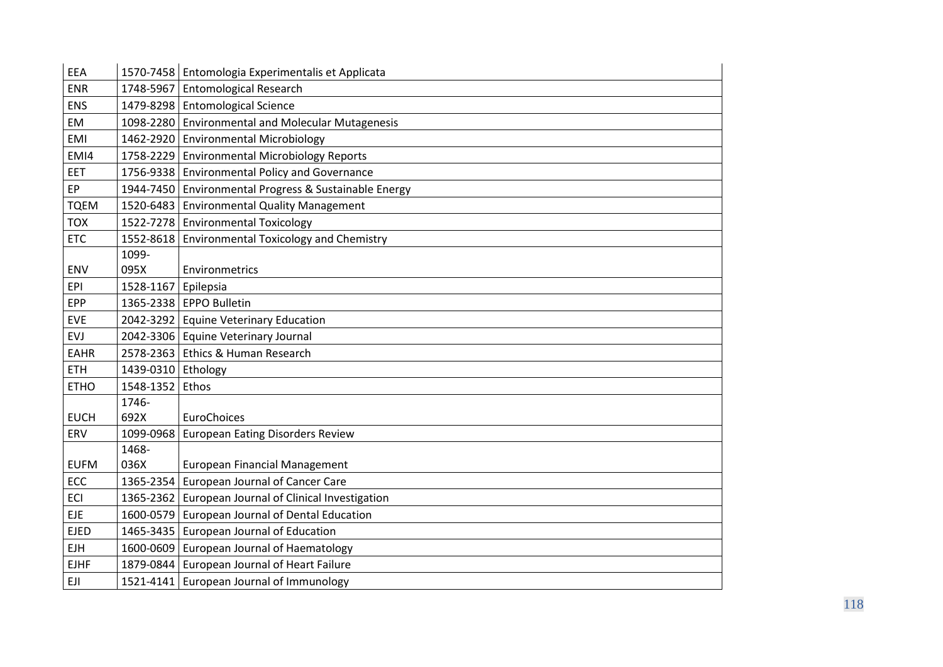| EEA         |                    | 1570-7458 Entomologia Experimentalis et Applicata     |
|-------------|--------------------|-------------------------------------------------------|
| <b>ENR</b>  |                    | 1748-5967 Entomological Research                      |
| <b>ENS</b>  |                    | 1479-8298 Entomological Science                       |
| EM          |                    | 1098-2280 Environmental and Molecular Mutagenesis     |
| <b>EMI</b>  |                    | 1462-2920 Environmental Microbiology                  |
| EMI4        |                    | 1758-2229   Environmental Microbiology Reports        |
| <b>EET</b>  |                    | 1756-9338 Environmental Policy and Governance         |
| EP          |                    | 1944-7450 Environmental Progress & Sustainable Energy |
| <b>TQEM</b> | 1520-6483          | <b>Environmental Quality Management</b>               |
| <b>TOX</b>  |                    | 1522-7278 Environmental Toxicology                    |
| <b>ETC</b>  |                    | 1552-8618   Environmental Toxicology and Chemistry    |
|             | 1099-              |                                                       |
| <b>ENV</b>  | 095X               | Environmetrics                                        |
| <b>EPI</b>  | 1528-1167          | Epilepsia                                             |
| <b>EPP</b>  |                    | 1365-2338   EPPO Bulletin                             |
| <b>EVE</b>  |                    | 2042-3292 Equine Veterinary Education                 |
| <b>EVJ</b>  |                    | 2042-3306 Equine Veterinary Journal                   |
| <b>EAHR</b> | 2578-2363          | Ethics & Human Research                               |
| <b>ETH</b>  | 1439-0310 Ethology |                                                       |
| <b>ETHO</b> | 1548-1352          | Ethos                                                 |
|             | 1746-              |                                                       |
| <b>EUCH</b> | 692X               | EuroChoices                                           |
| ERV         | 1099-0968          | <b>European Eating Disorders Review</b>               |
|             | 1468-              |                                                       |
| <b>EUFM</b> | 036X               | <b>European Financial Management</b>                  |
| ECC         | 1365-2354          | European Journal of Cancer Care                       |
| <b>ECI</b>  |                    | 1365-2362 European Journal of Clinical Investigation  |
| <b>EJE</b>  | 1600-0579          | European Journal of Dental Education                  |
| <b>EJED</b> |                    | 1465-3435 European Journal of Education               |
| <b>EJH</b>  |                    | 1600-0609 European Journal of Haematology             |
| <b>EJHF</b> |                    | 1879-0844 European Journal of Heart Failure           |
| EJI         |                    | 1521-4141 European Journal of Immunology              |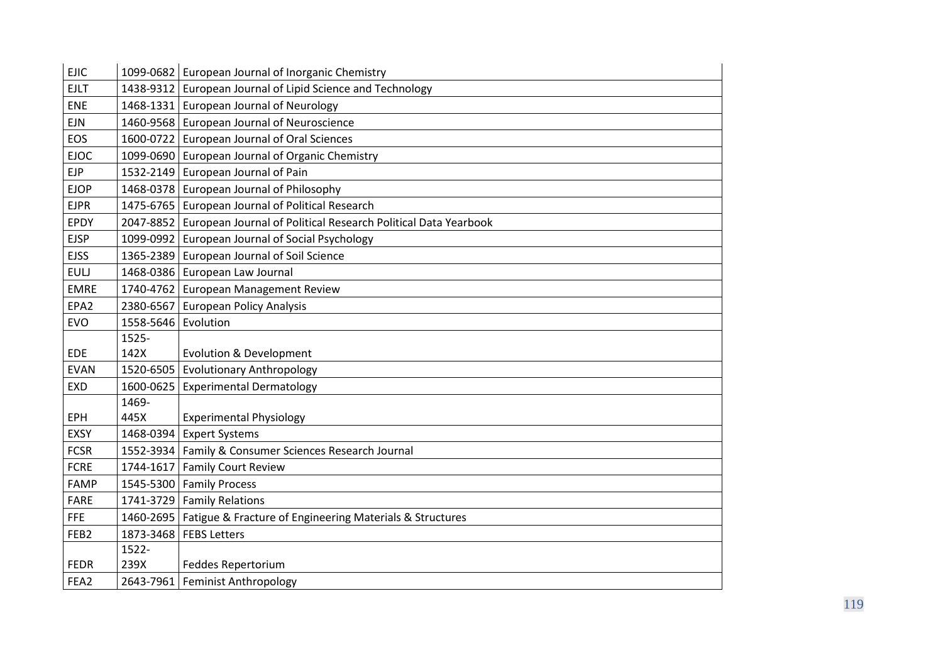| <b>EJIC</b>      |                     | 1099-0682 European Journal of Inorganic Chemistry                        |
|------------------|---------------------|--------------------------------------------------------------------------|
| <b>EJLT</b>      |                     | 1438-9312 European Journal of Lipid Science and Technology               |
| ENE              |                     | 1468-1331 European Journal of Neurology                                  |
| <b>EJN</b>       |                     | 1460-9568 European Journal of Neuroscience                               |
| EOS              |                     | 1600-0722 European Journal of Oral Sciences                              |
| <b>EJOC</b>      |                     | 1099-0690   European Journal of Organic Chemistry                        |
| <b>EJP</b>       |                     | 1532-2149 European Journal of Pain                                       |
| <b>EJOP</b>      |                     | 1468-0378 European Journal of Philosophy                                 |
| <b>EJPR</b>      |                     | 1475-6765 European Journal of Political Research                         |
| EPDY             |                     | 2047-8852 European Journal of Political Research Political Data Yearbook |
| <b>EJSP</b>      |                     | 1099-0992 European Journal of Social Psychology                          |
| <b>EJSS</b>      |                     | 1365-2389 European Journal of Soil Science                               |
| <b>EULJ</b>      |                     | 1468-0386 European Law Journal                                           |
| <b>EMRE</b>      |                     | 1740-4762 European Management Review                                     |
| EPA <sub>2</sub> |                     | 2380-6567 European Policy Analysis                                       |
| <b>EVO</b>       | 1558-5646 Evolution |                                                                          |
|                  | 1525-               |                                                                          |
| <b>EDE</b>       | 142X                | <b>Evolution &amp; Development</b>                                       |
| <b>EVAN</b>      |                     | 1520-6505 Evolutionary Anthropology                                      |
| <b>EXD</b>       | 1600-0625           | <b>Experimental Dermatology</b>                                          |
|                  | 1469-               |                                                                          |
| EPH              | 445X                | <b>Experimental Physiology</b>                                           |
| <b>EXSY</b>      |                     | 1468-0394 Expert Systems                                                 |
| <b>FCSR</b>      |                     | 1552-3934   Family & Consumer Sciences Research Journal                  |
| <b>FCRE</b>      |                     | 1744-1617 Family Court Review                                            |
| <b>FAMP</b>      |                     | 1545-5300 Family Process                                                 |
| <b>FARE</b>      |                     | 1741-3729 Family Relations                                               |
| <b>FFE</b>       |                     | 1460-2695   Fatigue & Fracture of Engineering Materials & Structures     |
| FEB <sub>2</sub> |                     | 1873-3468   FEBS Letters                                                 |
|                  | 1522-               |                                                                          |
| <b>FEDR</b>      | 239X                | Feddes Repertorium                                                       |
| FEA2             |                     | 2643-7961 Feminist Anthropology                                          |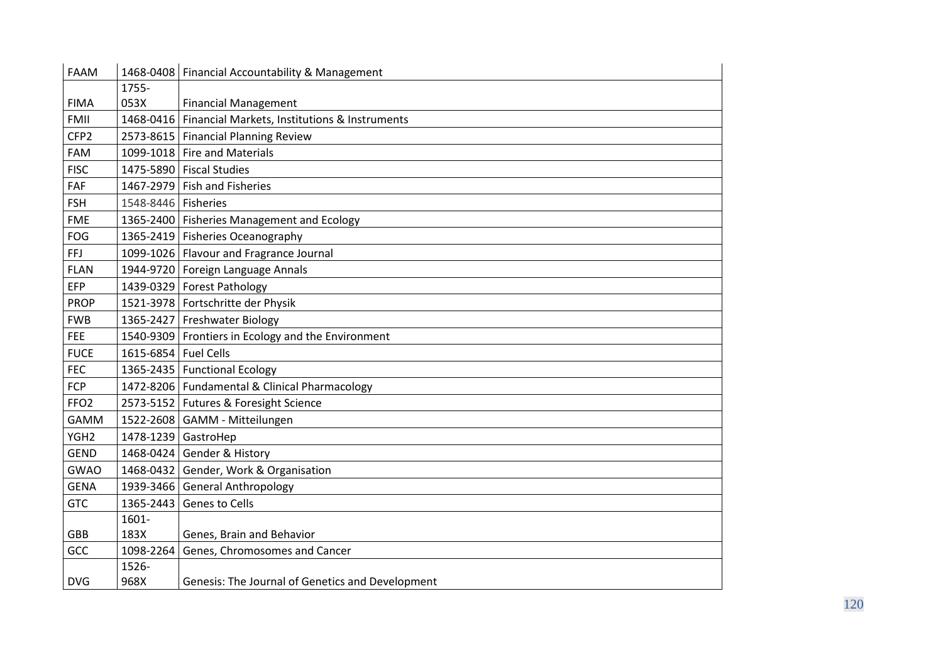| <b>FAAM</b>      |                      | 1468-0408   Financial Accountability & Management  |
|------------------|----------------------|----------------------------------------------------|
|                  | 1755-                |                                                    |
| <b>FIMA</b>      | 053X                 | <b>Financial Management</b>                        |
| FMII             | 1468-0416            | Financial Markets, Institutions & Instruments      |
| CFP <sub>2</sub> |                      | 2573-8615   Financial Planning Review              |
| FAM              |                      | 1099-1018 Fire and Materials                       |
| <b>FISC</b>      |                      | 1475-5890 Fiscal Studies                           |
| FAF              |                      | 1467-2979 Fish and Fisheries                       |
| <b>FSH</b>       | 1548-8446 Fisheries  |                                                    |
| <b>FME</b>       |                      | 1365-2400   Fisheries Management and Ecology       |
| FOG              |                      | 1365-2419 Fisheries Oceanography                   |
| <b>FFJ</b>       |                      | 1099-1026 Flavour and Fragrance Journal            |
| <b>FLAN</b>      |                      | 1944-9720   Foreign Language Annals                |
| EFP              |                      | 1439-0329 Forest Pathology                         |
| <b>PROP</b>      |                      | 1521-3978 Fortschritte der Physik                  |
| <b>FWB</b>       |                      | 1365-2427 Freshwater Biology                       |
| <b>FEE</b>       |                      | 1540-9309 Frontiers in Ecology and the Environment |
| <b>FUCE</b>      | 1615-6854 Fuel Cells |                                                    |
| <b>FEC</b>       |                      | 1365-2435   Functional Ecology                     |
| <b>FCP</b>       |                      | 1472-8206   Fundamental & Clinical Pharmacology    |
| FFO <sub>2</sub> |                      | 2573-5152   Futures & Foresight Science            |
| <b>GAMM</b>      |                      | 1522-2608 GAMM - Mitteilungen                      |
| YGH <sub>2</sub> | 1478-1239 GastroHep  |                                                    |
| <b>GEND</b>      |                      | 1468-0424 Gender & History                         |
| <b>GWAO</b>      |                      | 1468-0432 Gender, Work & Organisation              |
| <b>GENA</b>      |                      | 1939-3466 General Anthropology                     |
| <b>GTC</b>       | 1365-2443            | Genes to Cells                                     |
|                  | 1601-                |                                                    |
| <b>GBB</b>       | 183X                 | Genes, Brain and Behavior                          |
| GCC              | 1098-2264            | Genes, Chromosomes and Cancer                      |
|                  | 1526-                |                                                    |
| <b>DVG</b>       | 968X                 | Genesis: The Journal of Genetics and Development   |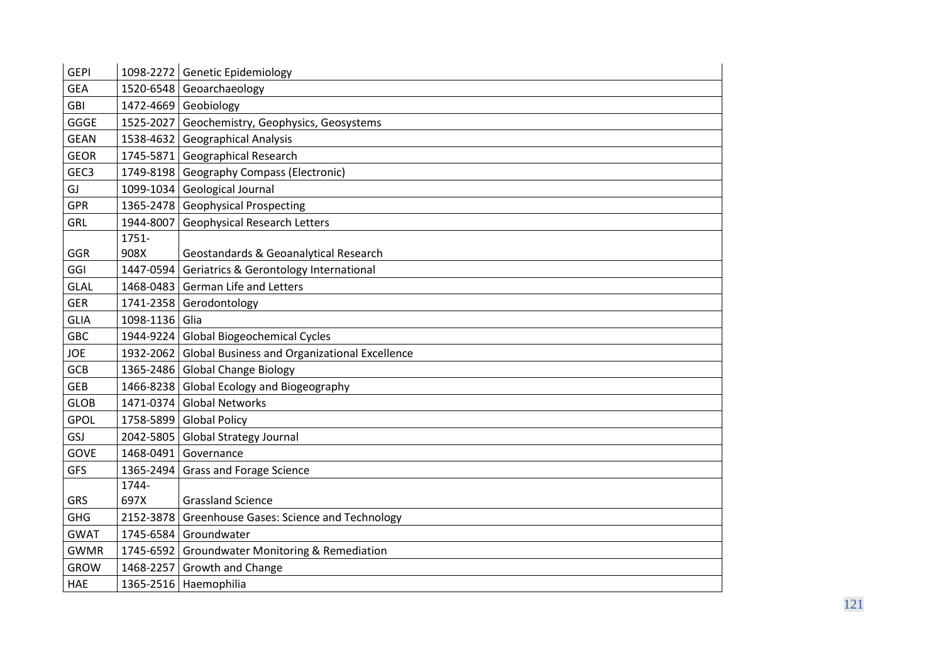| <b>GEPI</b>      |           | 1098-2272 Genetic Epidemiology                          |
|------------------|-----------|---------------------------------------------------------|
| <b>GEA</b>       |           | 1520-6548 Geoarchaeology                                |
| <b>GBI</b>       |           | 1472-4669 Geobiology                                    |
| GGGE             |           | 1525-2027 Geochemistry, Geophysics, Geosystems          |
| <b>GEAN</b>      |           | 1538-4632 Geographical Analysis                         |
| <b>GEOR</b>      | 1745-5871 | <b>Geographical Research</b>                            |
| GEC <sub>3</sub> |           | 1749-8198 Geography Compass (Electronic)                |
| GJ               |           | 1099-1034 Geological Journal                            |
| <b>GPR</b>       | 1365-2478 | <b>Geophysical Prospecting</b>                          |
| <b>GRL</b>       | 1944-8007 | <b>Geophysical Research Letters</b>                     |
|                  | 1751-     |                                                         |
| GGR              | 908X      | Geostandards & Geoanalytical Research                   |
| GGI              | 1447-0594 | <b>Geriatrics &amp; Gerontology International</b>       |
| <b>GLAL</b>      |           | 1468-0483 German Life and Letters                       |
| <b>GER</b>       | 1741-2358 | Gerodontology                                           |
| <b>GLIA</b>      | 1098-1136 | Glia                                                    |
| <b>GBC</b>       |           | 1944-9224 Global Biogeochemical Cycles                  |
| <b>JOE</b>       |           | 1932-2062 Global Business and Organizational Excellence |
| <b>GCB</b>       |           | 1365-2486 Global Change Biology                         |
| <b>GEB</b>       |           | 1466-8238 Global Ecology and Biogeography               |
| <b>GLOB</b>      | 1471-0374 | <b>Global Networks</b>                                  |
| <b>GPOL</b>      |           | 1758-5899 Global Policy                                 |
| GSJ              |           | 2042-5805 Global Strategy Journal                       |
| <b>GOVE</b>      | 1468-0491 | Governance                                              |
| <b>GFS</b>       | 1365-2494 | <b>Grass and Forage Science</b>                         |
|                  | 1744-     |                                                         |
| <b>GRS</b>       | 697X      | <b>Grassland Science</b>                                |
| <b>GHG</b>       | 2152-3878 | <b>Greenhouse Gases: Science and Technology</b>         |
| <b>GWAT</b>      | 1745-6584 | Groundwater                                             |
| <b>GWMR</b>      |           | 1745-6592 Groundwater Monitoring & Remediation          |
| <b>GROW</b>      | 1468-2257 | Growth and Change                                       |
| HAE              |           | 1365-2516 Haemophilia                                   |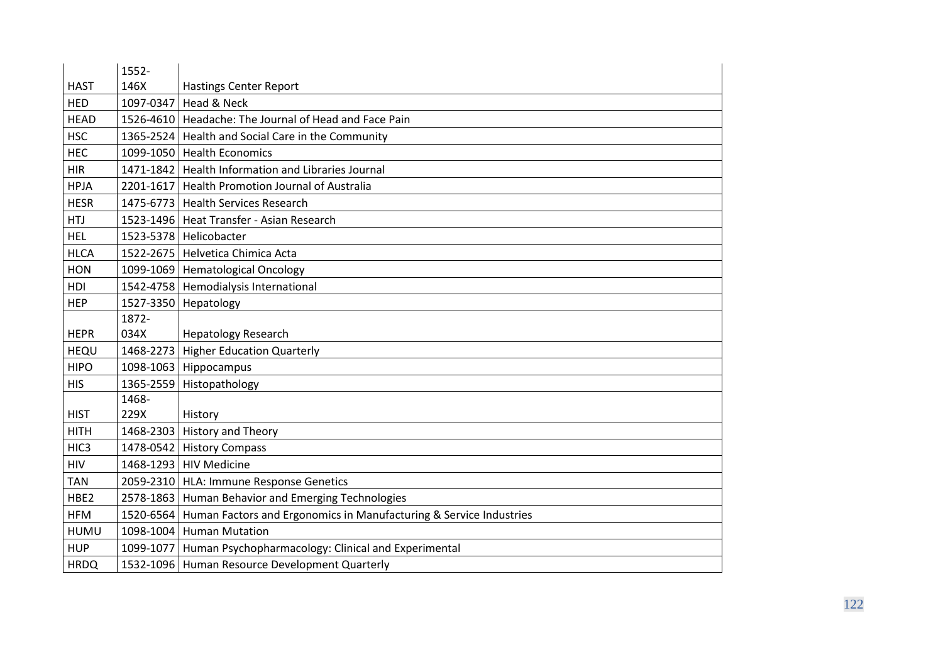|                  | 1552-     |                                                                              |
|------------------|-----------|------------------------------------------------------------------------------|
| <b>HAST</b>      | 146X      | <b>Hastings Center Report</b>                                                |
| <b>HED</b>       | 1097-0347 | Head & Neck                                                                  |
| <b>HEAD</b>      |           | 1526-4610   Headache: The Journal of Head and Face Pain                      |
| <b>HSC</b>       |           | 1365-2524   Health and Social Care in the Community                          |
| <b>HEC</b>       | 1099-1050 | <b>Health Economics</b>                                                      |
| <b>HIR</b>       |           | 1471-1842 Health Information and Libraries Journal                           |
| <b>HPJA</b>      | 2201-1617 | <b>Health Promotion Journal of Australia</b>                                 |
| <b>HESR</b>      |           | 1475-6773 Health Services Research                                           |
| <b>HTJ</b>       |           | 1523-1496   Heat Transfer - Asian Research                                   |
| <b>HEL</b>       |           | 1523-5378   Helicobacter                                                     |
| <b>HLCA</b>      |           | 1522-2675   Helvetica Chimica Acta                                           |
| <b>HON</b>       |           | 1099-1069   Hematological Oncology                                           |
| HDI              |           | 1542-4758   Hemodialysis International                                       |
| <b>HEP</b>       |           | 1527-3350 Hepatology                                                         |
|                  | 1872-     |                                                                              |
| <b>HEPR</b>      | 034X      | <b>Hepatology Research</b>                                                   |
| HEQU             | 1468-2273 | <b>Higher Education Quarterly</b>                                            |
| <b>HIPO</b>      |           | 1098-1063 Hippocampus                                                        |
| <b>HIS</b>       | 1365-2559 | Histopathology                                                               |
|                  | 1468-     |                                                                              |
| <b>HIST</b>      | 229X      | History                                                                      |
| <b>HITH</b>      |           | 1468-2303 History and Theory                                                 |
| HIC <sub>3</sub> |           | 1478-0542 History Compass                                                    |
| <b>HIV</b>       |           | 1468-1293   HIV Medicine                                                     |
| <b>TAN</b>       |           | 2059-2310   HLA: Immune Response Genetics                                    |
| HBE2             |           | 2578-1863 Human Behavior and Emerging Technologies                           |
| <b>HFM</b>       |           | 1520-6564 Human Factors and Ergonomics in Manufacturing & Service Industries |
| <b>HUMU</b>      |           | 1098-1004 Human Mutation                                                     |
| <b>HUP</b>       |           | 1099-1077   Human Psychopharmacology: Clinical and Experimental              |
| <b>HRDQ</b>      |           | 1532-1096 Human Resource Development Quarterly                               |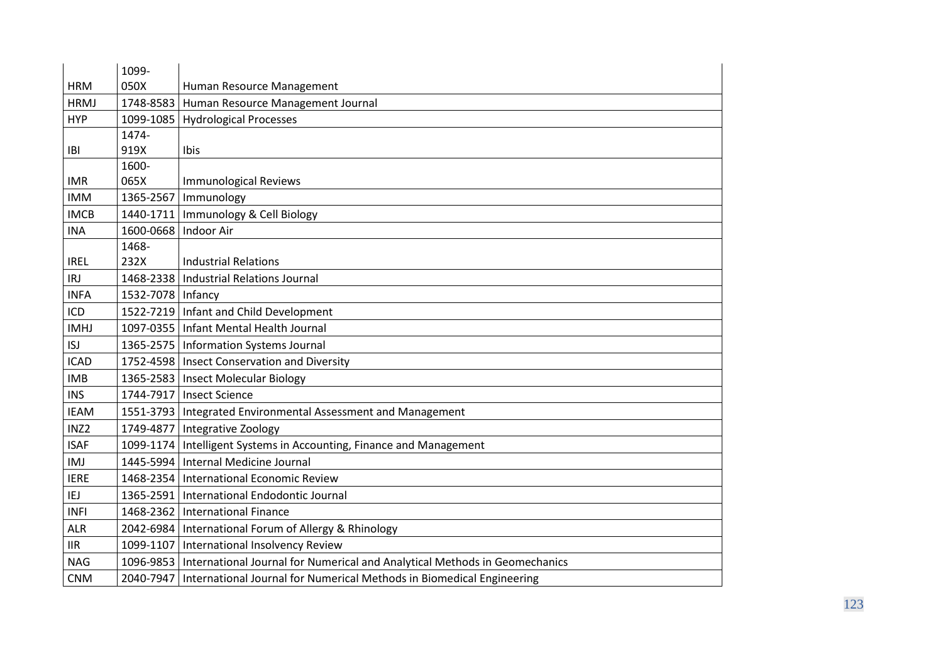|                  | 1099-                  |                                                                                        |
|------------------|------------------------|----------------------------------------------------------------------------------------|
| <b>HRM</b>       | 050X                   | Human Resource Management                                                              |
| <b>HRMJ</b>      |                        | 1748-8583   Human Resource Management Journal                                          |
| <b>HYP</b>       |                        | 1099-1085   Hydrological Processes                                                     |
|                  | 1474-                  |                                                                                        |
| IBI              | 919X                   | Ibis                                                                                   |
|                  | 1600-                  |                                                                                        |
| <b>IMR</b>       | 065X                   | <b>Immunological Reviews</b>                                                           |
| <b>IMM</b>       | 1365-2567              | Immunology                                                                             |
| <b>IMCB</b>      |                        | 1440-1711   Immunology & Cell Biology                                                  |
| <b>INA</b>       | 1600-0668   Indoor Air |                                                                                        |
|                  | 1468-                  |                                                                                        |
| <b>IREL</b>      | 232X                   | <b>Industrial Relations</b>                                                            |
| <b>IRJ</b>       |                        | 1468-2338   Industrial Relations Journal                                               |
| <b>INFA</b>      | 1532-7078   Infancy    |                                                                                        |
| ICD              |                        | 1522-7219   Infant and Child Development                                               |
| <b>IMHJ</b>      |                        | 1097-0355   Infant Mental Health Journal                                               |
| <b>ISJ</b>       |                        | 1365-2575   Information Systems Journal                                                |
| <b>ICAD</b>      |                        | 1752-4598   Insect Conservation and Diversity                                          |
| <b>IMB</b>       |                        | 1365-2583   Insect Molecular Biology                                                   |
| <b>INS</b>       |                        | 1744-7917   Insect Science                                                             |
| <b>IEAM</b>      |                        | 1551-3793   Integrated Environmental Assessment and Management                         |
| INZ <sub>2</sub> |                        | 1749-4877   Integrative Zoology                                                        |
| <b>ISAF</b>      |                        | 1099-1174   Intelligent Systems in Accounting, Finance and Management                  |
| IMJ              |                        | 1445-5994   Internal Medicine Journal                                                  |
| <b>IERE</b>      |                        | 1468-2354   International Economic Review                                              |
| IEJ              |                        | 1365-2591   International Endodontic Journal                                           |
| <b>INFI</b>      |                        | 1468-2362   International Finance                                                      |
| <b>ALR</b>       |                        | 2042-6984   International Forum of Allergy & Rhinology                                 |
| <b>IIR</b>       |                        | 1099-1107   International Insolvency Review                                            |
| <b>NAG</b>       |                        | 1096-9853   International Journal for Numerical and Analytical Methods in Geomechanics |
| <b>CNM</b>       |                        | 2040-7947   International Journal for Numerical Methods in Biomedical Engineering      |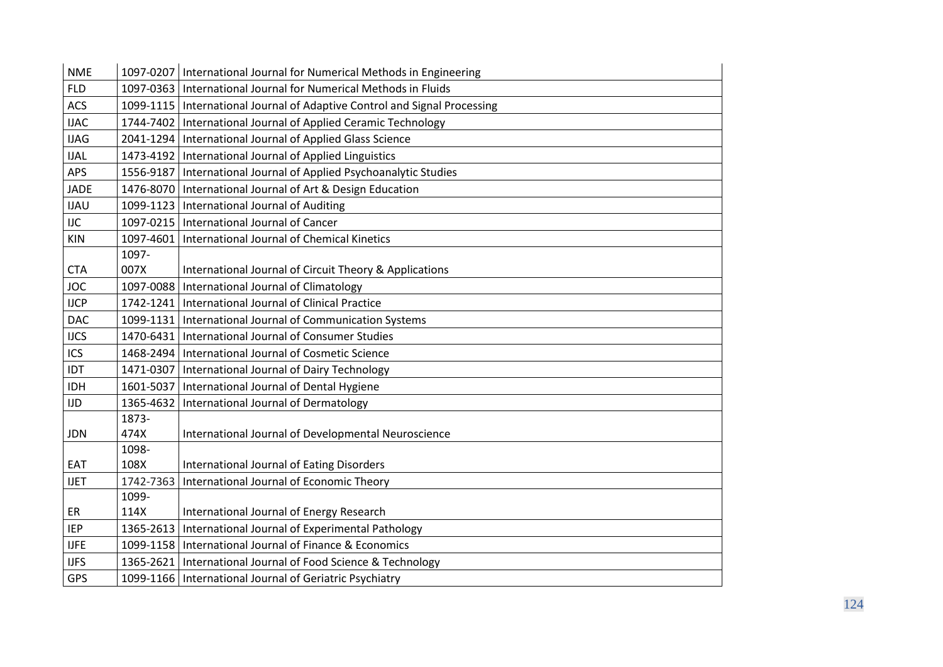| <b>NME</b>  |           | 1097-0207   International Journal for Numerical Methods in Engineering      |
|-------------|-----------|-----------------------------------------------------------------------------|
| <b>FLD</b>  |           | 1097-0363   International Journal for Numerical Methods in Fluids           |
| <b>ACS</b>  |           | 1099-1115   International Journal of Adaptive Control and Signal Processing |
| <b>IJAC</b> | 1744-7402 | International Journal of Applied Ceramic Technology                         |
| <b>IJAG</b> |           | 2041-1294   International Journal of Applied Glass Science                  |
| <b>IJAL</b> |           | 1473-4192   International Journal of Applied Linguistics                    |
| APS         |           | 1556-9187   International Journal of Applied Psychoanalytic Studies         |
| <b>JADE</b> |           | 1476-8070   International Journal of Art & Design Education                 |
| <b>IJAU</b> |           | 1099-1123   International Journal of Auditing                               |
| <b>IJC</b>  |           | 1097-0215   International Journal of Cancer                                 |
| KIN         | 1097-4601 | International Journal of Chemical Kinetics                                  |
|             | 1097-     |                                                                             |
| <b>CTA</b>  | 007X      | International Journal of Circuit Theory & Applications                      |
| <b>JOC</b>  |           | 1097-0088   International Journal of Climatology                            |
| <b>IJCP</b> | 1742-1241 | International Journal of Clinical Practice                                  |
| <b>DAC</b>  | 1099-1131 | International Journal of Communication Systems                              |
| <b>IJCS</b> |           | 1470-6431   International Journal of Consumer Studies                       |
| ICS         | 1468-2494 | International Journal of Cosmetic Science                                   |
| IDT         | 1471-0307 | International Journal of Dairy Technology                                   |
| <b>IDH</b>  | 1601-5037 | International Journal of Dental Hygiene                                     |
| <b>IJD</b>  | 1365-4632 | International Journal of Dermatology                                        |
|             | 1873-     |                                                                             |
| <b>JDN</b>  | 474X      | International Journal of Developmental Neuroscience                         |
|             | 1098-     |                                                                             |
| EAT         | 108X      | International Journal of Eating Disorders                                   |
| <b>IJET</b> | 1742-7363 | International Journal of Economic Theory                                    |
|             | 1099-     |                                                                             |
| ER          | 114X      | International Journal of Energy Research                                    |
| <b>IEP</b>  | 1365-2613 | International Journal of Experimental Pathology                             |
| <b>IJFE</b> |           | 1099-1158   International Journal of Finance & Economics                    |
| <b>IJFS</b> | 1365-2621 | International Journal of Food Science & Technology                          |
| GPS         |           | 1099-1166   International Journal of Geriatric Psychiatry                   |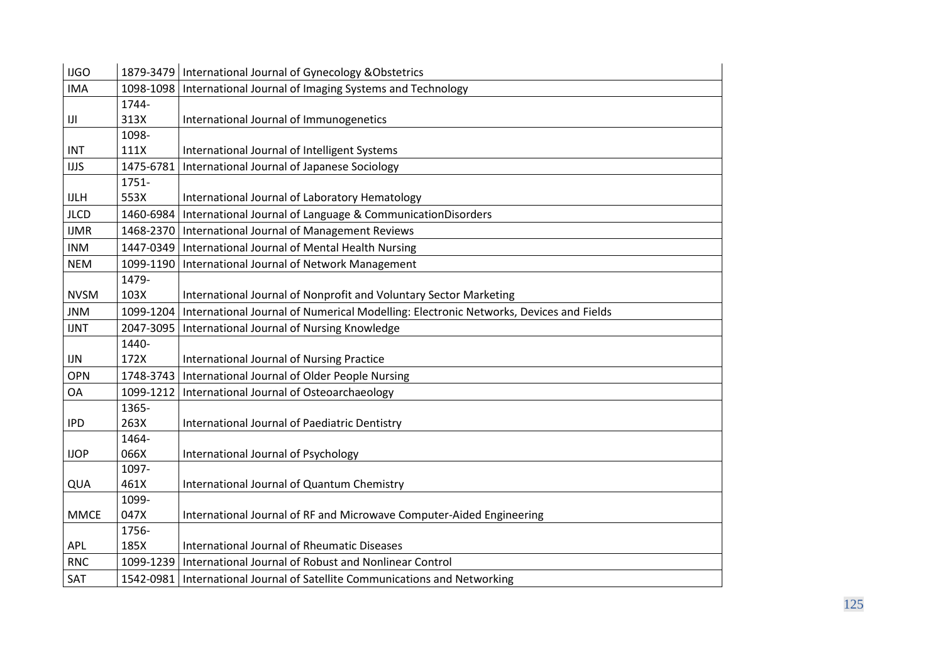| <b>IJGO</b>                      |           | 1879-3479   International Journal of Gynecology & Obstetrics                          |
|----------------------------------|-----------|---------------------------------------------------------------------------------------|
| <b>IMA</b>                       |           | 1098-1098   International Journal of Imaging Systems and Technology                   |
|                                  | 1744-     |                                                                                       |
| $\left\vert \text{J}\right\vert$ | 313X      | International Journal of Immunogenetics                                               |
|                                  | 1098-     |                                                                                       |
| <b>INT</b>                       | 111X      | International Journal of Intelligent Systems                                          |
| <b>IJJS</b>                      | 1475-6781 | International Journal of Japanese Sociology                                           |
|                                  | 1751-     |                                                                                       |
| <b>IJLH</b>                      | 553X      | International Journal of Laboratory Hematology                                        |
| <b>JLCD</b>                      | 1460-6984 | International Journal of Language & CommunicationDisorders                            |
| <b>IJMR</b>                      |           | 1468-2370   International Journal of Management Reviews                               |
| <b>INM</b>                       | 1447-0349 | International Journal of Mental Health Nursing                                        |
| <b>NEM</b>                       | 1099-1190 | International Journal of Network Management                                           |
|                                  | 1479-     |                                                                                       |
| <b>NVSM</b>                      | 103X      | International Journal of Nonprofit and Voluntary Sector Marketing                     |
| <b>JNM</b>                       | 1099-1204 | International Journal of Numerical Modelling: Electronic Networks, Devices and Fields |
| <b>IJNT</b>                      | 2047-3095 | International Journal of Nursing Knowledge                                            |
|                                  | 1440-     |                                                                                       |
| <b>IJN</b>                       | 172X      | International Journal of Nursing Practice                                             |
| OPN                              | 1748-3743 | International Journal of Older People Nursing                                         |
| <b>OA</b>                        | 1099-1212 | International Journal of Osteoarchaeology                                             |
|                                  | 1365-     |                                                                                       |
| <b>IPD</b>                       | 263X      | International Journal of Paediatric Dentistry                                         |
|                                  | 1464-     |                                                                                       |
| <b>IJOP</b>                      | 066X      | International Journal of Psychology                                                   |
|                                  | 1097-     |                                                                                       |
| QUA                              | 461X      | International Journal of Quantum Chemistry                                            |
|                                  | 1099-     |                                                                                       |
| <b>MMCE</b>                      | 047X      | International Journal of RF and Microwave Computer-Aided Engineering                  |
|                                  | 1756-     |                                                                                       |
| <b>APL</b>                       | 185X      | <b>International Journal of Rheumatic Diseases</b>                                    |
| <b>RNC</b>                       | 1099-1239 | International Journal of Robust and Nonlinear Control                                 |
| SAT                              |           | 1542-0981   International Journal of Satellite Communications and Networking          |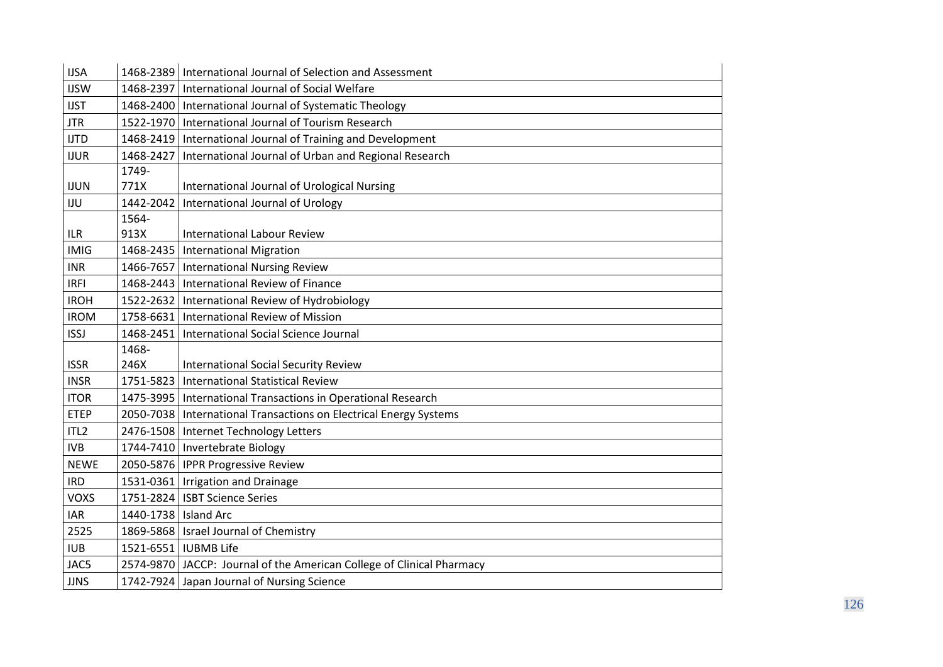| <b>IJSA</b>      | 1468-2389 | International Journal of Selection and Assessment                     |
|------------------|-----------|-----------------------------------------------------------------------|
| <b>IJSW</b>      | 1468-2397 | International Journal of Social Welfare                               |
| <b>IJST</b>      | 1468-2400 | International Journal of Systematic Theology                          |
| <b>JTR</b>       | 1522-1970 | International Journal of Tourism Research                             |
| <b>IJTD</b>      | 1468-2419 | International Journal of Training and Development                     |
| <b>IJUR</b>      | 1468-2427 | International Journal of Urban and Regional Research                  |
|                  | 1749-     |                                                                       |
| <b>IJUN</b>      | 771X      | International Journal of Urological Nursing                           |
| IJU              | 1442-2042 | International Journal of Urology                                      |
|                  | 1564-     |                                                                       |
| <b>ILR</b>       | 913X      | <b>International Labour Review</b>                                    |
| <b>IMIG</b>      | 1468-2435 | <b>International Migration</b>                                        |
| <b>INR</b>       |           | 1466-7657   International Nursing Review                              |
| <b>IRFI</b>      | 1468-2443 | International Review of Finance                                       |
| <b>IROH</b>      |           | 1522-2632   International Review of Hydrobiology                      |
| <b>IROM</b>      | 1758-6631 | International Review of Mission                                       |
| <b>ISSJ</b>      | 1468-2451 | International Social Science Journal                                  |
|                  | 1468-     |                                                                       |
| <b>ISSR</b>      | 246X      | <b>International Social Security Review</b>                           |
| <b>INSR</b>      | 1751-5823 | <b>International Statistical Review</b>                               |
| <b>ITOR</b>      | 1475-3995 | International Transactions in Operational Research                    |
| <b>ETEP</b>      |           | 2050-7038   International Transactions on Electrical Energy Systems   |
| ITL <sub>2</sub> | 2476-1508 | Internet Technology Letters                                           |
| <b>IVB</b>       |           | 1744-7410   Invertebrate Biology                                      |
| <b>NEWE</b>      |           | 2050-5876   IPPR Progressive Review                                   |
| <b>IRD</b>       |           | 1531-0361   Irrigation and Drainage                                   |
| <b>VOXS</b>      |           | 1751-2824   ISBT Science Series                                       |
| <b>IAR</b>       | 1440-1738 | <b>Island Arc</b>                                                     |
| 2525             |           | 1869-5868   Israel Journal of Chemistry                               |
| <b>IUB</b>       |           | 1521-6551   IUBMB Life                                                |
| JAC5             |           | 2574-9870 JACCP: Journal of the American College of Clinical Pharmacy |
| <b>JJNS</b>      |           | 1742-7924 Japan Journal of Nursing Science                            |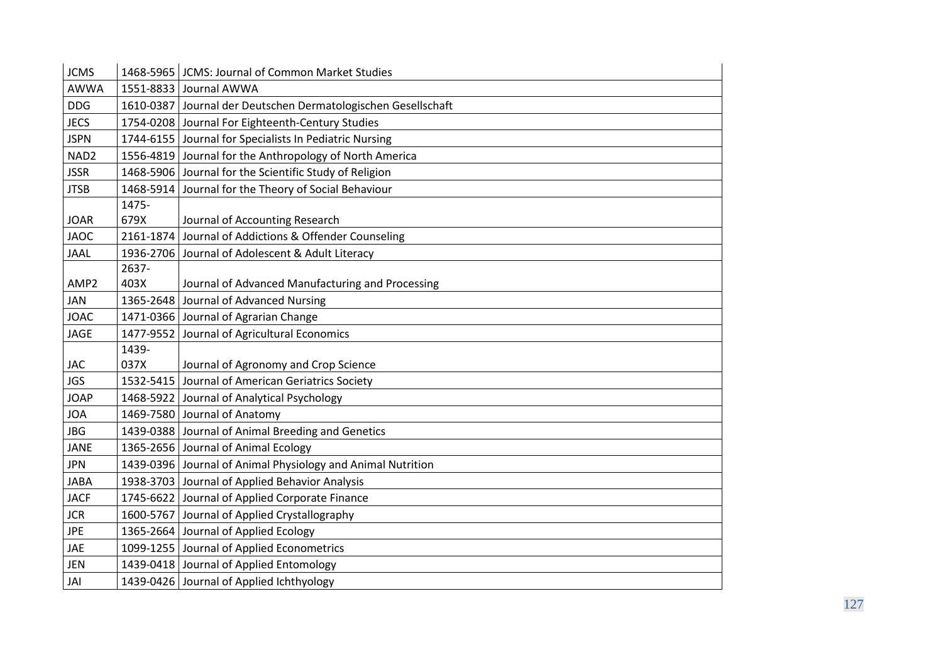| <b>JCMS</b>      | 1468-5965 | JCMS: Journal of Common Market Studies                        |
|------------------|-----------|---------------------------------------------------------------|
| <b>AWWA</b>      |           | 1551-8833 Journal AWWA                                        |
| <b>DDG</b>       |           | 1610-0387 Journal der Deutschen Dermatologischen Gesellschaft |
| <b>JECS</b>      | 1754-0208 | Journal For Eighteenth-Century Studies                        |
| <b>JSPN</b>      | 1744-6155 | Journal for Specialists In Pediatric Nursing                  |
| NAD <sub>2</sub> | 1556-4819 | Journal for the Anthropology of North America                 |
| <b>JSSR</b>      |           | 1468-5906 Journal for the Scientific Study of Religion        |
| <b>JTSB</b>      | 1468-5914 | Journal for the Theory of Social Behaviour                    |
|                  | 1475-     |                                                               |
| <b>JOAR</b>      | 679X      | Journal of Accounting Research                                |
| <b>JAOC</b>      | 2161-1874 | Journal of Addictions & Offender Counseling                   |
| <b>JAAL</b>      |           | 1936-2706 Journal of Adolescent & Adult Literacy              |
|                  | 2637-     |                                                               |
| AMP <sub>2</sub> | 403X      | Journal of Advanced Manufacturing and Processing              |
| JAN              | 1365-2648 | Journal of Advanced Nursing                                   |
| <b>JOAC</b>      |           | 1471-0366 Journal of Agrarian Change                          |
| <b>JAGE</b>      |           | 1477-9552 Journal of Agricultural Economics                   |
|                  | 1439-     |                                                               |
| <b>JAC</b>       | 037X      | Journal of Agronomy and Crop Science                          |
| <b>JGS</b>       | 1532-5415 | Journal of American Geriatrics Society                        |
| <b>JOAP</b>      |           | 1468-5922 Journal of Analytical Psychology                    |
| <b>JOA</b>       |           | 1469-7580 Journal of Anatomy                                  |
| <b>JBG</b>       | 1439-0388 | Journal of Animal Breeding and Genetics                       |
| <b>JANE</b>      |           | 1365-2656 Journal of Animal Ecology                           |
| <b>JPN</b>       |           | 1439-0396 Journal of Animal Physiology and Animal Nutrition   |
| <b>JABA</b>      |           | 1938-3703 Journal of Applied Behavior Analysis                |
| <b>JACF</b>      |           | 1745-6622 Journal of Applied Corporate Finance                |
| <b>JCR</b>       | 1600-5767 | Journal of Applied Crystallography                            |
| <b>JPE</b>       |           | 1365-2664 Journal of Applied Ecology                          |
| JAE              |           | 1099-1255 Journal of Applied Econometrics                     |
| <b>JEN</b>       |           | 1439-0418 Journal of Applied Entomology                       |
| JAI              |           | 1439-0426 Journal of Applied Ichthyology                      |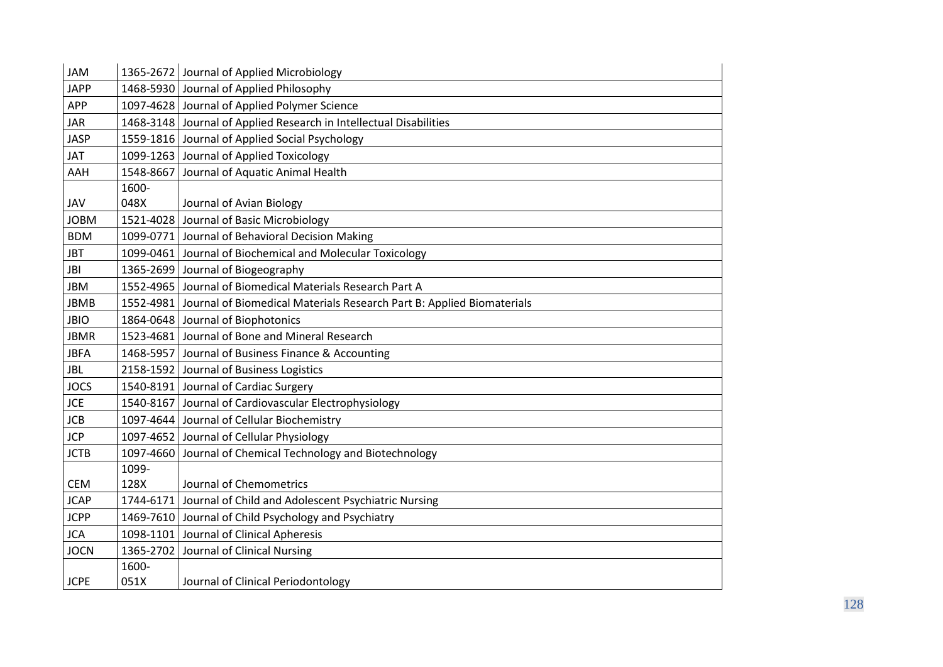| <b>JAM</b>  |           | 1365-2672 Journal of Applied Microbiology                                         |
|-------------|-----------|-----------------------------------------------------------------------------------|
| <b>JAPP</b> |           | 1468-5930 Journal of Applied Philosophy                                           |
| <b>APP</b>  |           | 1097-4628 Journal of Applied Polymer Science                                      |
| <b>JAR</b>  |           | 1468-3148 Journal of Applied Research in Intellectual Disabilities                |
| <b>JASP</b> |           | 1559-1816 Journal of Applied Social Psychology                                    |
| <b>JAT</b>  |           | 1099-1263 Journal of Applied Toxicology                                           |
| AAH         | 1548-8667 | Journal of Aquatic Animal Health                                                  |
|             | 1600-     |                                                                                   |
| JAV         | 048X      | Journal of Avian Biology                                                          |
| <b>JOBM</b> | 1521-4028 | Journal of Basic Microbiology                                                     |
| <b>BDM</b>  |           | 1099-0771 Journal of Behavioral Decision Making                                   |
| <b>JBT</b>  |           | 1099-0461 Journal of Biochemical and Molecular Toxicology                         |
| JBI         |           | 1365-2699 Journal of Biogeography                                                 |
| <b>JBM</b>  |           | 1552-4965 Journal of Biomedical Materials Research Part A                         |
| <b>JBMB</b> |           | 1552-4981   Journal of Biomedical Materials Research Part B: Applied Biomaterials |
| <b>JBIO</b> |           | 1864-0648 Journal of Biophotonics                                                 |
| <b>JBMR</b> |           | 1523-4681 Journal of Bone and Mineral Research                                    |
| <b>JBFA</b> |           | 1468-5957 Journal of Business Finance & Accounting                                |
| <b>JBL</b>  |           | 2158-1592 Journal of Business Logistics                                           |
| <b>JOCS</b> |           | 1540-8191 Journal of Cardiac Surgery                                              |
| <b>JCE</b>  |           | 1540-8167 Journal of Cardiovascular Electrophysiology                             |
| <b>JCB</b>  |           | 1097-4644 Journal of Cellular Biochemistry                                        |
| <b>JCP</b>  |           | 1097-4652 Journal of Cellular Physiology                                          |
| <b>JCTB</b> | 1097-4660 | Journal of Chemical Technology and Biotechnology                                  |
|             | 1099-     |                                                                                   |
| <b>CEM</b>  | 128X      | Journal of Chemometrics                                                           |
| <b>JCAP</b> |           | 1744-6171 Journal of Child and Adolescent Psychiatric Nursing                     |
| <b>JCPP</b> |           | 1469-7610 Journal of Child Psychology and Psychiatry                              |
| <b>JCA</b>  |           | 1098-1101 Journal of Clinical Apheresis                                           |
| <b>JOCN</b> | 1365-2702 | Journal of Clinical Nursing                                                       |
|             | 1600-     |                                                                                   |
| <b>JCPE</b> | 051X      | Journal of Clinical Periodontology                                                |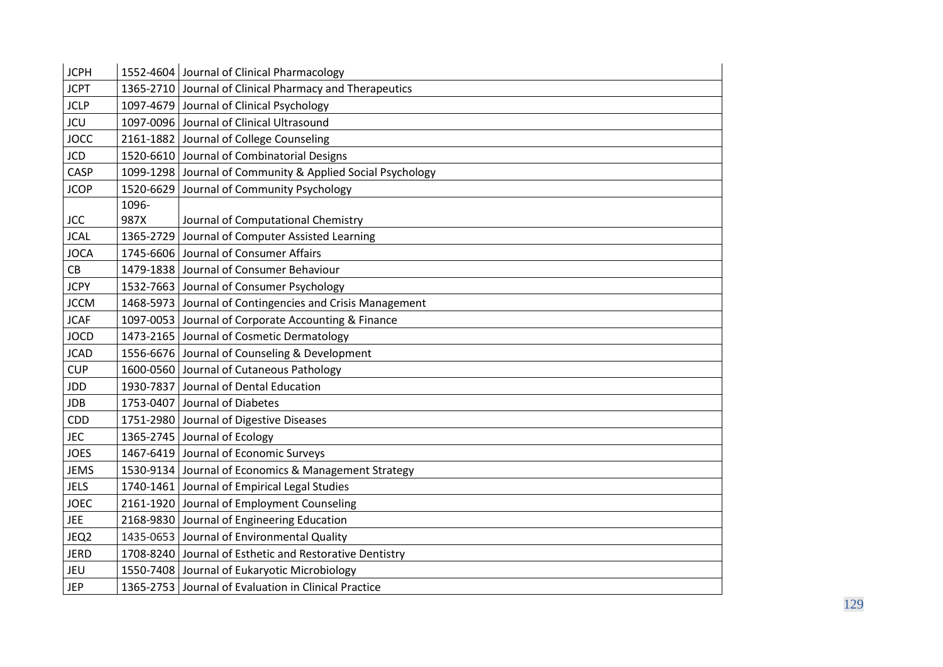| <b>JCPH</b> | 1552-4604 | Journal of Clinical Pharmacology                           |
|-------------|-----------|------------------------------------------------------------|
| <b>JCPT</b> |           | 1365-2710 Journal of Clinical Pharmacy and Therapeutics    |
| <b>JCLP</b> |           | 1097-4679 Journal of Clinical Psychology                   |
| JCU         | 1097-0096 | Journal of Clinical Ultrasound                             |
| <b>JOCC</b> |           | 2161-1882 Journal of College Counseling                    |
| <b>JCD</b>  |           | 1520-6610 Journal of Combinatorial Designs                 |
| CASP        |           | 1099-1298 Journal of Community & Applied Social Psychology |
| <b>JCOP</b> | 1520-6629 | Journal of Community Psychology                            |
|             | 1096-     |                                                            |
| <b>JCC</b>  | 987X      | Journal of Computational Chemistry                         |
| <b>JCAL</b> | 1365-2729 | Journal of Computer Assisted Learning                      |
| <b>JOCA</b> |           | 1745-6606 Journal of Consumer Affairs                      |
| СB          |           | 1479-1838 Journal of Consumer Behaviour                    |
| <b>JCPY</b> |           | 1532-7663 Journal of Consumer Psychology                   |
| <b>JCCM</b> |           | 1468-5973 Journal of Contingencies and Crisis Management   |
| <b>JCAF</b> |           | 1097-0053 Journal of Corporate Accounting & Finance        |
| <b>JOCD</b> |           | 1473-2165 Journal of Cosmetic Dermatology                  |
| <b>JCAD</b> |           | 1556-6676 Journal of Counseling & Development              |
| <b>CUP</b>  |           | 1600-0560 Journal of Cutaneous Pathology                   |
| JDD         |           | 1930-7837 Journal of Dental Education                      |
| <b>JDB</b>  |           | 1753-0407 Journal of Diabetes                              |
| CDD         | 1751-2980 | Journal of Digestive Diseases                              |
| <b>JEC</b>  |           | 1365-2745 Journal of Ecology                               |
| <b>JOES</b> |           | 1467-6419 Journal of Economic Surveys                      |
| <b>JEMS</b> |           | 1530-9134 Journal of Economics & Management Strategy       |
| <b>JELS</b> |           | 1740-1461 Journal of Empirical Legal Studies               |
| <b>JOEC</b> |           | 2161-1920 Journal of Employment Counseling                 |
| <b>JEE</b>  | 2168-9830 | Journal of Engineering Education                           |
| JEQ2        |           | 1435-0653 Journal of Environmental Quality                 |
| <b>JERD</b> |           | 1708-8240 Journal of Esthetic and Restorative Dentistry    |
| JEU         |           | 1550-7408 Journal of Eukaryotic Microbiology               |
| <b>JEP</b>  |           | 1365-2753 Journal of Evaluation in Clinical Practice       |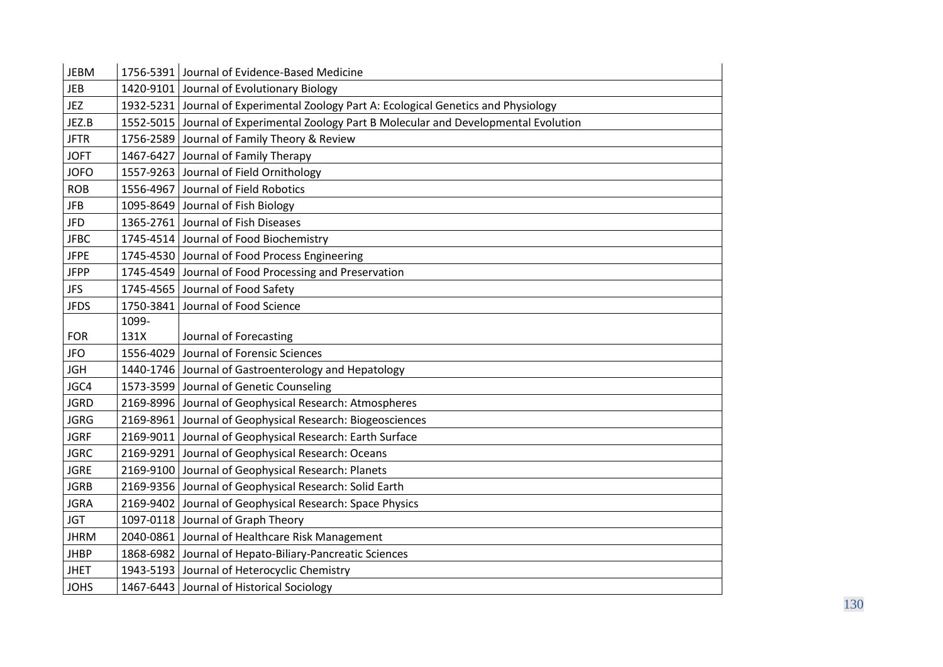| <b>JEBM</b> |       | 1756-5391 Journal of Evidence-Based Medicine                                           |
|-------------|-------|----------------------------------------------------------------------------------------|
| <b>JEB</b>  |       | 1420-9101 Journal of Evolutionary Biology                                              |
| JEZ         |       | 1932-5231 Journal of Experimental Zoology Part A: Ecological Genetics and Physiology   |
| JEZ.B       |       | 1552-5015 Journal of Experimental Zoology Part B Molecular and Developmental Evolution |
| <b>JFTR</b> |       | 1756-2589 Journal of Family Theory & Review                                            |
| <b>JOFT</b> |       | 1467-6427 Journal of Family Therapy                                                    |
| <b>JOFO</b> |       | 1557-9263 Journal of Field Ornithology                                                 |
| <b>ROB</b>  |       | 1556-4967 Journal of Field Robotics                                                    |
| <b>JFB</b>  |       | 1095-8649 Journal of Fish Biology                                                      |
| <b>JFD</b>  |       | 1365-2761 Journal of Fish Diseases                                                     |
| <b>JFBC</b> |       | 1745-4514 Journal of Food Biochemistry                                                 |
| <b>JFPE</b> |       | 1745-4530 Journal of Food Process Engineering                                          |
| <b>JFPP</b> |       | 1745-4549 Journal of Food Processing and Preservation                                  |
| <b>JFS</b>  |       | 1745-4565 Journal of Food Safety                                                       |
| <b>JFDS</b> |       | 1750-3841 Journal of Food Science                                                      |
|             | 1099- |                                                                                        |
| <b>FOR</b>  | 131X  | Journal of Forecasting                                                                 |
| <b>JFO</b>  |       | 1556-4029 Journal of Forensic Sciences                                                 |
| <b>JGH</b>  |       | 1440-1746 Journal of Gastroenterology and Hepatology                                   |
| JGC4        |       | 1573-3599 Journal of Genetic Counseling                                                |
| <b>JGRD</b> |       | 2169-8996 Journal of Geophysical Research: Atmospheres                                 |
| <b>JGRG</b> |       | 2169-8961 Journal of Geophysical Research: Biogeosciences                              |
| <b>JGRF</b> |       | 2169-9011 Journal of Geophysical Research: Earth Surface                               |
| <b>JGRC</b> |       | 2169-9291 Journal of Geophysical Research: Oceans                                      |
| <b>JGRE</b> |       | 2169-9100 Journal of Geophysical Research: Planets                                     |
| <b>JGRB</b> |       | 2169-9356 Journal of Geophysical Research: Solid Earth                                 |
| <b>JGRA</b> |       | 2169-9402 Journal of Geophysical Research: Space Physics                               |
| <b>JGT</b>  |       | 1097-0118 Journal of Graph Theory                                                      |
| <b>JHRM</b> |       | 2040-0861 Journal of Healthcare Risk Management                                        |
| <b>JHBP</b> |       | 1868-6982 Journal of Hepato-Biliary-Pancreatic Sciences                                |
| <b>JHET</b> |       | 1943-5193 Journal of Heterocyclic Chemistry                                            |
| <b>JOHS</b> |       | 1467-6443 Journal of Historical Sociology                                              |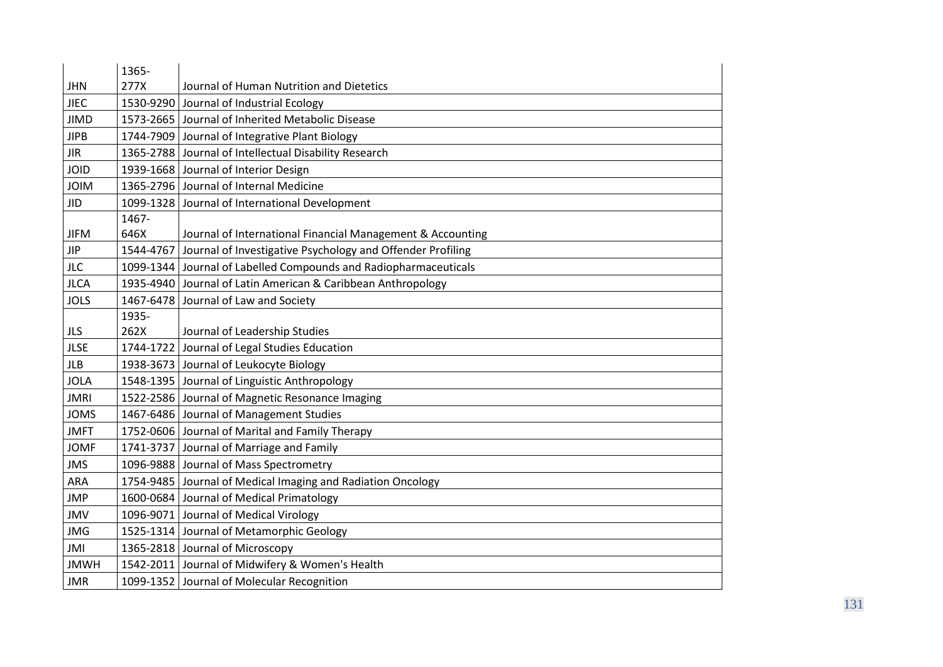|             | 1365- |                                                                      |
|-------------|-------|----------------------------------------------------------------------|
| <b>JHN</b>  | 277X  | Journal of Human Nutrition and Dietetics                             |
| JIEC        |       | 1530-9290 Journal of Industrial Ecology                              |
| <b>JIMD</b> |       | 1573-2665 Journal of Inherited Metabolic Disease                     |
| <b>JIPB</b> |       | 1744-7909 Journal of Integrative Plant Biology                       |
| <b>JIR</b>  |       | 1365-2788 Journal of Intellectual Disability Research                |
| JOID        |       | 1939-1668 Journal of Interior Design                                 |
| <b>JOIM</b> |       | 1365-2796 Journal of Internal Medicine                               |
| <b>JID</b>  |       | 1099-1328 Journal of International Development                       |
|             | 1467- |                                                                      |
| <b>JIFM</b> | 646X  | Journal of International Financial Management & Accounting           |
| <b>JIP</b>  |       | 1544-4767 Journal of Investigative Psychology and Offender Profiling |
| <b>JLC</b>  |       | 1099-1344 Journal of Labelled Compounds and Radiopharmaceuticals     |
| <b>JLCA</b> |       | 1935-4940 Journal of Latin American & Caribbean Anthropology         |
| <b>JOLS</b> |       | 1467-6478 Journal of Law and Society                                 |
|             | 1935- |                                                                      |
| <b>JLS</b>  | 262X  | Journal of Leadership Studies                                        |
| <b>JLSE</b> |       | 1744-1722 Journal of Legal Studies Education                         |
| <b>JLB</b>  |       | 1938-3673 Journal of Leukocyte Biology                               |
| <b>JOLA</b> |       | 1548-1395 Journal of Linguistic Anthropology                         |
| <b>JMRI</b> |       | 1522-2586 Journal of Magnetic Resonance Imaging                      |
| <b>JOMS</b> |       | 1467-6486 Journal of Management Studies                              |
| <b>JMFT</b> |       | 1752-0606 Journal of Marital and Family Therapy                      |
| <b>JOMF</b> |       | 1741-3737 Journal of Marriage and Family                             |
| <b>JMS</b>  |       | 1096-9888 Journal of Mass Spectrometry                               |
| <b>ARA</b>  |       | 1754-9485 Journal of Medical Imaging and Radiation Oncology          |
| <b>JMP</b>  |       | 1600-0684 Journal of Medical Primatology                             |
| <b>JMV</b>  |       | 1096-9071 Journal of Medical Virology                                |
| <b>JMG</b>  |       | 1525-1314 Journal of Metamorphic Geology                             |
| JMI         |       | 1365-2818 Journal of Microscopy                                      |
| <b>JMWH</b> |       | 1542-2011 Journal of Midwifery & Women's Health                      |
| <b>JMR</b>  |       | 1099-1352 Journal of Molecular Recognition                           |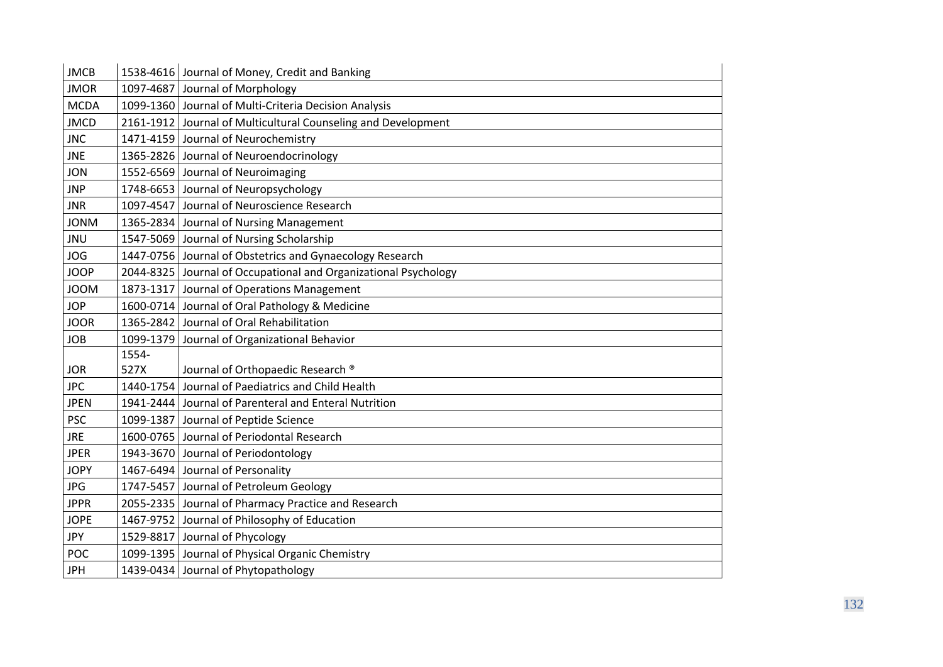| <b>JMCB</b> |       | 1538-4616 Journal of Money, Credit and Banking                  |
|-------------|-------|-----------------------------------------------------------------|
| <b>JMOR</b> |       | 1097-4687 Journal of Morphology                                 |
| <b>MCDA</b> |       | 1099-1360 Journal of Multi-Criteria Decision Analysis           |
| <b>JMCD</b> |       | 2161-1912 Journal of Multicultural Counseling and Development   |
| <b>JNC</b>  |       | 1471-4159 Journal of Neurochemistry                             |
| <b>JNE</b>  |       | 1365-2826 Journal of Neuroendocrinology                         |
| <b>JON</b>  |       | 1552-6569 Journal of Neuroimaging                               |
| <b>JNP</b>  |       | 1748-6653 Journal of Neuropsychology                            |
| <b>JNR</b>  |       | 1097-4547 Journal of Neuroscience Research                      |
| <b>MNOL</b> |       | 1365-2834 Journal of Nursing Management                         |
| JNU         |       | 1547-5069 Journal of Nursing Scholarship                        |
| <b>JOG</b>  |       | 1447-0756 Journal of Obstetrics and Gynaecology Research        |
| <b>JOOP</b> |       | 2044-8325 Journal of Occupational and Organizational Psychology |
| <b>MOOL</b> |       | 1873-1317 Journal of Operations Management                      |
| <b>JOP</b>  |       | 1600-0714 Journal of Oral Pathology & Medicine                  |
| <b>JOOR</b> |       | 1365-2842 Journal of Oral Rehabilitation                        |
| <b>JOB</b>  |       | 1099-1379 Journal of Organizational Behavior                    |
|             | 1554- |                                                                 |
| <b>JOR</b>  | 527X  | Journal of Orthopaedic Research ®                               |
| <b>JPC</b>  |       | 1440-1754 Journal of Paediatrics and Child Health               |
| <b>JPEN</b> |       | 1941-2444 Journal of Parenteral and Enteral Nutrition           |
| <b>PSC</b>  |       | 1099-1387 Journal of Peptide Science                            |
| <b>JRE</b>  |       | 1600-0765 Journal of Periodontal Research                       |
| <b>JPER</b> |       | 1943-3670 Journal of Periodontology                             |
| <b>JOPY</b> |       | 1467-6494 Journal of Personality                                |
| <b>JPG</b>  |       | 1747-5457 Journal of Petroleum Geology                          |
| <b>JPPR</b> |       | 2055-2335 Journal of Pharmacy Practice and Research             |
| <b>JOPE</b> |       | 1467-9752 Journal of Philosophy of Education                    |
| <b>JPY</b>  |       | 1529-8817 Journal of Phycology                                  |
| POC         |       | 1099-1395 Journal of Physical Organic Chemistry                 |
| <b>JPH</b>  |       | 1439-0434 Journal of Phytopathology                             |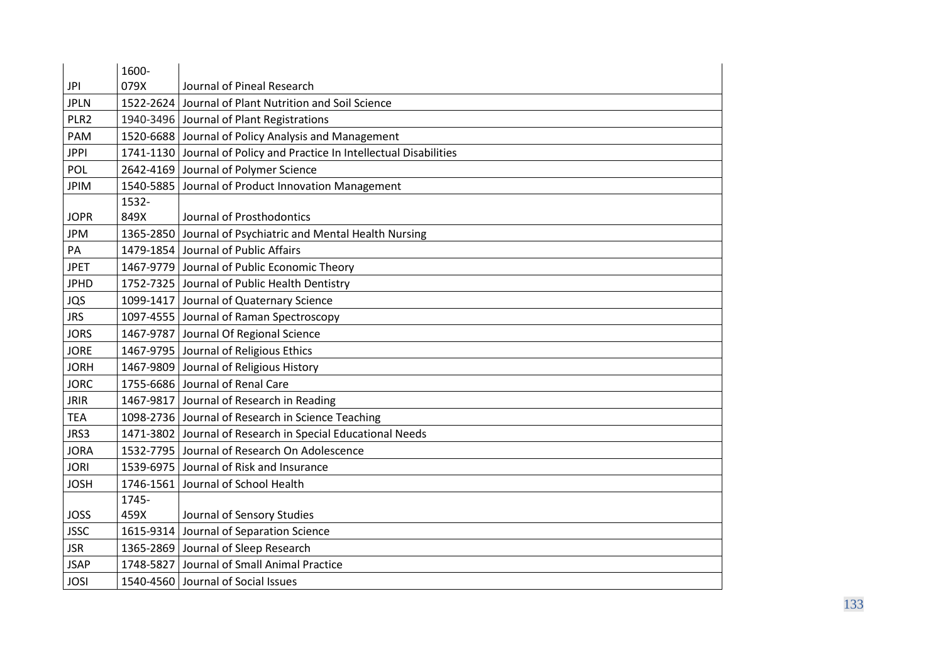|                  | 1600-     |                                                                       |
|------------------|-----------|-----------------------------------------------------------------------|
| <b>JPI</b>       | 079X      | Journal of Pineal Research                                            |
| <b>JPLN</b>      | 1522-2624 | Journal of Plant Nutrition and Soil Science                           |
| PLR <sub>2</sub> |           | 1940-3496 Journal of Plant Registrations                              |
| <b>PAM</b>       |           | 1520-6688 Journal of Policy Analysis and Management                   |
| <b>JPPI</b>      |           | 1741-1130 Journal of Policy and Practice In Intellectual Disabilities |
| POL              | 2642-4169 | Journal of Polymer Science                                            |
| <b>JPIM</b>      | 1540-5885 | Journal of Product Innovation Management                              |
|                  | 1532-     |                                                                       |
| <b>JOPR</b>      | 849X      | Journal of Prosthodontics                                             |
| <b>JPM</b>       | 1365-2850 | Journal of Psychiatric and Mental Health Nursing                      |
| PA               |           | 1479-1854 Journal of Public Affairs                                   |
| <b>JPET</b>      |           | 1467-9779 Journal of Public Economic Theory                           |
| <b>JPHD</b>      |           | 1752-7325 Journal of Public Health Dentistry                          |
| JQS              |           | 1099-1417 Journal of Quaternary Science                               |
| <b>JRS</b>       |           | 1097-4555 Journal of Raman Spectroscopy                               |
| <b>JORS</b>      |           | 1467-9787 Journal Of Regional Science                                 |
| <b>JORE</b>      |           | 1467-9795 Journal of Religious Ethics                                 |
| <b>JORH</b>      | 1467-9809 | Journal of Religious History                                          |
| <b>JORC</b>      |           | 1755-6686 Journal of Renal Care                                       |
| <b>JRIR</b>      |           | 1467-9817 Journal of Research in Reading                              |
| <b>TEA</b>       |           | 1098-2736 Journal of Research in Science Teaching                     |
| JRS3             |           | 1471-3802 Journal of Research in Special Educational Needs            |
| <b>JORA</b>      |           | 1532-7795 Journal of Research On Adolescence                          |
| <b>JORI</b>      |           | 1539-6975 Journal of Risk and Insurance                               |
| <b>JOSH</b>      | 1746-1561 | Journal of School Health                                              |
|                  | 1745-     |                                                                       |
| <b>JOSS</b>      | 459X      | Journal of Sensory Studies                                            |
| <b>JSSC</b>      | 1615-9314 | Journal of Separation Science                                         |
| <b>JSR</b>       |           | 1365-2869 Journal of Sleep Research                                   |
| <b>JSAP</b>      | 1748-5827 | Journal of Small Animal Practice                                      |
| <b>JOSI</b>      |           | 1540-4560 Journal of Social Issues                                    |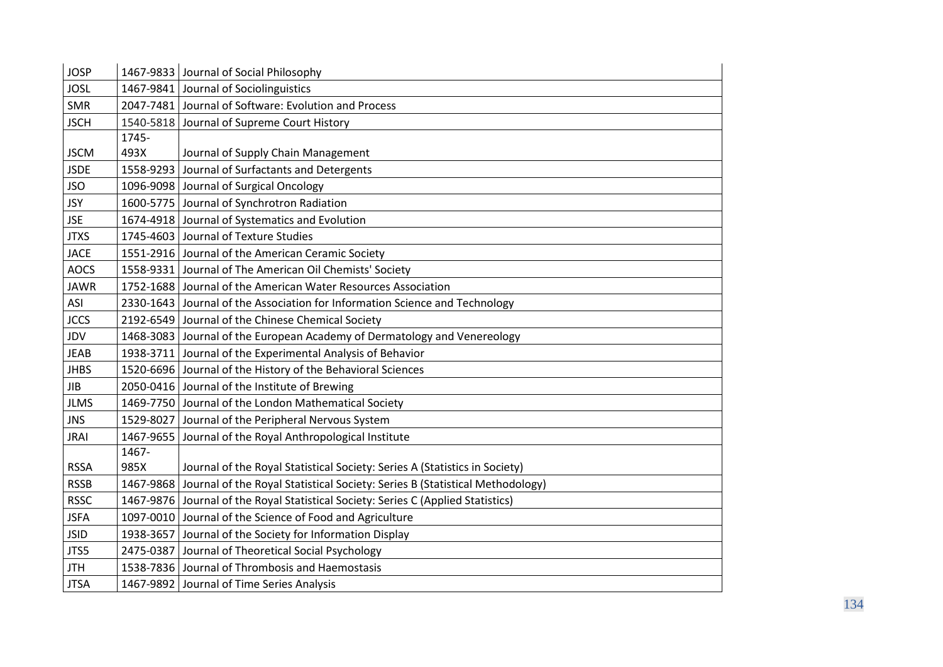| <b>JOSP</b> |           | 1467-9833 Journal of Social Philosophy                                            |
|-------------|-----------|-----------------------------------------------------------------------------------|
| <b>JOSL</b> |           | 1467-9841 Journal of Sociolinguistics                                             |
| SMR         |           | 2047-7481 Journal of Software: Evolution and Process                              |
| <b>JSCH</b> |           | 1540-5818 Journal of Supreme Court History                                        |
|             | 1745-     |                                                                                   |
| <b>JSCM</b> | 493X      | Journal of Supply Chain Management                                                |
| <b>JSDE</b> | 1558-9293 | Journal of Surfactants and Detergents                                             |
| <b>JSO</b>  |           | 1096-9098 Journal of Surgical Oncology                                            |
| <b>JSY</b>  |           | 1600-5775 Journal of Synchrotron Radiation                                        |
| <b>JSE</b>  | 1674-4918 | Journal of Systematics and Evolution                                              |
| <b>JTXS</b> |           | 1745-4603 Journal of Texture Studies                                              |
| <b>JACE</b> |           | 1551-2916 Journal of the American Ceramic Society                                 |
| <b>AOCS</b> | 1558-9331 | Journal of The American Oil Chemists' Society                                     |
| <b>JAWR</b> |           | 1752-1688 Journal of the American Water Resources Association                     |
| ASI         |           | 2330-1643 Journal of the Association for Information Science and Technology       |
| <b>JCCS</b> |           | 2192-6549 Journal of the Chinese Chemical Society                                 |
| JDV         |           | 1468-3083 Journal of the European Academy of Dermatology and Venereology          |
| <b>JEAB</b> |           | 1938-3711 Journal of the Experimental Analysis of Behavior                        |
| <b>JHBS</b> |           | 1520-6696 Journal of the History of the Behavioral Sciences                       |
| <b>JIB</b>  |           | 2050-0416 Journal of the Institute of Brewing                                     |
| <b>JLMS</b> |           | 1469-7750 Journal of the London Mathematical Society                              |
| <b>JNS</b>  |           | 1529-8027 Journal of the Peripheral Nervous System                                |
| <b>JRAI</b> | 1467-9655 | Journal of the Royal Anthropological Institute                                    |
|             | 1467-     |                                                                                   |
| <b>RSSA</b> | 985X      | Journal of the Royal Statistical Society: Series A (Statistics in Society)        |
| <b>RSSB</b> | 1467-9868 | Journal of the Royal Statistical Society: Series B (Statistical Methodology)      |
| <b>RSSC</b> |           | 1467-9876 Journal of the Royal Statistical Society: Series C (Applied Statistics) |
| <b>JSFA</b> | 1097-0010 | Journal of the Science of Food and Agriculture                                    |
| <b>JSID</b> | 1938-3657 | Journal of the Society for Information Display                                    |
| JTS5        |           | 2475-0387 Journal of Theoretical Social Psychology                                |
| <b>JTH</b>  |           | 1538-7836 Journal of Thrombosis and Haemostasis                                   |
| <b>JTSA</b> |           | 1467-9892 Journal of Time Series Analysis                                         |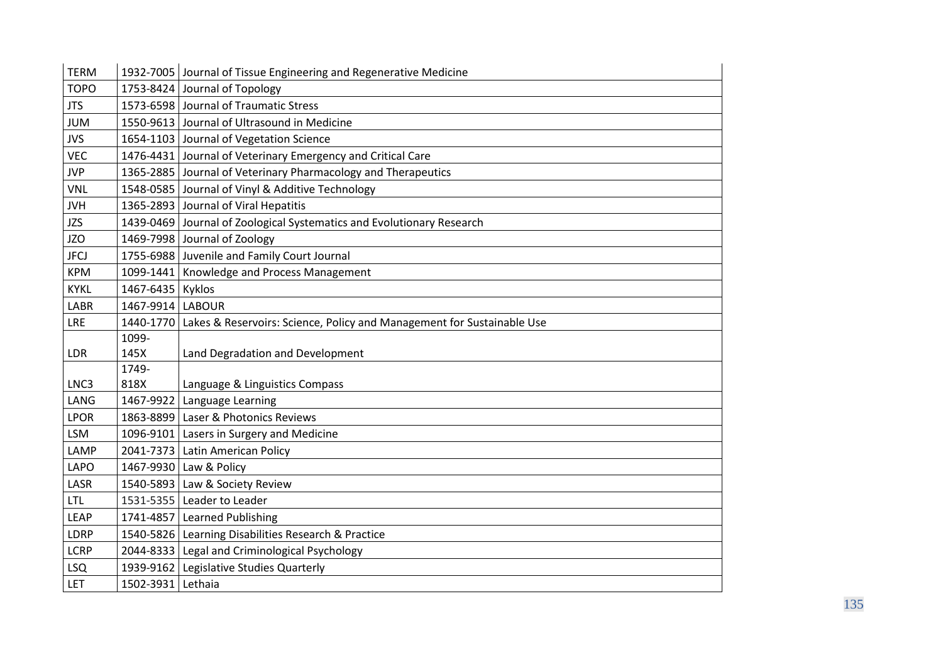| <b>TERM</b> |                   | 1932-7005 Journal of Tissue Engineering and Regenerative Medicine                |
|-------------|-------------------|----------------------------------------------------------------------------------|
| <b>TOPO</b> |                   | 1753-8424 Journal of Topology                                                    |
| <b>JTS</b>  |                   | 1573-6598 Journal of Traumatic Stress                                            |
| <b>JUM</b>  |                   | 1550-9613 Journal of Ultrasound in Medicine                                      |
| <b>JVS</b>  |                   | 1654-1103 Journal of Vegetation Science                                          |
| <b>VEC</b>  |                   | 1476-4431 Journal of Veterinary Emergency and Critical Care                      |
| <b>JVP</b>  |                   | 1365-2885 Journal of Veterinary Pharmacology and Therapeutics                    |
| <b>VNL</b>  |                   | 1548-0585 Journal of Vinyl & Additive Technology                                 |
| <b>JVH</b>  |                   | 1365-2893 Journal of Viral Hepatitis                                             |
| <b>JZS</b>  |                   | 1439-0469 Journal of Zoological Systematics and Evolutionary Research            |
| <b>JZO</b>  |                   | 1469-7998 Journal of Zoology                                                     |
| <b>JFCJ</b> |                   | 1755-6988 Juvenile and Family Court Journal                                      |
| <b>KPM</b>  |                   | 1099-1441   Knowledge and Process Management                                     |
| <b>KYKL</b> | 1467-6435 Kyklos  |                                                                                  |
| <b>LABR</b> | 1467-9914         | <b>LABOUR</b>                                                                    |
| <b>LRE</b>  |                   | 1440-1770 Lakes & Reservoirs: Science, Policy and Management for Sustainable Use |
|             | 1099-             |                                                                                  |
| <b>LDR</b>  | 145X              | Land Degradation and Development                                                 |
|             | 1749-             |                                                                                  |
| LNC3        | 818X              | Language & Linguistics Compass                                                   |
| LANG        | 1467-9922         | Language Learning                                                                |
| <b>LPOR</b> |                   | 1863-8899 Laser & Photonics Reviews                                              |
| <b>LSM</b>  |                   | 1096-9101 Lasers in Surgery and Medicine                                         |
| LAMP        |                   | 2041-7373 Latin American Policy                                                  |
| <b>LAPO</b> |                   | 1467-9930 Law & Policy                                                           |
| LASR        |                   | 1540-5893 Law & Society Review                                                   |
| <b>LTL</b>  |                   | 1531-5355   Leader to Leader                                                     |
| <b>LEAP</b> | 1741-4857         | <b>Learned Publishing</b>                                                        |
| LDRP        |                   | 1540-5826 Learning Disabilities Research & Practice                              |
| <b>LCRP</b> |                   | 2044-8333 Legal and Criminological Psychology                                    |
| <b>LSQ</b>  |                   | 1939-9162   Legislative Studies Quarterly                                        |
| LET         | 1502-3931 Lethaia |                                                                                  |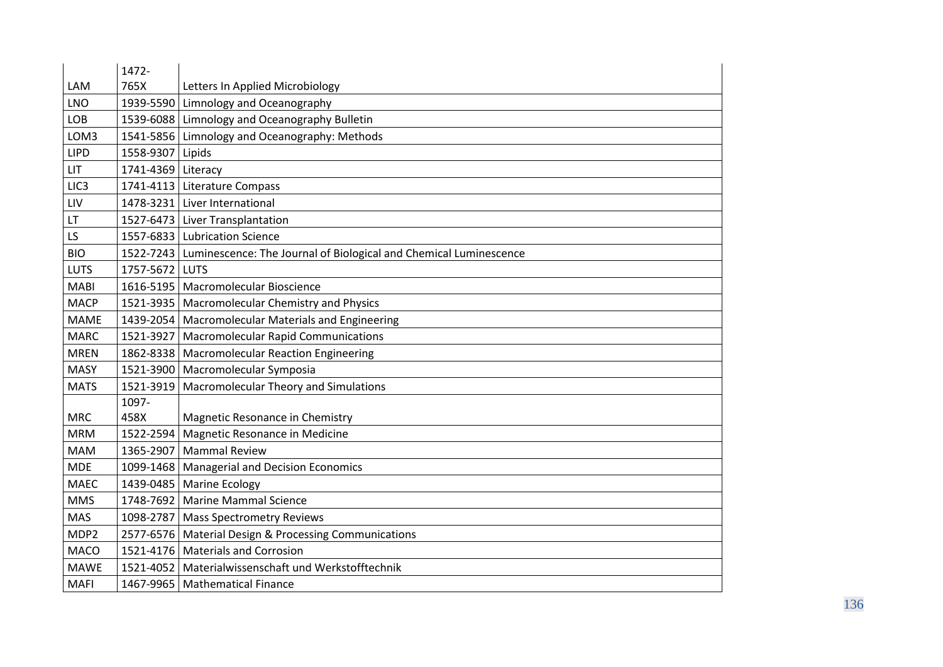|                  | 1472-              |                                                                             |
|------------------|--------------------|-----------------------------------------------------------------------------|
| LAM              | 765X               | Letters In Applied Microbiology                                             |
| <b>LNO</b>       | 1939-5590          | Limnology and Oceanography                                                  |
| LOB              | 1539-6088          | Limnology and Oceanography Bulletin                                         |
| LOM3             | 1541-5856          | Limnology and Oceanography: Methods                                         |
| <b>LIPD</b>      | 1558-9307          | Lipids                                                                      |
| <b>LIT</b>       | 1741-4369 Literacy |                                                                             |
| LIC <sub>3</sub> |                    | 1741-4113   Literature Compass                                              |
| LIV              |                    | 1478-3231 Liver International                                               |
| LT               | 1527-6473          | Liver Transplantation                                                       |
| LS               |                    | 1557-6833   Lubrication Science                                             |
| <b>BIO</b>       |                    | 1522-7243 Luminescence: The Journal of Biological and Chemical Luminescence |
| <b>LUTS</b>      | 1757-5672          | <b>LUTS</b>                                                                 |
| <b>MABI</b>      |                    | 1616-5195   Macromolecular Bioscience                                       |
| <b>MACP</b>      | 1521-3935          | Macromolecular Chemistry and Physics                                        |
| <b>MAME</b>      | 1439-2054          | <b>Macromolecular Materials and Engineering</b>                             |
| <b>MARC</b>      |                    | 1521-3927   Macromolecular Rapid Communications                             |
| <b>MREN</b>      |                    | 1862-8338   Macromolecular Reaction Engineering                             |
| <b>MASY</b>      |                    | 1521-3900 Macromolecular Symposia                                           |
| <b>MATS</b>      | 1521-3919          | Macromolecular Theory and Simulations                                       |
|                  | 1097-              |                                                                             |
| <b>MRC</b>       | 458X               | Magnetic Resonance in Chemistry                                             |
| <b>MRM</b>       | 1522-2594          | Magnetic Resonance in Medicine                                              |
| <b>MAM</b>       | 1365-2907          | <b>Mammal Review</b>                                                        |
| <b>MDE</b>       | 1099-1468          | <b>Managerial and Decision Economics</b>                                    |
| <b>MAEC</b>      |                    | 1439-0485   Marine Ecology                                                  |
| <b>MMS</b>       |                    | 1748-7692 Marine Mammal Science                                             |
| <b>MAS</b>       | 1098-2787          | <b>Mass Spectrometry Reviews</b>                                            |
| MDP2             |                    | 2577-6576   Material Design & Processing Communications                     |
| <b>MACO</b>      |                    | 1521-4176 Materials and Corrosion                                           |
| <b>MAWE</b>      | 1521-4052          | Materialwissenschaft und Werkstofftechnik                                   |
| <b>MAFI</b>      |                    | 1467-9965   Mathematical Finance                                            |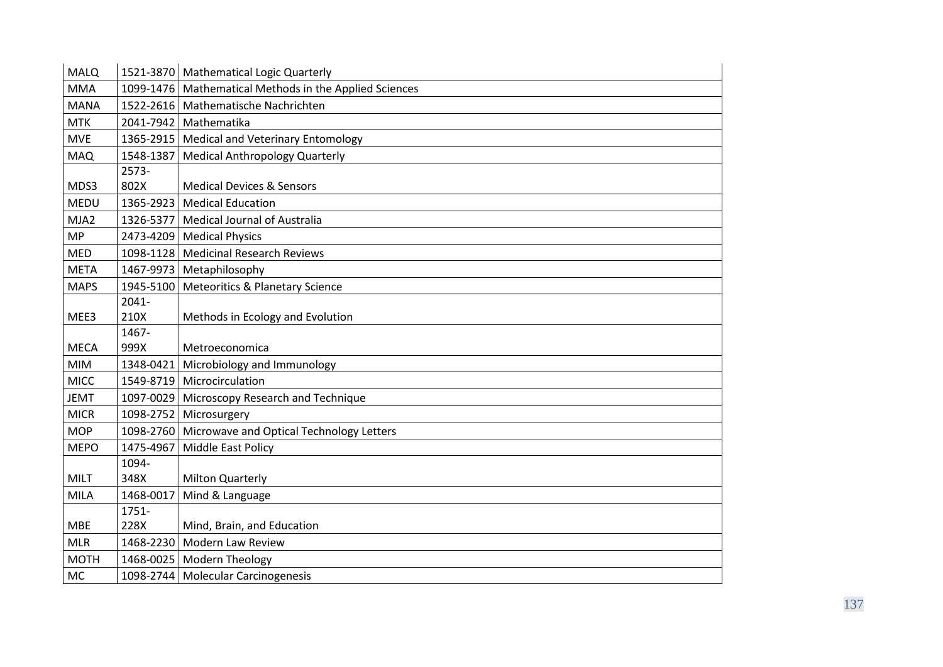| <b>MALQ</b> |           | 1521-3870   Mathematical Logic Quarterly                 |
|-------------|-----------|----------------------------------------------------------|
| <b>MMA</b>  |           | 1099-1476   Mathematical Methods in the Applied Sciences |
| <b>MANA</b> |           | 1522-2616   Mathematische Nachrichten                    |
| <b>MTK</b>  |           | 2041-7942 Mathematika                                    |
| <b>MVE</b>  |           | 1365-2915   Medical and Veterinary Entomology            |
| <b>MAQ</b>  | 1548-1387 | Medical Anthropology Quarterly                           |
|             | $2573-$   |                                                          |
| MDS3        | 802X      | <b>Medical Devices &amp; Sensors</b>                     |
| <b>MEDU</b> | 1365-2923 | <b>Medical Education</b>                                 |
| MJA2        | 1326-5377 | Medical Journal of Australia                             |
| <b>MP</b>   |           | 2473-4209 Medical Physics                                |
| <b>MED</b>  | 1098-1128 | Medicinal Research Reviews                               |
| <b>META</b> |           | 1467-9973 Metaphilosophy                                 |
| <b>MAPS</b> | 1945-5100 | <b>Meteoritics &amp; Planetary Science</b>               |
|             | $2041 -$  |                                                          |
| MEE3        | 210X      | Methods in Ecology and Evolution                         |
|             | 1467-     |                                                          |
|             |           |                                                          |
| <b>MECA</b> | 999X      | Metroeconomica                                           |
| <b>MIM</b>  | 1348-0421 | Microbiology and Immunology                              |
| <b>MICC</b> |           | 1549-8719 Microcirculation                               |
| <b>JEMT</b> | 1097-0029 | Microscopy Research and Technique                        |
| <b>MICR</b> | 1098-2752 | Microsurgery                                             |
| <b>MOP</b>  |           | 1098-2760 Microwave and Optical Technology Letters       |
| <b>MEPO</b> | 1475-4967 | Middle East Policy                                       |
|             | 1094-     |                                                          |
| <b>MILT</b> | 348X      | <b>Milton Quarterly</b>                                  |
| MILA        | 1468-0017 | Mind & Language                                          |
|             | 1751-     |                                                          |
| <b>MBE</b>  | 228X      | Mind, Brain, and Education                               |
| <b>MLR</b>  | 1468-2230 | Modern Law Review                                        |
| <b>MOTH</b> |           | 1468-0025   Modern Theology                              |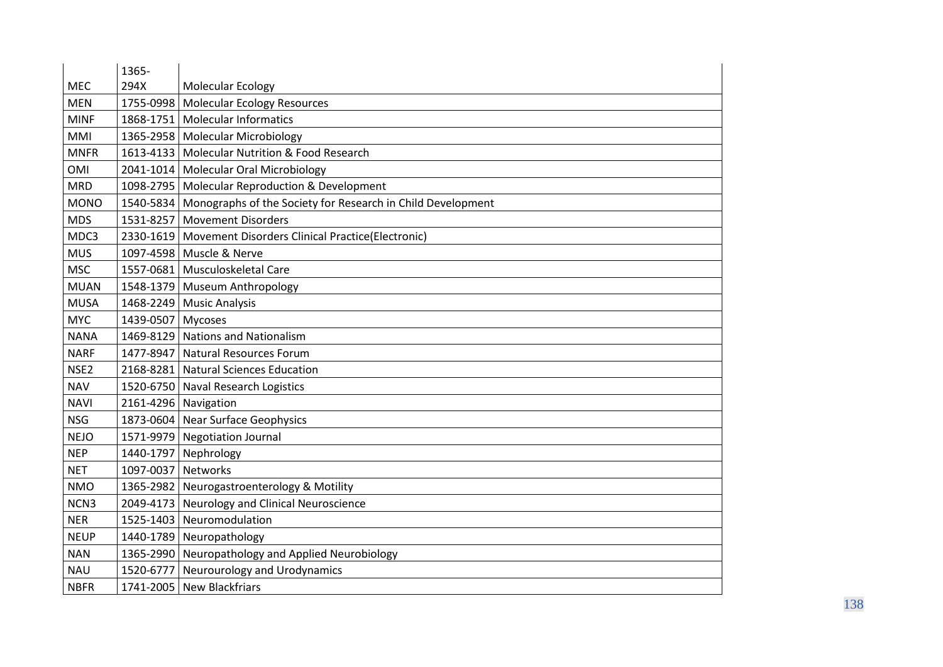|                  | 1365-                |                                                                       |
|------------------|----------------------|-----------------------------------------------------------------------|
| <b>MEC</b>       | 294X                 | Molecular Ecology                                                     |
| <b>MEN</b>       | 1755-0998            | Molecular Ecology Resources                                           |
| <b>MINF</b>      |                      | 1868-1751   Molecular Informatics                                     |
| MMI              |                      | 1365-2958   Molecular Microbiology                                    |
| <b>MNFR</b>      |                      | 1613-4133   Molecular Nutrition & Food Research                       |
| <b>OMI</b>       |                      | 2041-1014   Molecular Oral Microbiology                               |
| <b>MRD</b>       |                      | 1098-2795   Molecular Reproduction & Development                      |
| <b>MONO</b>      |                      | 1540-5834 Monographs of the Society for Research in Child Development |
| <b>MDS</b>       | 1531-8257            | <b>Movement Disorders</b>                                             |
| MDC3             |                      | 2330-1619   Movement Disorders Clinical Practice(Electronic)          |
| <b>MUS</b>       |                      | 1097-4598 Muscle & Nerve                                              |
| <b>MSC</b>       |                      | 1557-0681   Musculoskeletal Care                                      |
| <b>MUAN</b>      |                      | 1548-1379 Museum Anthropology                                         |
| <b>MUSA</b>      |                      | 1468-2249 Music Analysis                                              |
| <b>MYC</b>       | 1439-0507 Mycoses    |                                                                       |
| <b>NANA</b>      | 1469-8129            | Nations and Nationalism                                               |
| <b>NARF</b>      | 1477-8947            | Natural Resources Forum                                               |
| NSE <sub>2</sub> |                      | 2168-8281 Natural Sciences Education                                  |
| <b>NAV</b>       |                      | 1520-6750 Naval Research Logistics                                    |
| <b>NAVI</b>      | 2161-4296 Navigation |                                                                       |
| <b>NSG</b>       |                      | 1873-0604 Near Surface Geophysics                                     |
| <b>NEJO</b>      |                      | 1571-9979 Negotiation Journal                                         |
| <b>NEP</b>       | 1440-1797            | Nephrology                                                            |
| <b>NET</b>       | 1097-0037 Networks   |                                                                       |
| <b>NMO</b>       |                      | 1365-2982 Neurogastroenterology & Motility                            |
| NCN3             |                      | 2049-4173 Neurology and Clinical Neuroscience                         |
| <b>NER</b>       | 1525-1403            | Neuromodulation                                                       |
| <b>NEUP</b>      |                      | 1440-1789 Neuropathology                                              |
| <b>NAN</b>       |                      | 1365-2990 Neuropathology and Applied Neurobiology                     |
| <b>NAU</b>       | 1520-6777            | Neurourology and Urodynamics                                          |
| <b>NBFR</b>      |                      | 1741-2005 New Blackfriars                                             |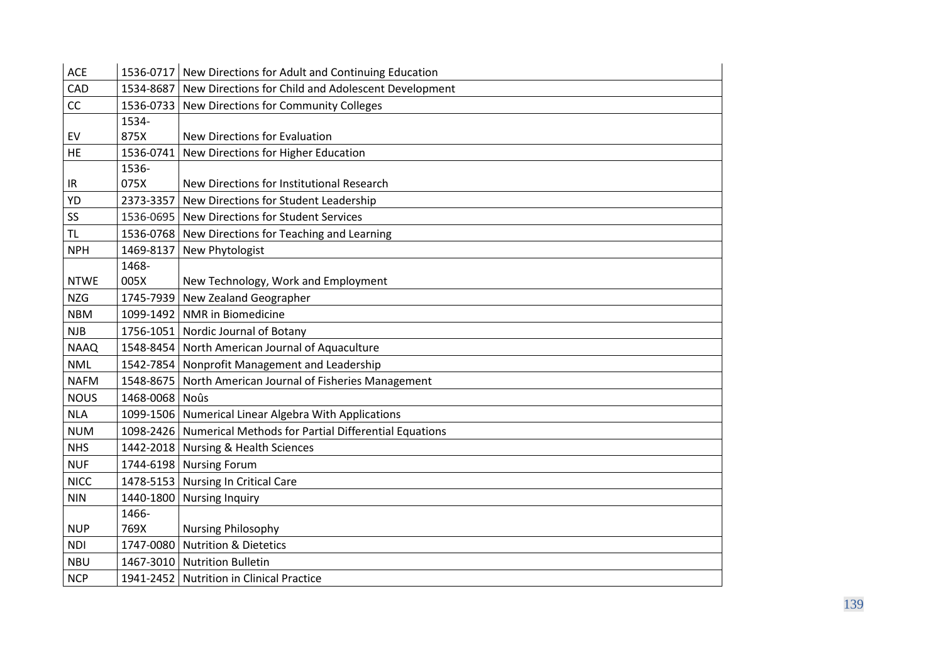| <b>ACE</b>  |                | 1536-0717 New Directions for Adult and Continuing Education      |
|-------------|----------------|------------------------------------------------------------------|
| CAD         |                | 1534-8687 New Directions for Child and Adolescent Development    |
| CC          | 1536-0733      | New Directions for Community Colleges                            |
|             | 1534-          |                                                                  |
| EV          | 875X           | <b>New Directions for Evaluation</b>                             |
| HE          | 1536-0741      | New Directions for Higher Education                              |
|             | 1536-          |                                                                  |
| IR          | 075X           | New Directions for Institutional Research                        |
| YD          | 2373-3357      | New Directions for Student Leadership                            |
| SS          |                | 1536-0695 New Directions for Student Services                    |
| <b>TL</b>   |                | 1536-0768 New Directions for Teaching and Learning               |
| <b>NPH</b>  | 1469-8137      | New Phytologist                                                  |
|             | 1468-          |                                                                  |
| <b>NTWE</b> | 005X           | New Technology, Work and Employment                              |
| <b>NZG</b>  | 1745-7939      | New Zealand Geographer                                           |
| <b>NBM</b>  |                | 1099-1492   NMR in Biomedicine                                   |
| <b>NJB</b>  |                | 1756-1051 Nordic Journal of Botany                               |
| <b>NAAQ</b> |                | 1548-8454 North American Journal of Aquaculture                  |
| <b>NML</b>  |                | 1542-7854 Nonprofit Management and Leadership                    |
| <b>NAFM</b> |                | 1548-8675 North American Journal of Fisheries Management         |
| <b>NOUS</b> | 1468-0068 Noûs |                                                                  |
| <b>NLA</b>  |                | 1099-1506   Numerical Linear Algebra With Applications           |
| <b>NUM</b>  |                | 1098-2426   Numerical Methods for Partial Differential Equations |
| <b>NHS</b>  |                | 1442-2018 Nursing & Health Sciences                              |
| <b>NUF</b>  |                | 1744-6198 Nursing Forum                                          |
| <b>NICC</b> |                | 1478-5153 Nursing In Critical Care                               |
| <b>NIN</b>  | 1440-1800      | <b>Nursing Inquiry</b>                                           |
|             | 1466-          |                                                                  |
| <b>NUP</b>  | 769X           | <b>Nursing Philosophy</b>                                        |
| <b>NDI</b>  | 1747-0080      | <b>Nutrition &amp; Dietetics</b>                                 |
| <b>NBU</b>  |                | 1467-3010 Nutrition Bulletin                                     |
| <b>NCP</b>  |                | 1941-2452 Nutrition in Clinical Practice                         |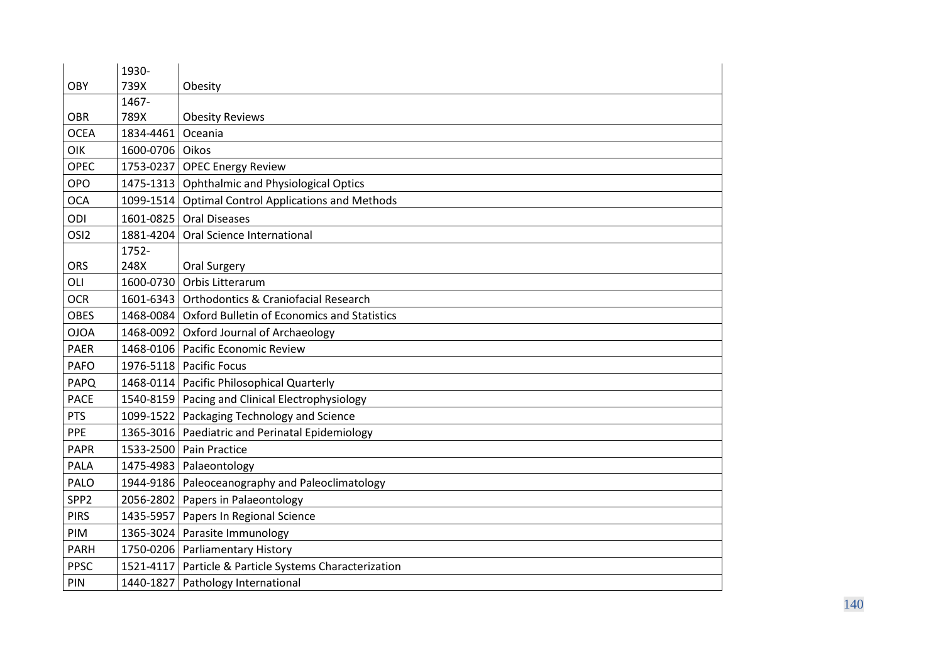|                  | 1930-           |                                                          |
|------------------|-----------------|----------------------------------------------------------|
| <b>OBY</b>       | 739X            | Obesity                                                  |
|                  | 1467-           |                                                          |
| <b>OBR</b>       | 789X            | <b>Obesity Reviews</b>                                   |
| <b>OCEA</b>      | 1834-4461       | Oceania                                                  |
| <b>OIK</b>       | 1600-0706 Oikos |                                                          |
| <b>OPEC</b>      |                 | 1753-0237 OPEC Energy Review                             |
| <b>OPO</b>       |                 | 1475-1313   Ophthalmic and Physiological Optics          |
| <b>OCA</b>       |                 | 1099-1514 Optimal Control Applications and Methods       |
| ODI              | 1601-0825       | <b>Oral Diseases</b>                                     |
| OSI <sub>2</sub> | 1881-4204       | Oral Science International                               |
|                  | 1752-           |                                                          |
| <b>ORS</b>       | 248X            | Oral Surgery                                             |
| OLI              | 1600-0730       | Orbis Litterarum                                         |
| <b>OCR</b>       | 1601-6343       | Orthodontics & Craniofacial Research                     |
| <b>OBES</b>      | 1468-0084       | Oxford Bulletin of Economics and Statistics              |
| <b>OJOA</b>      | 1468-0092       | Oxford Journal of Archaeology                            |
| <b>PAER</b>      |                 | 1468-0106   Pacific Economic Review                      |
| <b>PAFO</b>      |                 | 1976-5118   Pacific Focus                                |
| PAPQ             |                 | 1468-0114   Pacific Philosophical Quarterly              |
| <b>PACE</b>      |                 | 1540-8159 Pacing and Clinical Electrophysiology          |
| <b>PTS</b>       |                 | 1099-1522 Packaging Technology and Science               |
| PPE              |                 | 1365-3016 Paediatric and Perinatal Epidemiology          |
| <b>PAPR</b>      |                 | 1533-2500 Pain Practice                                  |
| <b>PALA</b>      |                 | 1475-4983   Palaeontology                                |
| <b>PALO</b>      |                 | 1944-9186   Paleoceanography and Paleoclimatology        |
| SPP <sub>2</sub> |                 | 2056-2802 Papers in Palaeontology                        |
| <b>PIRS</b>      | 1435-5957       | Papers In Regional Science                               |
| PIM              |                 | 1365-3024 Parasite Immunology                            |
| PARH             |                 | 1750-0206 Parliamentary History                          |
| <b>PPSC</b>      |                 | 1521-4117   Particle & Particle Systems Characterization |
| PIN              |                 | 1440-1827   Pathology International                      |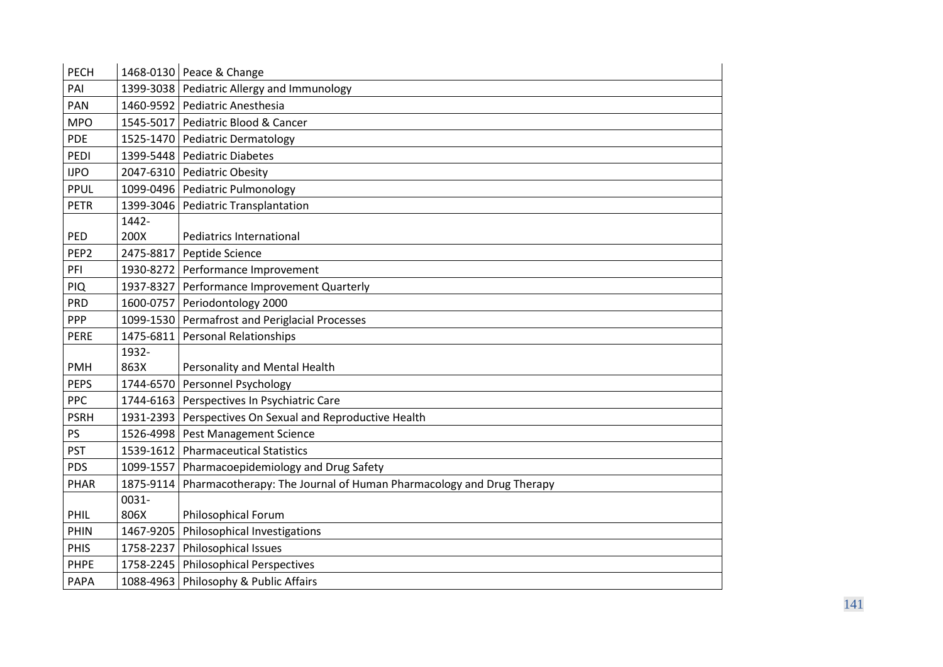| <b>PECH</b>      |           | 1468-0130 Peace & Change                                            |
|------------------|-----------|---------------------------------------------------------------------|
| PAI              |           | 1399-3038 Pediatric Allergy and Immunology                          |
| PAN              | 1460-9592 | Pediatric Anesthesia                                                |
| <b>MPO</b>       | 1545-5017 | Pediatric Blood & Cancer                                            |
| <b>PDE</b>       |           | 1525-1470 Pediatric Dermatology                                     |
| PEDI             | 1399-5448 | <b>Pediatric Diabetes</b>                                           |
| <b>IJPO</b>      |           | 2047-6310 Pediatric Obesity                                         |
| <b>PPUL</b>      |           | 1099-0496   Pediatric Pulmonology                                   |
| <b>PETR</b>      | 1399-3046 | <b>Pediatric Transplantation</b>                                    |
|                  | 1442-     |                                                                     |
| PED              | 200X      | <b>Pediatrics International</b>                                     |
| PEP <sub>2</sub> | 2475-8817 | Peptide Science                                                     |
| PFI              |           | 1930-8272 Performance Improvement                                   |
| PIQ              |           | 1937-8327 Performance Improvement Quarterly                         |
| <b>PRD</b>       | 1600-0757 | Periodontology 2000                                                 |
| <b>PPP</b>       |           | 1099-1530 Permafrost and Periglacial Processes                      |
| <b>PERE</b>      | 1475-6811 | <b>Personal Relationships</b>                                       |
|                  | 1932-     |                                                                     |
| <b>PMH</b>       | 863X      | Personality and Mental Health                                       |
| <b>PEPS</b>      | 1744-6570 | Personnel Psychology                                                |
| <b>PPC</b>       |           | 1744-6163 Perspectives In Psychiatric Care                          |
| <b>PSRH</b>      |           | 1931-2393 Perspectives On Sexual and Reproductive Health            |
| PS               |           | 1526-4998 Pest Management Science                                   |
| <b>PST</b>       | 1539-1612 | <b>Pharmaceutical Statistics</b>                                    |
| <b>PDS</b>       | 1099-1557 | Pharmacoepidemiology and Drug Safety                                |
| PHAR             | 1875-9114 | Pharmacotherapy: The Journal of Human Pharmacology and Drug Therapy |
|                  | 0031-     |                                                                     |
| <b>PHIL</b>      | 806X      | <b>Philosophical Forum</b>                                          |
| PHIN             | 1467-9205 | Philosophical Investigations                                        |
| <b>PHIS</b>      | 1758-2237 | Philosophical Issues                                                |
| <b>PHPE</b>      | 1758-2245 | <b>Philosophical Perspectives</b>                                   |
| PAPA             |           | 1088-4963 Philosophy & Public Affairs                               |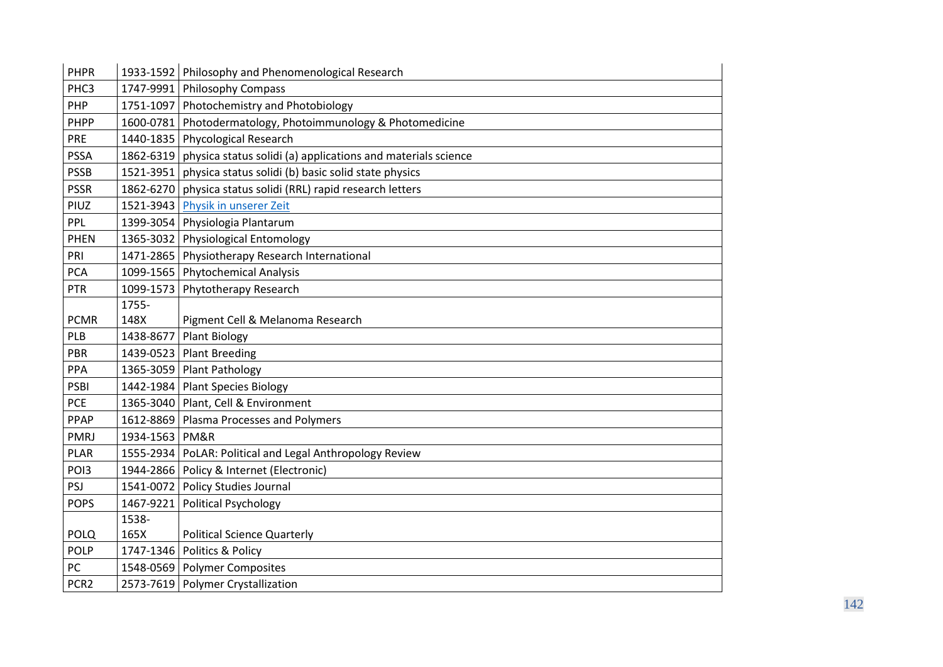| PHPR             |           | 1933-1592 Philosophy and Phenomenological Research           |
|------------------|-----------|--------------------------------------------------------------|
| PHC3             |           | 1747-9991 Philosophy Compass                                 |
| PHP              |           | 1751-1097 Photochemistry and Photobiology                    |
| <b>PHPP</b>      | 1600-0781 | Photodermatology, Photoimmunology & Photomedicine            |
| PRE              |           | 1440-1835 Phycological Research                              |
| <b>PSSA</b>      | 1862-6319 | physica status solidi (a) applications and materials science |
| <b>PSSB</b>      | 1521-3951 | physica status solidi (b) basic solid state physics          |
| <b>PSSR</b>      |           | 1862-6270 physica status solidi (RRL) rapid research letters |
| PIUZ             | 1521-3943 | Physik in unserer Zeit                                       |
| PPL              | 1399-3054 | Physiologia Plantarum                                        |
| <b>PHEN</b>      |           | 1365-3032 Physiological Entomology                           |
| PRI              | 1471-2865 | Physiotherapy Research International                         |
| <b>PCA</b>       |           | 1099-1565 Phytochemical Analysis                             |
| <b>PTR</b>       | 1099-1573 | Phytotherapy Research                                        |
|                  | 1755-     |                                                              |
| <b>PCMR</b>      | 148X      | Pigment Cell & Melanoma Research                             |
| PLB              | 1438-8677 | <b>Plant Biology</b>                                         |
| PBR              |           | 1439-0523 Plant Breeding                                     |
| PPA              |           | 1365-3059 Plant Pathology                                    |
| PSBI             |           | 1442-1984 Plant Species Biology                              |
| <b>PCE</b>       | 1365-3040 | Plant, Cell & Environment                                    |
| PPAP             |           | 1612-8869   Plasma Processes and Polymers                    |
| <b>PMRJ</b>      | 1934-1563 | PM&R                                                         |
| <b>PLAR</b>      | 1555-2934 | PoLAR: Political and Legal Anthropology Review               |
| POI3             |           | 1944-2866   Policy & Internet (Electronic)                   |
| PSJ              |           | 1541-0072 Policy Studies Journal                             |
| <b>POPS</b>      | 1467-9221 | <b>Political Psychology</b>                                  |
|                  | 1538-     |                                                              |
| <b>POLQ</b>      | 165X      | <b>Political Science Quarterly</b>                           |
| <b>POLP</b>      | 1747-1346 | Politics & Policy                                            |
| PC               |           | 1548-0569 Polymer Composites                                 |
| PCR <sub>2</sub> |           | 2573-7619 Polymer Crystallization                            |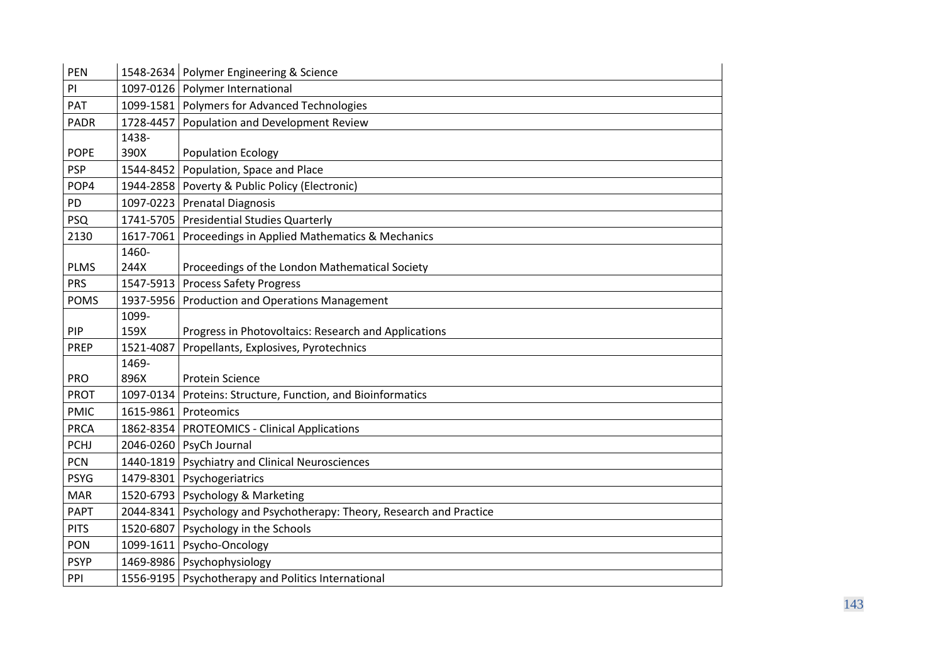| <b>PEN</b>  |           | 1548-2634   Polymer Engineering & Science                               |
|-------------|-----------|-------------------------------------------------------------------------|
| PI          |           | 1097-0126 Polymer International                                         |
| PAT         |           | 1099-1581   Polymers for Advanced Technologies                          |
| <b>PADR</b> |           | 1728-4457 Population and Development Review                             |
|             | 1438-     |                                                                         |
| <b>POPE</b> | 390X      | Population Ecology                                                      |
| <b>PSP</b>  | 1544-8452 | Population, Space and Place                                             |
| POP4        |           | 1944-2858 Poverty & Public Policy (Electronic)                          |
| PD          |           | 1097-0223 Prenatal Diagnosis                                            |
| <b>PSQ</b>  |           | 1741-5705   Presidential Studies Quarterly                              |
| 2130        |           | 1617-7061 Proceedings in Applied Mathematics & Mechanics                |
|             | 1460-     |                                                                         |
| <b>PLMS</b> | 244X      | Proceedings of the London Mathematical Society                          |
| <b>PRS</b>  | 1547-5913 | <b>Process Safety Progress</b>                                          |
| <b>POMS</b> |           | 1937-5956 Production and Operations Management                          |
|             | 1099-     |                                                                         |
| <b>PIP</b>  | 159X      | Progress in Photovoltaics: Research and Applications                    |
| <b>PREP</b> | 1521-4087 | Propellants, Explosives, Pyrotechnics                                   |
|             | 1469-     |                                                                         |
| <b>PRO</b>  | 896X      | <b>Protein Science</b>                                                  |
| <b>PROT</b> |           | 1097-0134 Proteins: Structure, Function, and Bioinformatics             |
| <b>PMIC</b> |           | 1615-9861 Proteomics                                                    |
| <b>PRCA</b> |           | 1862-8354   PROTEOMICS - Clinical Applications                          |
| PCHJ        |           | 2046-0260 PsyCh Journal                                                 |
| <b>PCN</b>  |           | 1440-1819 Psychiatry and Clinical Neurosciences                         |
| <b>PSYG</b> |           | 1479-8301 Psychogeriatrics                                              |
| <b>MAR</b>  |           | 1520-6793   Psychology & Marketing                                      |
| <b>PAPT</b> |           | 2044-8341   Psychology and Psychotherapy: Theory, Research and Practice |
| <b>PITS</b> |           | 1520-6807 Psychology in the Schools                                     |
| <b>PON</b>  |           | 1099-1611 Psycho-Oncology                                               |
| <b>PSYP</b> |           | 1469-8986 Psychophysiology                                              |
| PPI         |           | 1556-9195   Psychotherapy and Politics International                    |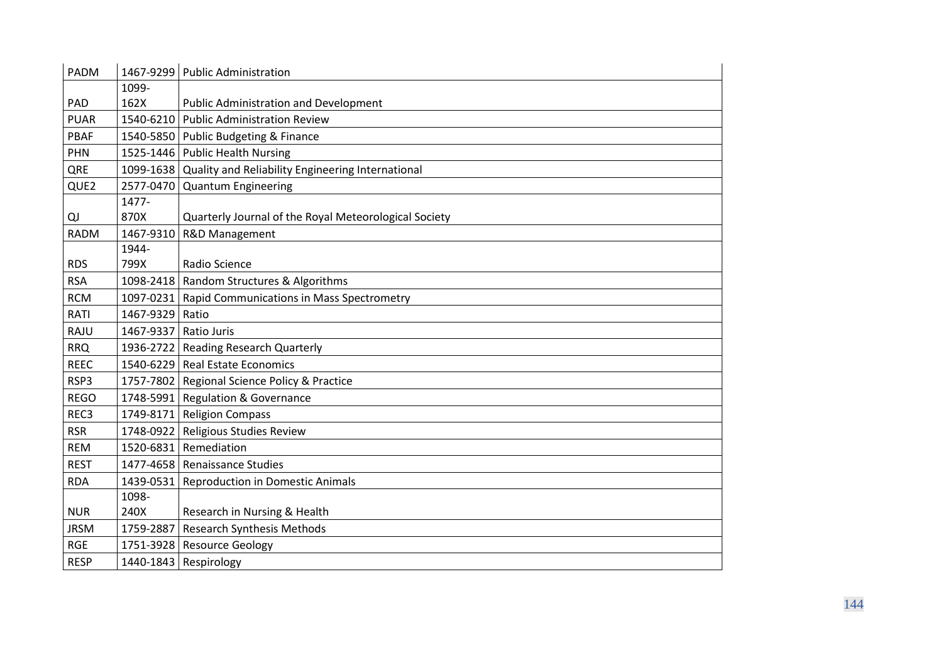| <b>PADM</b>      |           | 1467-9299 Public Administration                             |
|------------------|-----------|-------------------------------------------------------------|
|                  | 1099-     |                                                             |
| PAD              | 162X      | <b>Public Administration and Development</b>                |
| <b>PUAR</b>      | 1540-6210 | <b>Public Administration Review</b>                         |
| <b>PBAF</b>      |           | 1540-5850 Public Budgeting & Finance                        |
| <b>PHN</b>       |           | 1525-1446 Public Health Nursing                             |
| QRE              |           | 1099-1638 Quality and Reliability Engineering International |
| QUE2             | 2577-0470 | <b>Quantum Engineering</b>                                  |
|                  | 1477-     |                                                             |
| QJ               | 870X      | Quarterly Journal of the Royal Meteorological Society       |
| <b>RADM</b>      | 1467-9310 | R&D Management                                              |
|                  | 1944-     |                                                             |
| <b>RDS</b>       | 799X      | Radio Science                                               |
| <b>RSA</b>       | 1098-2418 | Random Structures & Algorithms                              |
| <b>RCM</b>       | 1097-0231 | Rapid Communications in Mass Spectrometry                   |
| <b>RATI</b>      | 1467-9329 | Ratio                                                       |
| RAJU             | 1467-9337 | Ratio Juris                                                 |
| <b>RRQ</b>       | 1936-2722 | <b>Reading Research Quarterly</b>                           |
| <b>REEC</b>      |           | 1540-6229 Real Estate Economics                             |
| RSP3             |           | 1757-7802   Regional Science Policy & Practice              |
| <b>REGO</b>      |           | 1748-5991 Regulation & Governance                           |
| REC <sub>3</sub> |           | 1749-8171 Religion Compass                                  |
| <b>RSR</b>       | 1748-0922 | Religious Studies Review                                    |
| <b>REM</b>       |           | 1520-6831 Remediation                                       |
| <b>REST</b>      |           | 1477-4658 Renaissance Studies                               |
| <b>RDA</b>       | 1439-0531 | <b>Reproduction in Domestic Animals</b>                     |
|                  | 1098-     |                                                             |
| <b>NUR</b>       | 240X      | Research in Nursing & Health                                |
| <b>JRSM</b>      | 1759-2887 | <b>Research Synthesis Methods</b>                           |
| <b>RGE</b>       | 1751-3928 | <b>Resource Geology</b>                                     |
| <b>RESP</b>      |           | $1440 - 1843$ Respirology                                   |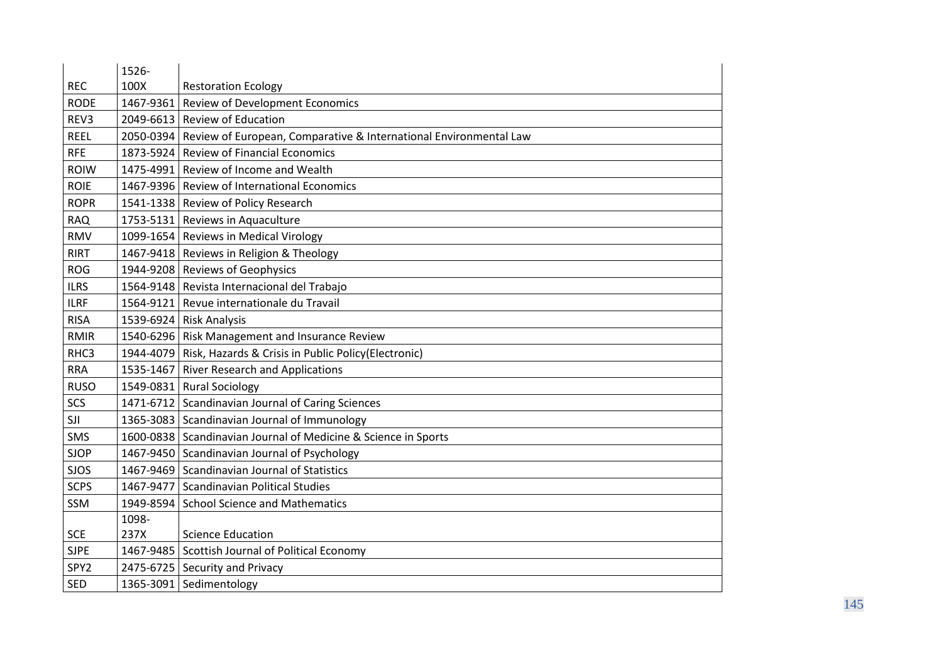|                  | 1526-     |                                                                   |
|------------------|-----------|-------------------------------------------------------------------|
| <b>REC</b>       | 100X      | <b>Restoration Ecology</b>                                        |
| <b>RODE</b>      | 1467-9361 | Review of Development Economics                                   |
| REV3             | 2049-6613 | <b>Review of Education</b>                                        |
| <b>REEL</b>      | 2050-0394 | Review of European, Comparative & International Environmental Law |
| <b>RFE</b>       | 1873-5924 | <b>Review of Financial Economics</b>                              |
| <b>ROIW</b>      | 1475-4991 | Review of Income and Wealth                                       |
| <b>ROIE</b>      |           | 1467-9396   Review of International Economics                     |
| <b>ROPR</b>      |           | 1541-1338 Review of Policy Research                               |
| <b>RAQ</b>       |           | 1753-5131 Reviews in Aquaculture                                  |
| <b>RMV</b>       |           | 1099-1654 Reviews in Medical Virology                             |
| <b>RIRT</b>      |           | 1467-9418   Reviews in Religion & Theology                        |
| <b>ROG</b>       |           | 1944-9208 Reviews of Geophysics                                   |
| <b>ILRS</b>      |           | 1564-9148 Revista Internacional del Trabajo                       |
| <b>ILRF</b>      | 1564-9121 | Revue internationale du Travail                                   |
| <b>RISA</b>      |           | 1539-6924 Risk Analysis                                           |
| <b>RMIR</b>      |           | 1540-6296 Risk Management and Insurance Review                    |
| RHC3             |           | 1944-4079 Risk, Hazards & Crisis in Public Policy (Electronic)    |
| <b>RRA</b>       |           | 1535-1467 River Research and Applications                         |
| <b>RUSO</b>      |           | 1549-0831 Rural Sociology                                         |
| SCS              |           | 1471-6712 Scandinavian Journal of Caring Sciences                 |
| SJI              |           | 1365-3083 Scandinavian Journal of Immunology                      |
| SMS              |           | 1600-0838 Scandinavian Journal of Medicine & Science in Sports    |
| <b>SJOP</b>      |           | 1467-9450 Scandinavian Journal of Psychology                      |
| <b>SJOS</b>      |           | 1467-9469 Scandinavian Journal of Statistics                      |
| <b>SCPS</b>      | 1467-9477 | <b>Scandinavian Political Studies</b>                             |
| SSM              | 1949-8594 | <b>School Science and Mathematics</b>                             |
|                  | 1098-     |                                                                   |
| <b>SCE</b>       | 237X      | <b>Science Education</b>                                          |
| <b>SJPE</b>      |           | 1467-9485 Scottish Journal of Political Economy                   |
| SPY <sub>2</sub> |           | 2475-6725 Security and Privacy                                    |
| <b>SED</b>       |           | 1365-3091 Sedimentology                                           |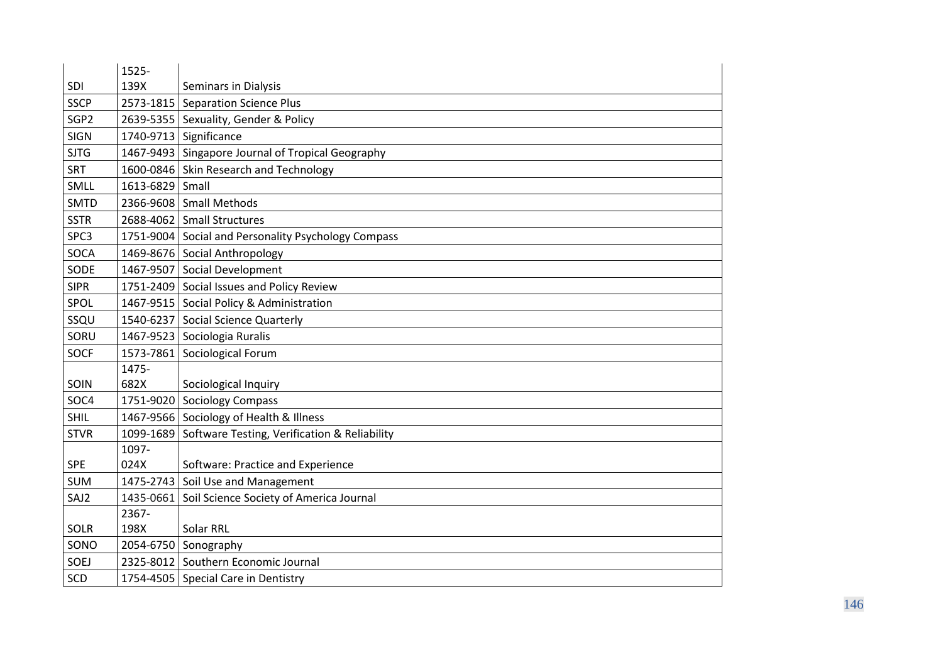|                  | 1525-           |                                                     |
|------------------|-----------------|-----------------------------------------------------|
| SDI              | 139X            | Seminars in Dialysis                                |
| <b>SSCP</b>      |                 | 2573-1815 Separation Science Plus                   |
| SGP <sub>2</sub> |                 | 2639-5355 Sexuality, Gender & Policy                |
| <b>SIGN</b>      |                 | 1740-9713 Significance                              |
| <b>SJTG</b>      |                 | 1467-9493 Singapore Journal of Tropical Geography   |
| <b>SRT</b>       |                 | 1600-0846 Skin Research and Technology              |
| SMLL             | 1613-6829 Small |                                                     |
| <b>SMTD</b>      |                 | 2366-9608 Small Methods                             |
| <b>SSTR</b>      |                 | 2688-4062 Small Structures                          |
| SPC3             |                 | 1751-9004 Social and Personality Psychology Compass |
| SOCA             |                 | 1469-8676 Social Anthropology                       |
| SODE             |                 | 1467-9507 Social Development                        |
| <b>SIPR</b>      |                 | 1751-2409 Social Issues and Policy Review           |
| SPOL             |                 | 1467-9515   Social Policy & Administration          |
| SSQU             |                 | 1540-6237 Social Science Quarterly                  |
| SORU             |                 | 1467-9523 Sociologia Ruralis                        |
| <b>SOCF</b>      |                 | 1573-7861 Sociological Forum                        |
|                  | 1475-           |                                                     |
| SOIN             | 682X            | Sociological Inquiry                                |
| SOC4             |                 | 1751-9020 Sociology Compass                         |
| <b>SHIL</b>      |                 | 1467-9566 Sociology of Health & Illness             |
| <b>STVR</b>      | 1099-1689       | Software Testing, Verification & Reliability        |
|                  | 1097-           |                                                     |
| <b>SPE</b>       | 024X            | Software: Practice and Experience                   |
| <b>SUM</b>       |                 | 1475-2743 Soil Use and Management                   |
| SAJ2             | 1435-0661       | Soil Science Society of America Journal             |
|                  | 2367-           |                                                     |
| SOLR             | 198X            | Solar RRL                                           |
| SONO             |                 | 2054-6750 Sonography                                |
| SOEJ             |                 | 2325-8012 Southern Economic Journal                 |
| SCD              |                 | 1754-4505 Special Care in Dentistry                 |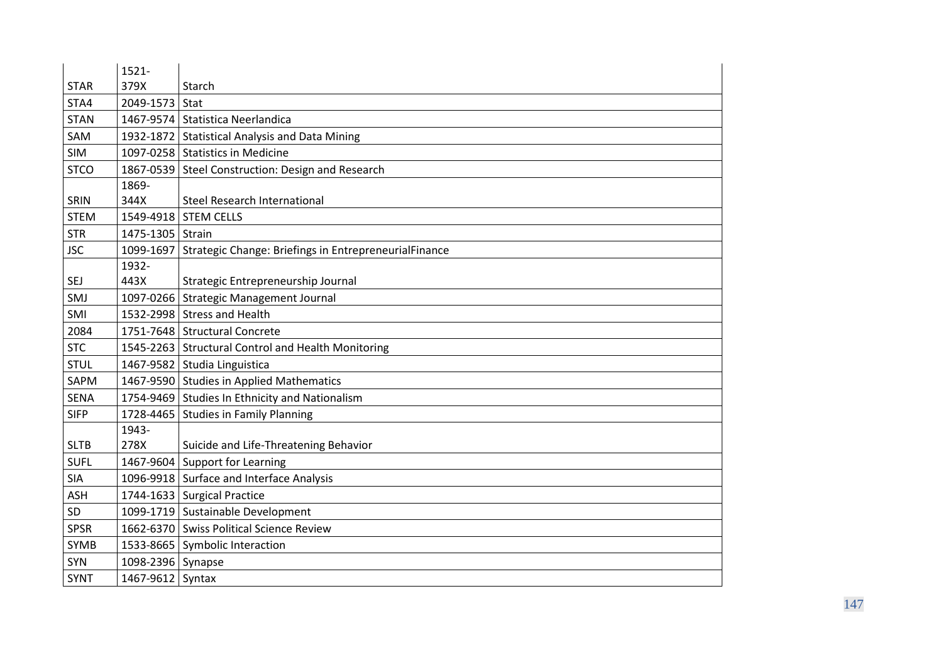|             | $1521 -$          |                                                                 |
|-------------|-------------------|-----------------------------------------------------------------|
| <b>STAR</b> | 379X              | Starch                                                          |
| STA4        | 2049-1573         | Stat                                                            |
| <b>STAN</b> |                   | 1467-9574 Statistica Neerlandica                                |
| SAM         |                   | 1932-1872 Statistical Analysis and Data Mining                  |
| SIM         |                   | 1097-0258 Statistics in Medicine                                |
| <b>STCO</b> |                   | 1867-0539 Steel Construction: Design and Research               |
|             | 1869-             |                                                                 |
| SRIN        | 344X              | <b>Steel Research International</b>                             |
| <b>STEM</b> |                   | 1549-4918 STEM CELLS                                            |
| <b>STR</b>  | 1475-1305 Strain  |                                                                 |
| <b>JSC</b>  |                   | 1099-1697 Strategic Change: Briefings in EntrepreneurialFinance |
|             | 1932-             |                                                                 |
| SEJ         | 443X              | Strategic Entrepreneurship Journal                              |
| SMJ         |                   | 1097-0266 Strategic Management Journal                          |
| SMI         |                   | 1532-2998 Stress and Health                                     |
| 2084        |                   | 1751-7648 Structural Concrete                                   |
| <b>STC</b>  |                   | 1545-2263 Structural Control and Health Monitoring              |
| <b>STUL</b> |                   | 1467-9582 Studia Linguistica                                    |
| SAPM        |                   | 1467-9590 Studies in Applied Mathematics                        |
| SENA        |                   | 1754-9469 Studies In Ethnicity and Nationalism                  |
| <b>SIFP</b> |                   | 1728-4465 Studies in Family Planning                            |
|             | 1943-             |                                                                 |
| <b>SLTB</b> | 278X              | Suicide and Life-Threatening Behavior                           |
| <b>SUFL</b> |                   | 1467-9604 Support for Learning                                  |
| <b>SIA</b>  |                   | 1096-9918 Surface and Interface Analysis                        |
| <b>ASH</b>  |                   | 1744-1633 Surgical Practice                                     |
| SD          |                   | 1099-1719 Sustainable Development                               |
| <b>SPSR</b> |                   | 1662-6370 Swiss Political Science Review                        |
| <b>SYMB</b> |                   | 1533-8665   Symbolic Interaction                                |
| SYN         | 1098-2396 Synapse |                                                                 |
| <b>SYNT</b> | 1467-9612 Syntax  |                                                                 |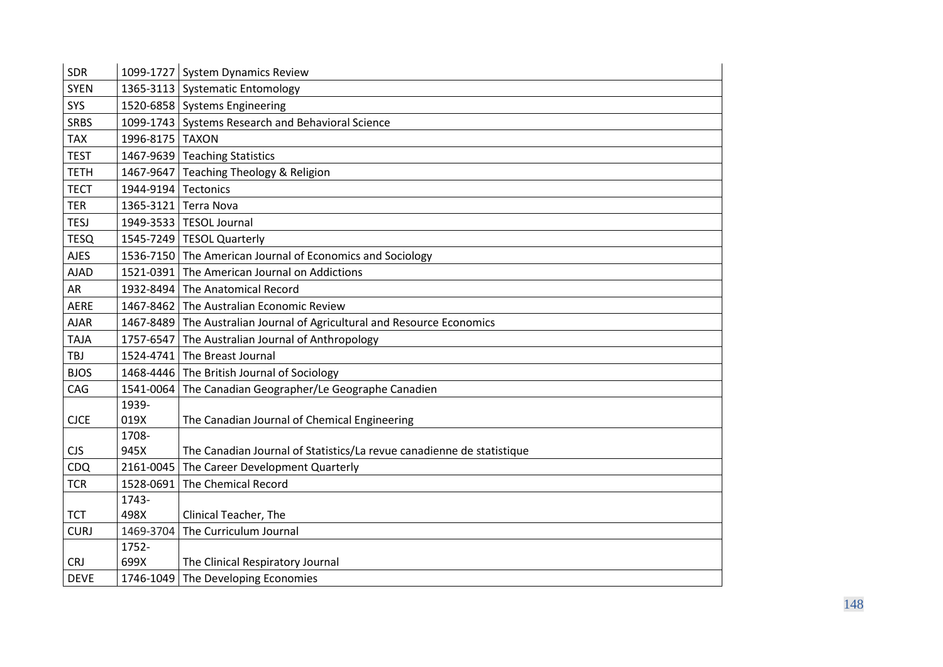| <b>SDR</b>  |                      | 1099-1727 System Dynamics Review                                      |
|-------------|----------------------|-----------------------------------------------------------------------|
| <b>SYEN</b> |                      | 1365-3113 Systematic Entomology                                       |
| SYS         |                      | 1520-6858 Systems Engineering                                         |
| <b>SRBS</b> |                      | 1099-1743 Systems Research and Behavioral Science                     |
| <b>TAX</b>  | 1996-8175 TAXON      |                                                                       |
| <b>TEST</b> |                      | 1467-9639 Teaching Statistics                                         |
| <b>TETH</b> |                      | 1467-9647 Teaching Theology & Religion                                |
| <b>TECT</b> | 1944-9194 Tectonics  |                                                                       |
| <b>TER</b>  | 1365-3121 Terra Nova |                                                                       |
| <b>TESJ</b> |                      | 1949-3533   TESOL Journal                                             |
| <b>TESQ</b> |                      | 1545-7249   TESOL Quarterly                                           |
| <b>AJES</b> |                      | 1536-7150 The American Journal of Economics and Sociology             |
| <b>AJAD</b> | 1521-0391            | The American Journal on Addictions                                    |
| AR          | 1932-8494            | The Anatomical Record                                                 |
| <b>AERE</b> | 1467-8462            | The Australian Economic Review                                        |
| <b>AJAR</b> | 1467-8489            | The Australian Journal of Agricultural and Resource Economics         |
| <b>TAJA</b> | 1757-6547            | The Australian Journal of Anthropology                                |
| <b>TBJ</b>  |                      | 1524-4741 The Breast Journal                                          |
| <b>BJOS</b> |                      | 1468-4446 The British Journal of Sociology                            |
| CAG         | 1541-0064            | The Canadian Geographer/Le Geographe Canadien                         |
|             | 1939-                |                                                                       |
| <b>CJCE</b> | 019X                 | The Canadian Journal of Chemical Engineering                          |
|             | 1708-                |                                                                       |
| <b>CJS</b>  | 945X                 | The Canadian Journal of Statistics/La revue canadienne de statistique |
| <b>CDQ</b>  | 2161-0045            | The Career Development Quarterly                                      |
| <b>TCR</b>  | 1528-0691            | The Chemical Record                                                   |
|             | 1743-                |                                                                       |
| <b>TCT</b>  | 498X                 | Clinical Teacher, The                                                 |
| <b>CURJ</b> | 1469-3704            | The Curriculum Journal                                                |
|             | 1752-                |                                                                       |
| <b>CRJ</b>  | 699X                 | The Clinical Respiratory Journal                                      |
| <b>DEVE</b> |                      | 1746-1049 The Developing Economies                                    |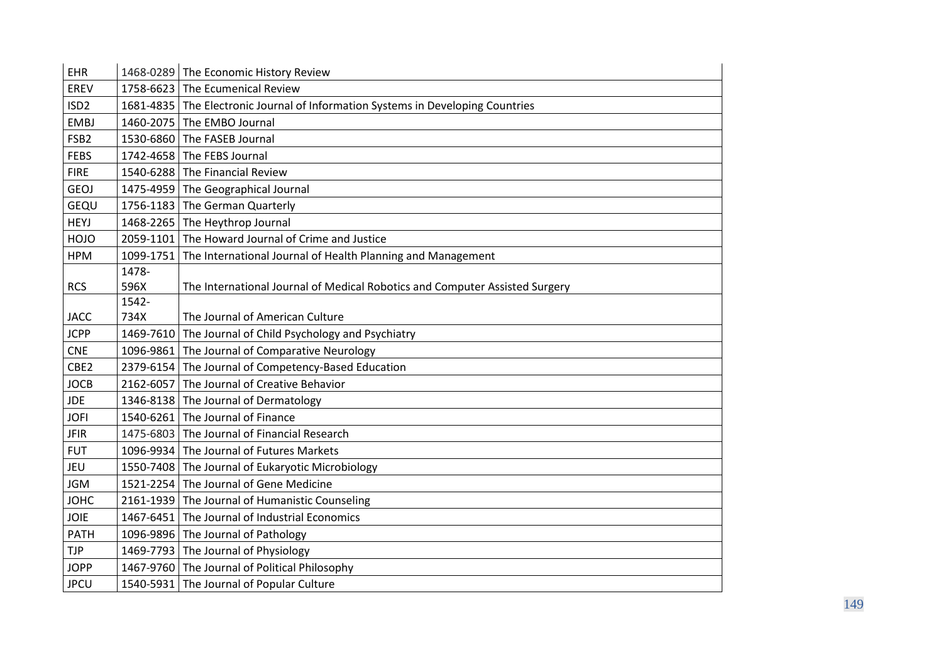| EHR              | 1468-0289 | The Economic History Review                                                     |
|------------------|-----------|---------------------------------------------------------------------------------|
| EREV             | 1758-6623 | The Ecumenical Review                                                           |
| ISD <sub>2</sub> |           | 1681-4835 The Electronic Journal of Information Systems in Developing Countries |
| <b>EMBJ</b>      | 1460-2075 | The EMBO Journal                                                                |
| FSB <sub>2</sub> | 1530-6860 | The FASEB Journal                                                               |
| <b>FEBS</b>      | 1742-4658 | The FEBS Journal                                                                |
| <b>FIRE</b>      | 1540-6288 | The Financial Review                                                            |
| <b>GEOJ</b>      |           | 1475-4959 The Geographical Journal                                              |
| GEQU             | 1756-1183 | The German Quarterly                                                            |
| <b>HEYJ</b>      | 1468-2265 | The Heythrop Journal                                                            |
| <b>HOJO</b>      | 2059-1101 | The Howard Journal of Crime and Justice                                         |
| <b>HPM</b>       | 1099-1751 | The International Journal of Health Planning and Management                     |
|                  | 1478-     |                                                                                 |
| <b>RCS</b>       | 596X      | The International Journal of Medical Robotics and Computer Assisted Surgery     |
|                  | 1542-     |                                                                                 |
| <b>JACC</b>      | 734X      | The Journal of American Culture                                                 |
| <b>JCPP</b>      | 1469-7610 | The Journal of Child Psychology and Psychiatry                                  |
| <b>CNE</b>       | 1096-9861 | The Journal of Comparative Neurology                                            |
| CBE2             | 2379-6154 | The Journal of Competency-Based Education                                       |
| <b>JOCB</b>      | 2162-6057 | The Journal of Creative Behavior                                                |
| <b>JDE</b>       | 1346-8138 | The Journal of Dermatology                                                      |
| <b>JOFI</b>      | 1540-6261 | The Journal of Finance                                                          |
| <b>JFIR</b>      | 1475-6803 | The Journal of Financial Research                                               |
| <b>FUT</b>       | 1096-9934 | The Journal of Futures Markets                                                  |
| JEU              | 1550-7408 | The Journal of Eukaryotic Microbiology                                          |
| <b>JGM</b>       | 1521-2254 | The Journal of Gene Medicine                                                    |
| <b>JOHC</b>      | 2161-1939 | The Journal of Humanistic Counseling                                            |
| JOIE             | 1467-6451 | The Journal of Industrial Economics                                             |
| <b>PATH</b>      |           | 1096-9896 The Journal of Pathology                                              |
| <b>TJP</b>       | 1469-7793 | The Journal of Physiology                                                       |
| <b>JOPP</b>      |           | 1467-9760 The Journal of Political Philosophy                                   |
| <b>JPCU</b>      |           | 1540-5931 The Journal of Popular Culture                                        |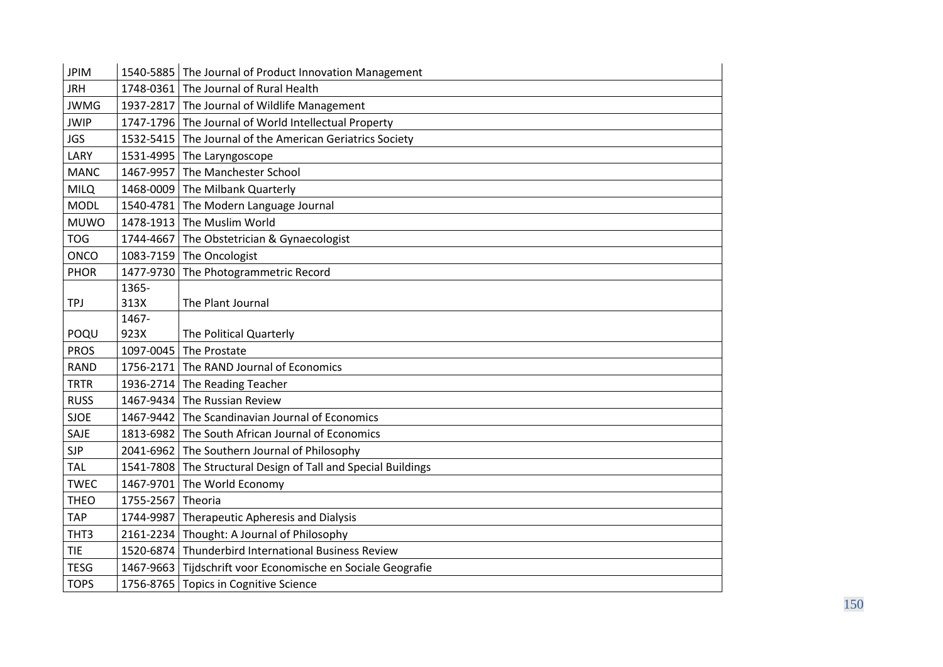| <b>JPIM</b> | 1540-5885 | The Journal of Product Innovation Management         |
|-------------|-----------|------------------------------------------------------|
| <b>JRH</b>  | 1748-0361 | The Journal of Rural Health                          |
| <b>JWMG</b> |           | 1937-2817 The Journal of Wildlife Management         |
| <b>JWIP</b> |           | 1747-1796 The Journal of World Intellectual Property |
| <b>JGS</b>  | 1532-5415 | The Journal of the American Geriatrics Society       |
| LARY        | 1531-4995 | The Laryngoscope                                     |
| <b>MANC</b> | 1467-9957 | The Manchester School                                |
| <b>MILQ</b> | 1468-0009 | The Milbank Quarterly                                |
| <b>MODL</b> | 1540-4781 | The Modern Language Journal                          |
| <b>MUWO</b> | 1478-1913 | The Muslim World                                     |
| <b>TOG</b>  |           | 1744-4667 The Obstetrician & Gynaecologist           |
| <b>ONCO</b> | 1083-7159 | The Oncologist                                       |
| <b>PHOR</b> | 1477-9730 | The Photogrammetric Record                           |
|             | 1365-     |                                                      |
| <b>TPJ</b>  | 313X      | The Plant Journal                                    |
|             | 1467-     |                                                      |
| POQU        | 923X      | The Political Quarterly                              |
| <b>PROS</b> | 1097-0045 | The Prostate                                         |
| <b>RAND</b> |           | 1756-2171 The RAND Journal of Economics              |
| <b>TRTR</b> |           | 1936-2714 The Reading Teacher                        |
| <b>RUSS</b> |           | 1467-9434 The Russian Review                         |
| <b>SJOE</b> | 1467-9442 | The Scandinavian Journal of Economics                |
| SAJE        | 1813-6982 | The South African Journal of Economics               |
| <b>SJP</b>  | 2041-6962 | The Southern Journal of Philosophy                   |
| <b>TAL</b>  | 1541-7808 | The Structural Design of Tall and Special Buildings  |
| <b>TWEC</b> | 1467-9701 | The World Economy                                    |
| <b>THEO</b> | 1755-2567 | Theoria                                              |
| <b>TAP</b>  | 1744-9987 | Therapeutic Apheresis and Dialysis                   |
| THT3        |           | 2161-2234 Thought: A Journal of Philosophy           |
| TIE         | 1520-6874 | Thunderbird International Business Review            |
| <b>TESG</b> | 1467-9663 | Tijdschrift voor Economische en Sociale Geografie    |
| <b>TOPS</b> |           | 1756-8765 Topics in Cognitive Science                |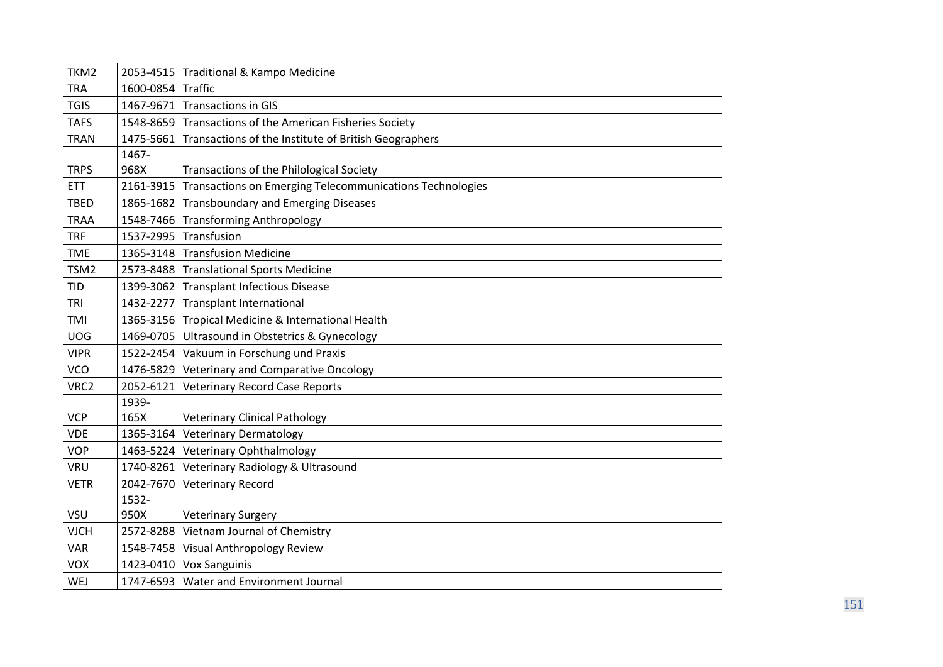| TKM2        |                   | 2053-4515   Traditional & Kampo Medicine                       |
|-------------|-------------------|----------------------------------------------------------------|
| <b>TRA</b>  | 1600-0854 Traffic |                                                                |
| <b>TGIS</b> |                   | 1467-9671 Transactions in GIS                                  |
| <b>TAFS</b> |                   | 1548-8659 Transactions of the American Fisheries Society       |
| <b>TRAN</b> |                   | 1475-5661 Transactions of the Institute of British Geographers |
|             | 1467-             |                                                                |
| <b>TRPS</b> | 968X              | Transactions of the Philological Society                       |
| <b>ETT</b>  | 2161-3915         | Transactions on Emerging Telecommunications Technologies       |
| <b>TBED</b> | 1865-1682         | <b>Transboundary and Emerging Diseases</b>                     |
| <b>TRAA</b> |                   | 1548-7466 Transforming Anthropology                            |
| <b>TRF</b>  |                   | 1537-2995 Transfusion                                          |
| <b>TME</b>  |                   | 1365-3148 Transfusion Medicine                                 |
| TSM2        |                   | 2573-8488 Translational Sports Medicine                        |
| <b>TID</b>  |                   | 1399-3062 Transplant Infectious Disease                        |
| <b>TRI</b>  |                   | 1432-2277 Transplant International                             |
| TMI         |                   | 1365-3156 Tropical Medicine & International Health             |
| <b>UOG</b>  |                   | 1469-0705 Ultrasound in Obstetrics & Gynecology                |
| <b>VIPR</b> |                   | 1522-2454 Vakuum in Forschung und Praxis                       |
| <b>VCO</b>  |                   | 1476-5829 Veterinary and Comparative Oncology                  |
| VRC2        | 2052-6121         | <b>Veterinary Record Case Reports</b>                          |
|             | 1939-             |                                                                |
| <b>VCP</b>  | 165X              | <b>Veterinary Clinical Pathology</b>                           |
| <b>VDE</b>  |                   | 1365-3164 Veterinary Dermatology                               |
| <b>VOP</b>  |                   | 1463-5224 Veterinary Ophthalmology                             |
| <b>VRU</b>  |                   | 1740-8261 Veterinary Radiology & Ultrasound                    |
| <b>VETR</b> |                   | 2042-7670 Veterinary Record                                    |
|             | 1532-             |                                                                |
| VSU         | 950X              | <b>Veterinary Surgery</b>                                      |
| <b>VJCH</b> |                   | 2572-8288 Vietnam Journal of Chemistry                         |
| <b>VAR</b>  |                   | 1548-7458 Visual Anthropology Review                           |
| <b>VOX</b>  |                   | 1423-0410 Vox Sanguinis                                        |
| WEJ         |                   | 1747-6593   Water and Environment Journal                      |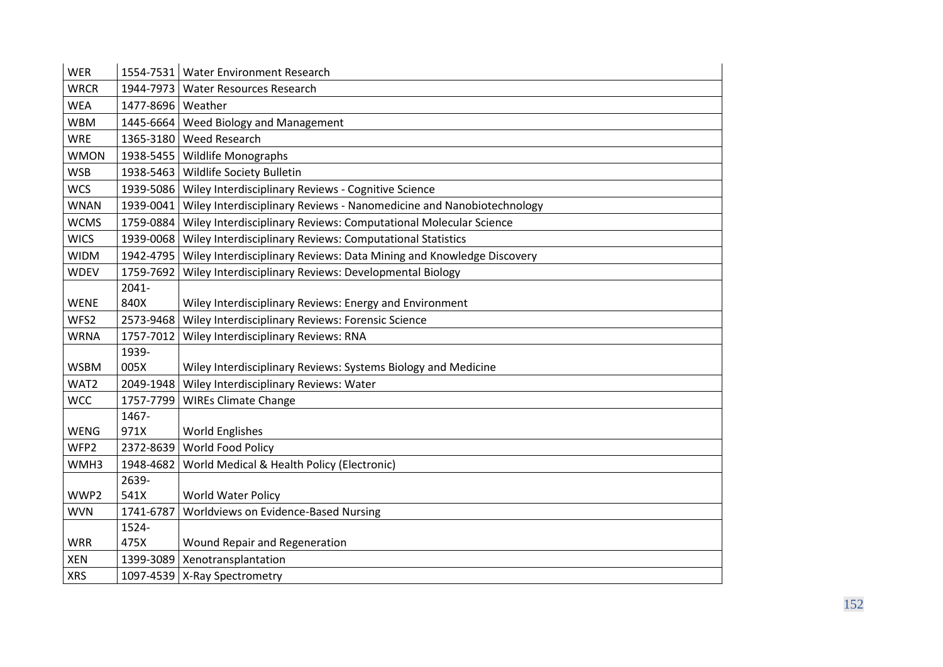| <b>WER</b>  |                     | 1554-7531   Water Environment Research                               |
|-------------|---------------------|----------------------------------------------------------------------|
| <b>WRCR</b> |                     | 1944-7973 Water Resources Research                                   |
| <b>WEA</b>  | 1477-8696   Weather |                                                                      |
| <b>WBM</b>  | 1445-6664           | Weed Biology and Management                                          |
| <b>WRE</b>  |                     | 1365-3180 Weed Research                                              |
| <b>WMON</b> |                     | 1938-5455   Wildlife Monographs                                      |
| <b>WSB</b>  | 1938-5463           | Wildlife Society Bulletin                                            |
| <b>WCS</b>  |                     | 1939-5086   Wiley Interdisciplinary Reviews - Cognitive Science      |
| <b>WNAN</b> | 1939-0041           | Wiley Interdisciplinary Reviews - Nanomedicine and Nanobiotechnology |
| <b>WCMS</b> | 1759-0884           | Wiley Interdisciplinary Reviews: Computational Molecular Science     |
| <b>WICS</b> | 1939-0068           | Wiley Interdisciplinary Reviews: Computational Statistics            |
| <b>WIDM</b> | 1942-4795           | Wiley Interdisciplinary Reviews: Data Mining and Knowledge Discovery |
| <b>WDEV</b> | 1759-7692           | Wiley Interdisciplinary Reviews: Developmental Biology               |
|             | $2041 -$            |                                                                      |
| <b>WENE</b> | 840X                | Wiley Interdisciplinary Reviews: Energy and Environment              |
| WFS2        |                     | 2573-9468 Wiley Interdisciplinary Reviews: Forensic Science          |
| <b>WRNA</b> | 1757-7012           | Wiley Interdisciplinary Reviews: RNA                                 |
|             | 1939-               |                                                                      |
| <b>WSBM</b> | 005X                | Wiley Interdisciplinary Reviews: Systems Biology and Medicine        |
| WAT2        | 2049-1948           | Wiley Interdisciplinary Reviews: Water                               |
| <b>WCC</b>  | 1757-7799           | <b>WIREs Climate Change</b>                                          |
|             | 1467-               |                                                                      |
| <b>WENG</b> | 971X                | <b>World Englishes</b>                                               |
| WFP2        | 2372-8639           | World Food Policy                                                    |
| WMH3        | 1948-4682           | World Medical & Health Policy (Electronic)                           |
|             | 2639-               |                                                                      |
| WWP2        | 541X                | <b>World Water Policy</b>                                            |
| <b>WVN</b>  | 1741-6787           | Worldviews on Evidence-Based Nursing                                 |
|             | 1524-               |                                                                      |
| <b>WRR</b>  | 475X                | Wound Repair and Regeneration                                        |
| <b>XEN</b>  |                     | 1399-3089 Xenotransplantation                                        |
| <b>XRS</b>  |                     | 1097-4539   X-Ray Spectrometry                                       |